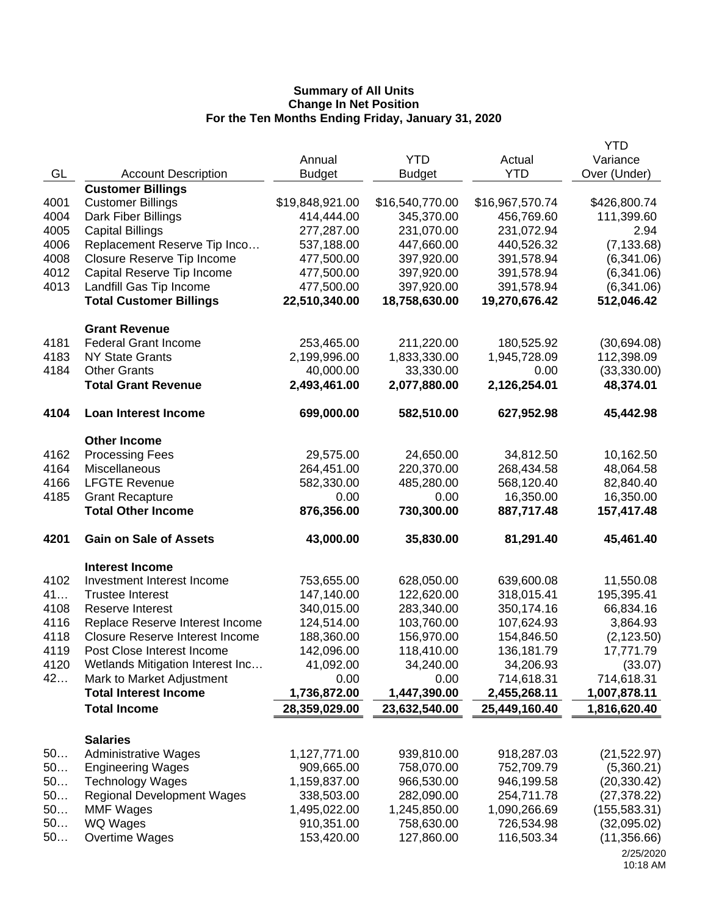|      |                                        |                 |                 |                 | <b>YTD</b>    |
|------|----------------------------------------|-----------------|-----------------|-----------------|---------------|
|      |                                        | Annual          | <b>YTD</b>      | Actual          | Variance      |
| GL   | <b>Account Description</b>             | <b>Budget</b>   | <b>Budget</b>   | <b>YTD</b>      | Over (Under)  |
|      | <b>Customer Billings</b>               |                 |                 |                 |               |
| 4001 | <b>Customer Billings</b>               | \$19,848,921.00 | \$16,540,770.00 | \$16,967,570.74 | \$426,800.74  |
| 4004 | Dark Fiber Billings                    | 414,444.00      | 345,370.00      | 456,769.60      | 111,399.60    |
| 4005 | <b>Capital Billings</b>                | 277,287.00      | 231,070.00      | 231,072.94      | 2.94          |
| 4006 | Replacement Reserve Tip Inco           | 537,188.00      | 447,660.00      | 440,526.32      | (7, 133.68)   |
| 4008 | Closure Reserve Tip Income             | 477,500.00      | 397,920.00      | 391,578.94      | (6,341.06)    |
| 4012 | Capital Reserve Tip Income             | 477,500.00      | 397,920.00      | 391,578.94      | (6,341.06)    |
| 4013 | Landfill Gas Tip Income                | 477,500.00      | 397,920.00      | 391,578.94      | (6,341.06)    |
|      | <b>Total Customer Billings</b>         | 22,510,340.00   | 18,758,630.00   | 19,270,676.42   | 512,046.42    |
|      | <b>Grant Revenue</b>                   |                 |                 |                 |               |
| 4181 | <b>Federal Grant Income</b>            | 253,465.00      | 211,220.00      | 180,525.92      | (30,694.08)   |
| 4183 | <b>NY State Grants</b>                 | 2,199,996.00    | 1,833,330.00    | 1,945,728.09    | 112,398.09    |
| 4184 | <b>Other Grants</b>                    | 40,000.00       | 33,330.00       | 0.00            | (33,330.00)   |
|      | <b>Total Grant Revenue</b>             | 2,493,461.00    | 2,077,880.00    | 2,126,254.01    | 48,374.01     |
| 4104 | <b>Loan Interest Income</b>            | 699,000.00      | 582,510.00      | 627,952.98      | 45,442.98     |
|      | <b>Other Income</b>                    |                 |                 |                 |               |
| 4162 | <b>Processing Fees</b>                 | 29,575.00       | 24,650.00       | 34,812.50       | 10,162.50     |
| 4164 | Miscellaneous                          | 264,451.00      | 220,370.00      | 268,434.58      | 48,064.58     |
| 4166 | <b>LFGTE Revenue</b>                   | 582,330.00      | 485,280.00      | 568,120.40      | 82,840.40     |
| 4185 | <b>Grant Recapture</b>                 | 0.00            | 0.00            | 16,350.00       | 16,350.00     |
|      | <b>Total Other Income</b>              | 876,356.00      | 730,300.00      | 887,717.48      | 157,417.48    |
| 4201 | <b>Gain on Sale of Assets</b>          | 43,000.00       | 35,830.00       | 81,291.40       | 45,461.40     |
|      | <b>Interest Income</b>                 |                 |                 |                 |               |
| 4102 | Investment Interest Income             | 753,655.00      | 628,050.00      | 639,600.08      | 11,550.08     |
| 41   | <b>Trustee Interest</b>                | 147,140.00      | 122,620.00      | 318,015.41      | 195,395.41    |
| 4108 | Reserve Interest                       | 340,015.00      | 283,340.00      | 350,174.16      | 66,834.16     |
| 4116 | Replace Reserve Interest Income        | 124,514.00      | 103,760.00      | 107,624.93      | 3,864.93      |
| 4118 | <b>Closure Reserve Interest Income</b> | 188,360.00      | 156,970.00      | 154,846.50      | (2, 123.50)   |
| 4119 | Post Close Interest Income             | 142,096.00      | 118,410.00      | 136,181.79      | 17,771.79     |
| 4120 | Wetlands Mitigation Interest Inc       | 41,092.00       | 34,240.00       | 34,206.93       | (33.07)       |
| 42   | Mark to Market Adjustment              | 0.00            | 0.00            | 714,618.31      | 714,618.31    |
|      | <b>Total Interest Income</b>           | 1,736,872.00    | 1,447,390.00    | 2,455,268.11    | 1,007,878.11  |
|      | <b>Total Income</b>                    | 28,359,029.00   | 23,632,540.00   | 25,449,160.40   | 1,816,620.40  |
|      |                                        |                 |                 |                 |               |
|      | <b>Salaries</b>                        |                 |                 |                 |               |
| 50   | <b>Administrative Wages</b>            | 1,127,771.00    | 939,810.00      | 918,287.03      | (21, 522.97)  |
| 50   | <b>Engineering Wages</b>               | 909,665.00      | 758,070.00      | 752,709.79      | (5,360.21)    |
| 50   | <b>Technology Wages</b>                | 1,159,837.00    | 966,530.00      | 946,199.58      | (20, 330.42)  |
| 50   | <b>Regional Development Wages</b>      | 338,503.00      | 282,090.00      | 254,711.78      | (27, 378.22)  |
| 50   | <b>MMF Wages</b>                       | 1,495,022.00    | 1,245,850.00    | 1,090,266.69    | (155, 583.31) |
| 50   | WQ Wages                               | 910,351.00      | 758,630.00      | 726,534.98      | (32,095.02)   |
| 50   | Overtime Wages                         | 153,420.00      | 127,860.00      | 116,503.34      | (11,356.66)   |
|      |                                        |                 |                 |                 | 2/25/2020     |

<sup>10:18</sup> AM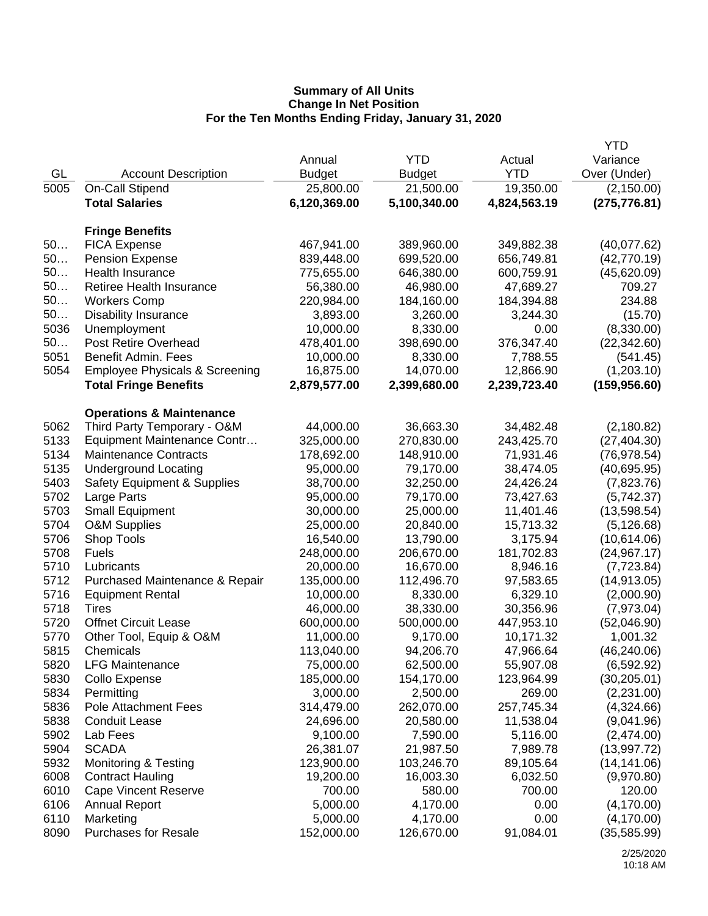|              |                                            |                          |                         |                         | YTD                        |
|--------------|--------------------------------------------|--------------------------|-------------------------|-------------------------|----------------------------|
|              |                                            | Annual                   | <b>YTD</b>              | Actual                  | Variance                   |
| GL           | <b>Account Description</b>                 | <b>Budget</b>            | <b>Budget</b>           | <b>YTD</b>              | Over (Under)               |
| 5005         | On-Call Stipend                            | 25,800.00                | 21,500.00               | 19,350.00               | (2, 150.00)                |
|              | <b>Total Salaries</b>                      | 6,120,369.00             | 5,100,340.00            | 4,824,563.19            | (275, 776.81)              |
|              |                                            |                          |                         |                         |                            |
| 50           | <b>Fringe Benefits</b>                     |                          |                         |                         |                            |
| 50           | <b>FICA Expense</b>                        | 467,941.00<br>839,448.00 | 389,960.00              | 349,882.38              | (40,077.62)                |
| 50           | <b>Pension Expense</b><br>Health Insurance |                          | 699,520.00              | 656,749.81              | (42, 770.19)               |
| 50           | <b>Retiree Health Insurance</b>            | 775,655.00<br>56,380.00  | 646,380.00<br>46,980.00 | 600,759.91<br>47,689.27 | (45,620.09)<br>709.27      |
| 50           | <b>Workers Comp</b>                        | 220,984.00               | 184,160.00              | 184,394.88              | 234.88                     |
| 50           | Disability Insurance                       | 3,893.00                 | 3,260.00                | 3,244.30                | (15.70)                    |
| 5036         | Unemployment                               | 10,000.00                | 8,330.00                | 0.00                    | (8,330.00)                 |
| 50           | <b>Post Retire Overhead</b>                | 478,401.00               | 398,690.00              | 376,347.40              | (22, 342.60)               |
| 5051         | Benefit Admin. Fees                        | 10,000.00                | 8,330.00                | 7,788.55                | (541.45)                   |
| 5054         | <b>Employee Physicals &amp; Screening</b>  | 16,875.00                | 14,070.00               | 12,866.90               | (1,203.10)                 |
|              | <b>Total Fringe Benefits</b>               | 2,879,577.00             | 2,399,680.00            | 2,239,723.40            | (159, 956.60)              |
|              |                                            |                          |                         |                         |                            |
|              | <b>Operations &amp; Maintenance</b>        |                          |                         |                         |                            |
| 5062         | Third Party Temporary - O&M                | 44,000.00                | 36,663.30               | 34,482.48               | (2, 180.82)                |
| 5133         | Equipment Maintenance Contr                | 325,000.00               | 270,830.00              | 243,425.70              | (27, 404.30)               |
| 5134         | <b>Maintenance Contracts</b>               | 178,692.00               | 148,910.00              | 71,931.46               | (76, 978.54)               |
| 5135         | <b>Underground Locating</b>                | 95,000.00                | 79,170.00               | 38,474.05               | (40,695.95)                |
| 5403         | <b>Safety Equipment &amp; Supplies</b>     | 38,700.00                | 32,250.00               | 24,426.24               | (7,823.76)                 |
| 5702<br>5703 | Large Parts                                | 95,000.00                | 79,170.00               | 73,427.63               | (5,742.37)                 |
| 5704         | <b>Small Equipment</b>                     | 30,000.00<br>25,000.00   | 25,000.00<br>20,840.00  | 11,401.46<br>15,713.32  | (13,598.54)                |
| 5706         | <b>O&amp;M Supplies</b><br>Shop Tools      | 16,540.00                | 13,790.00               | 3,175.94                | (5, 126.68)<br>(10,614.06) |
| 5708         | <b>Fuels</b>                               | 248,000.00               | 206,670.00              | 181,702.83              | (24, 967.17)               |
| 5710         | Lubricants                                 | 20,000.00                | 16,670.00               | 8,946.16                | (7, 723.84)                |
| 5712         | Purchased Maintenance & Repair             | 135,000.00               | 112,496.70              | 97,583.65               | (14, 913.05)               |
| 5716         | <b>Equipment Rental</b>                    | 10,000.00                | 8,330.00                | 6,329.10                | (2,000.90)                 |
| 5718         | Tires                                      | 46,000.00                | 38,330.00               | 30,356.96               | (7,973.04)                 |
| 5720         | <b>Offnet Circuit Lease</b>                | 600,000.00               | 500,000.00              | 447,953.10              | (52,046.90)                |
| 5770         | Other Tool, Equip & O&M                    | 11,000.00                | 9,170.00                | 10,171.32               | 1,001.32                   |
| 5815         | Chemicals                                  | 113,040.00               | 94,206.70               | 47,966.64               | (46, 240.06)               |
| 5820         | <b>LFG Maintenance</b>                     | 75,000.00                | 62,500.00               | 55,907.08               | (6, 592.92)                |
| 5830         | Collo Expense                              | 185,000.00               | 154,170.00              | 123,964.99              | (30, 205.01)               |
| 5834         | Permitting                                 | 3,000.00                 | 2,500.00                | 269.00                  | (2,231.00)                 |
| 5836         | <b>Pole Attachment Fees</b>                | 314,479.00               | 262,070.00              | 257,745.34              | (4,324.66)                 |
| 5838         | <b>Conduit Lease</b>                       | 24,696.00                | 20,580.00               | 11,538.04               | (9,041.96)                 |
| 5902         | Lab Fees                                   | 9,100.00                 | 7,590.00                | 5,116.00                | (2,474.00)                 |
| 5904         | <b>SCADA</b>                               | 26,381.07                | 21,987.50               | 7,989.78                | (13,997.72)                |
| 5932         | <b>Monitoring &amp; Testing</b>            | 123,900.00               | 103,246.70              | 89,105.64               | (14, 141.06)               |
| 6008         | <b>Contract Hauling</b>                    | 19,200.00                | 16,003.30               | 6,032.50                | (9,970.80)                 |
| 6010         | <b>Cape Vincent Reserve</b>                | 700.00                   | 580.00                  | 700.00                  | 120.00                     |
| 6106         | <b>Annual Report</b>                       | 5,000.00                 | 4,170.00                | 0.00                    | (4, 170.00)                |
| 6110         | Marketing                                  | 5,000.00                 | 4,170.00                | 0.00                    | (4, 170.00)                |
| 8090         | <b>Purchases for Resale</b>                | 152,000.00               | 126,670.00              | 91,084.01               | (35,585.99)                |
|              |                                            |                          |                         |                         |                            |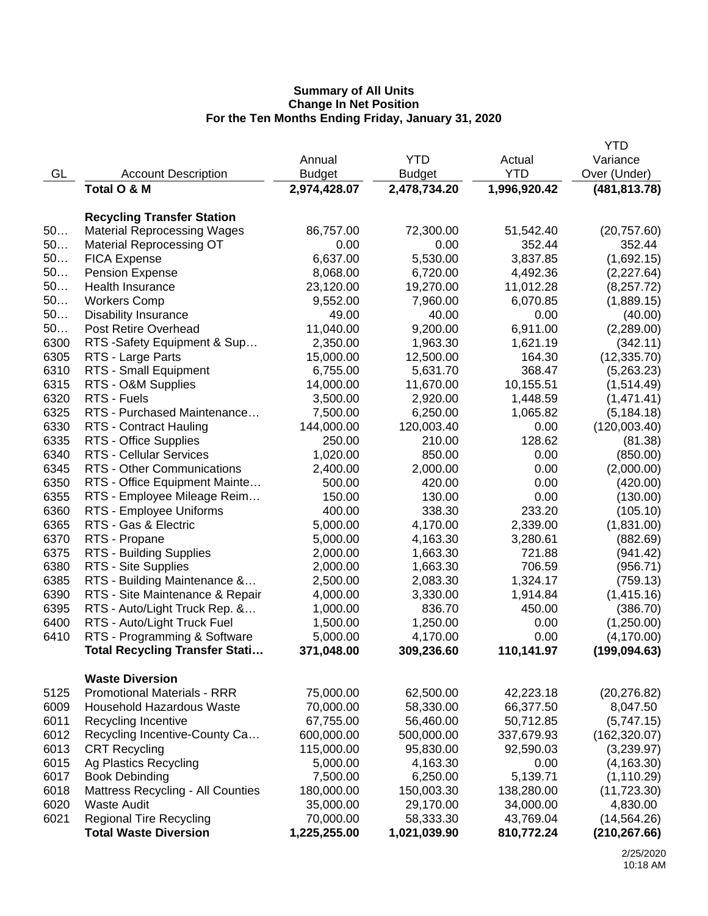| <b>YTD</b><br>Variance<br>Annual<br>Actual<br><b>YTD</b><br>GL<br><b>Account Description</b><br><b>Budget</b><br><b>Budget</b><br>Over (Under)<br>Total O & M<br>1,996,920.42<br>2,974,428.07<br>2,478,734.20<br>(481, 813.78)<br><b>Recycling Transfer Station</b><br>50<br><b>Material Reprocessing Wages</b><br>86,757.00<br>72,300.00<br>51,542.40<br>(20, 757.60)<br>50<br><b>Material Reprocessing OT</b><br>0.00<br>0.00<br>352.44<br>352.44<br>50<br>6,637.00<br>5,530.00<br>3,837.85<br>(1,692.15)<br><b>FICA Expense</b><br>50<br>8,068.00<br>6,720.00<br>4,492.36<br>(2, 227.64)<br><b>Pension Expense</b><br>50<br>Health Insurance<br>23,120.00<br>19,270.00<br>11,012.28<br>(8,257.72)<br>50<br><b>Workers Comp</b><br>9,552.00<br>7,960.00<br>6,070.85<br>(1,889.15)<br>50<br>49.00<br>40.00<br>0.00<br>(40.00)<br><b>Disability Insurance</b><br>50<br>11,040.00<br>9,200.00<br>Post Retire Overhead<br>6,911.00<br>(2,289.00)<br>6300<br>RTS -Safety Equipment & Sup<br>2,350.00<br>1,963.30<br>1,621.19<br>(342.11)<br>(12, 335.70)<br>RTS - Large Parts<br>15,000.00<br>12,500.00<br>164.30<br>RTS - Small Equipment<br>6,755.00<br>5,631.70<br>368.47<br>(5,263.23)<br>6315<br>RTS - O&M Supplies<br>14,000.00<br>11,670.00<br>10,155.51<br>(1,514.49)<br>6320<br>RTS - Fuels<br>3,500.00<br>2,920.00<br>1,448.59<br>(1,471.41)<br>6325<br>RTS - Purchased Maintenance<br>7,500.00<br>6,250.00<br>1,065.82<br>(5, 184.18)<br>6330<br>144,000.00<br>(120,003.40)<br><b>RTS - Contract Hauling</b><br>120,003.40<br>0.00<br>6335<br>128.62<br>RTS - Office Supplies<br>250.00<br>210.00<br>(81.38)<br>6340<br>(850.00)<br>RTS - Cellular Services<br>1,020.00<br>850.00<br>0.00<br>6345<br>RTS - Other Communications<br>(2,000.00)<br>2,400.00<br>2,000.00<br>0.00<br>6350<br>RTS - Office Equipment Mainte<br>(420.00)<br>500.00<br>420.00<br>0.00<br>6355<br>RTS - Employee Mileage Reim<br>150.00<br>130.00<br>0.00<br>(130.00)<br>6360<br>338.30<br>233.20<br>RTS - Employee Uniforms<br>400.00<br>(105.10)<br>6365<br>RTS - Gas & Electric<br>5,000.00<br>2,339.00<br>(1,831.00)<br>4,170.00<br>6370<br>RTS - Propane<br>5,000.00<br>4,163.30<br>3,280.61<br>(882.69)<br>6375<br>RTS - Building Supplies<br>2,000.00<br>1,663.30<br>721.88<br>(941.42)<br>6380<br>RTS - Site Supplies<br>2,000.00<br>1,663.30<br>706.59<br>(956.71)<br>6385<br>RTS - Building Maintenance &<br>2,500.00<br>2,083.30<br>1,324.17<br>(759.13)<br>6390<br>RTS - Site Maintenance & Repair<br>4,000.00<br>3,330.00<br>1,914.84<br>(1, 415.16)<br>6395<br>RTS - Auto/Light Truck Rep. &<br>1,000.00<br>836.70<br>450.00<br>(386.70)<br>6400<br>RTS - Auto/Light Truck Fuel<br>1,500.00<br>1,250.00<br>0.00<br>(1,250.00)<br>6410<br>RTS - Programming & Software<br>5,000.00<br>4,170.00<br>0.00<br>(4, 170.00)<br><b>Total Recycling Transfer Stati</b><br>371,048.00<br>309,236.60<br>110,141.97<br>(199, 094.63)<br><b>Waste Diversion</b><br><b>Promotional Materials - RRR</b><br>75,000.00<br>5125<br>62,500.00<br>42,223.18<br>(20, 276.82)<br>70,000.00<br>58,330.00<br><b>Household Hazardous Waste</b><br>66,377.50<br>8,047.50<br>6011<br>Recycling Incentive<br>67,755.00<br>56,460.00<br>50,712.85<br>(5,747.15)<br>6012<br>Recycling Incentive-County Ca<br>600,000.00<br>500,000.00<br>337,679.93<br>(162, 320.07)<br>6013<br><b>CRT Recycling</b><br>115,000.00<br>95,830.00<br>92,590.03<br>(3,239.97)<br>6015<br>Ag Plastics Recycling<br>5,000.00<br>4,163.30<br>0.00<br>(4, 163.30)<br>6017<br><b>Book Debinding</b><br>6,250.00<br>5,139.71<br>7,500.00<br>(1, 110.29)<br>6018<br>150,003.30<br><b>Mattress Recycling - All Counties</b><br>180,000.00<br>138,280.00<br>(11, 723.30)<br>6020<br><b>Waste Audit</b><br>35,000.00<br>29,170.00<br>34,000.00<br>4,830.00<br>6021<br><b>Regional Tire Recycling</b><br>70,000.00<br>58,333.30<br>43,769.04<br>(14, 564.26)<br>1,225,255.00<br><b>Total Waste Diversion</b><br>1,021,039.90<br>810,772.24<br>(210, 267.66) |      |  |  | <b>YTD</b> |
|-----------------------------------------------------------------------------------------------------------------------------------------------------------------------------------------------------------------------------------------------------------------------------------------------------------------------------------------------------------------------------------------------------------------------------------------------------------------------------------------------------------------------------------------------------------------------------------------------------------------------------------------------------------------------------------------------------------------------------------------------------------------------------------------------------------------------------------------------------------------------------------------------------------------------------------------------------------------------------------------------------------------------------------------------------------------------------------------------------------------------------------------------------------------------------------------------------------------------------------------------------------------------------------------------------------------------------------------------------------------------------------------------------------------------------------------------------------------------------------------------------------------------------------------------------------------------------------------------------------------------------------------------------------------------------------------------------------------------------------------------------------------------------------------------------------------------------------------------------------------------------------------------------------------------------------------------------------------------------------------------------------------------------------------------------------------------------------------------------------------------------------------------------------------------------------------------------------------------------------------------------------------------------------------------------------------------------------------------------------------------------------------------------------------------------------------------------------------------------------------------------------------------------------------------------------------------------------------------------------------------------------------------------------------------------------------------------------------------------------------------------------------------------------------------------------------------------------------------------------------------------------------------------------------------------------------------------------------------------------------------------------------------------------------------------------------------------------------------------------------------------------------------------------------------------------------------------------------------------------------------------------------------------------------------------------------------------------------------------------------------------------------------------------------------------------------------------------------------------------------------------------------------------------------------------------------------------------------------------------------------------------------------------------------------------------------------------------------------------------------------------------------------------------------------------------------------------------------------------------------------------------------------------------------------------------------------------------------------------------------------|------|--|--|------------|
|                                                                                                                                                                                                                                                                                                                                                                                                                                                                                                                                                                                                                                                                                                                                                                                                                                                                                                                                                                                                                                                                                                                                                                                                                                                                                                                                                                                                                                                                                                                                                                                                                                                                                                                                                                                                                                                                                                                                                                                                                                                                                                                                                                                                                                                                                                                                                                                                                                                                                                                                                                                                                                                                                                                                                                                                                                                                                                                                                                                                                                                                                                                                                                                                                                                                                                                                                                                                                                                                                                                                                                                                                                                                                                                                                                                                                                                                                                                                                                                               |      |  |  |            |
|                                                                                                                                                                                                                                                                                                                                                                                                                                                                                                                                                                                                                                                                                                                                                                                                                                                                                                                                                                                                                                                                                                                                                                                                                                                                                                                                                                                                                                                                                                                                                                                                                                                                                                                                                                                                                                                                                                                                                                                                                                                                                                                                                                                                                                                                                                                                                                                                                                                                                                                                                                                                                                                                                                                                                                                                                                                                                                                                                                                                                                                                                                                                                                                                                                                                                                                                                                                                                                                                                                                                                                                                                                                                                                                                                                                                                                                                                                                                                                                               |      |  |  |            |
|                                                                                                                                                                                                                                                                                                                                                                                                                                                                                                                                                                                                                                                                                                                                                                                                                                                                                                                                                                                                                                                                                                                                                                                                                                                                                                                                                                                                                                                                                                                                                                                                                                                                                                                                                                                                                                                                                                                                                                                                                                                                                                                                                                                                                                                                                                                                                                                                                                                                                                                                                                                                                                                                                                                                                                                                                                                                                                                                                                                                                                                                                                                                                                                                                                                                                                                                                                                                                                                                                                                                                                                                                                                                                                                                                                                                                                                                                                                                                                                               |      |  |  |            |
|                                                                                                                                                                                                                                                                                                                                                                                                                                                                                                                                                                                                                                                                                                                                                                                                                                                                                                                                                                                                                                                                                                                                                                                                                                                                                                                                                                                                                                                                                                                                                                                                                                                                                                                                                                                                                                                                                                                                                                                                                                                                                                                                                                                                                                                                                                                                                                                                                                                                                                                                                                                                                                                                                                                                                                                                                                                                                                                                                                                                                                                                                                                                                                                                                                                                                                                                                                                                                                                                                                                                                                                                                                                                                                                                                                                                                                                                                                                                                                                               |      |  |  |            |
|                                                                                                                                                                                                                                                                                                                                                                                                                                                                                                                                                                                                                                                                                                                                                                                                                                                                                                                                                                                                                                                                                                                                                                                                                                                                                                                                                                                                                                                                                                                                                                                                                                                                                                                                                                                                                                                                                                                                                                                                                                                                                                                                                                                                                                                                                                                                                                                                                                                                                                                                                                                                                                                                                                                                                                                                                                                                                                                                                                                                                                                                                                                                                                                                                                                                                                                                                                                                                                                                                                                                                                                                                                                                                                                                                                                                                                                                                                                                                                                               |      |  |  |            |
|                                                                                                                                                                                                                                                                                                                                                                                                                                                                                                                                                                                                                                                                                                                                                                                                                                                                                                                                                                                                                                                                                                                                                                                                                                                                                                                                                                                                                                                                                                                                                                                                                                                                                                                                                                                                                                                                                                                                                                                                                                                                                                                                                                                                                                                                                                                                                                                                                                                                                                                                                                                                                                                                                                                                                                                                                                                                                                                                                                                                                                                                                                                                                                                                                                                                                                                                                                                                                                                                                                                                                                                                                                                                                                                                                                                                                                                                                                                                                                                               |      |  |  |            |
|                                                                                                                                                                                                                                                                                                                                                                                                                                                                                                                                                                                                                                                                                                                                                                                                                                                                                                                                                                                                                                                                                                                                                                                                                                                                                                                                                                                                                                                                                                                                                                                                                                                                                                                                                                                                                                                                                                                                                                                                                                                                                                                                                                                                                                                                                                                                                                                                                                                                                                                                                                                                                                                                                                                                                                                                                                                                                                                                                                                                                                                                                                                                                                                                                                                                                                                                                                                                                                                                                                                                                                                                                                                                                                                                                                                                                                                                                                                                                                                               |      |  |  |            |
|                                                                                                                                                                                                                                                                                                                                                                                                                                                                                                                                                                                                                                                                                                                                                                                                                                                                                                                                                                                                                                                                                                                                                                                                                                                                                                                                                                                                                                                                                                                                                                                                                                                                                                                                                                                                                                                                                                                                                                                                                                                                                                                                                                                                                                                                                                                                                                                                                                                                                                                                                                                                                                                                                                                                                                                                                                                                                                                                                                                                                                                                                                                                                                                                                                                                                                                                                                                                                                                                                                                                                                                                                                                                                                                                                                                                                                                                                                                                                                                               |      |  |  |            |
|                                                                                                                                                                                                                                                                                                                                                                                                                                                                                                                                                                                                                                                                                                                                                                                                                                                                                                                                                                                                                                                                                                                                                                                                                                                                                                                                                                                                                                                                                                                                                                                                                                                                                                                                                                                                                                                                                                                                                                                                                                                                                                                                                                                                                                                                                                                                                                                                                                                                                                                                                                                                                                                                                                                                                                                                                                                                                                                                                                                                                                                                                                                                                                                                                                                                                                                                                                                                                                                                                                                                                                                                                                                                                                                                                                                                                                                                                                                                                                                               |      |  |  |            |
|                                                                                                                                                                                                                                                                                                                                                                                                                                                                                                                                                                                                                                                                                                                                                                                                                                                                                                                                                                                                                                                                                                                                                                                                                                                                                                                                                                                                                                                                                                                                                                                                                                                                                                                                                                                                                                                                                                                                                                                                                                                                                                                                                                                                                                                                                                                                                                                                                                                                                                                                                                                                                                                                                                                                                                                                                                                                                                                                                                                                                                                                                                                                                                                                                                                                                                                                                                                                                                                                                                                                                                                                                                                                                                                                                                                                                                                                                                                                                                                               |      |  |  |            |
|                                                                                                                                                                                                                                                                                                                                                                                                                                                                                                                                                                                                                                                                                                                                                                                                                                                                                                                                                                                                                                                                                                                                                                                                                                                                                                                                                                                                                                                                                                                                                                                                                                                                                                                                                                                                                                                                                                                                                                                                                                                                                                                                                                                                                                                                                                                                                                                                                                                                                                                                                                                                                                                                                                                                                                                                                                                                                                                                                                                                                                                                                                                                                                                                                                                                                                                                                                                                                                                                                                                                                                                                                                                                                                                                                                                                                                                                                                                                                                                               |      |  |  |            |
|                                                                                                                                                                                                                                                                                                                                                                                                                                                                                                                                                                                                                                                                                                                                                                                                                                                                                                                                                                                                                                                                                                                                                                                                                                                                                                                                                                                                                                                                                                                                                                                                                                                                                                                                                                                                                                                                                                                                                                                                                                                                                                                                                                                                                                                                                                                                                                                                                                                                                                                                                                                                                                                                                                                                                                                                                                                                                                                                                                                                                                                                                                                                                                                                                                                                                                                                                                                                                                                                                                                                                                                                                                                                                                                                                                                                                                                                                                                                                                                               |      |  |  |            |
|                                                                                                                                                                                                                                                                                                                                                                                                                                                                                                                                                                                                                                                                                                                                                                                                                                                                                                                                                                                                                                                                                                                                                                                                                                                                                                                                                                                                                                                                                                                                                                                                                                                                                                                                                                                                                                                                                                                                                                                                                                                                                                                                                                                                                                                                                                                                                                                                                                                                                                                                                                                                                                                                                                                                                                                                                                                                                                                                                                                                                                                                                                                                                                                                                                                                                                                                                                                                                                                                                                                                                                                                                                                                                                                                                                                                                                                                                                                                                                                               |      |  |  |            |
|                                                                                                                                                                                                                                                                                                                                                                                                                                                                                                                                                                                                                                                                                                                                                                                                                                                                                                                                                                                                                                                                                                                                                                                                                                                                                                                                                                                                                                                                                                                                                                                                                                                                                                                                                                                                                                                                                                                                                                                                                                                                                                                                                                                                                                                                                                                                                                                                                                                                                                                                                                                                                                                                                                                                                                                                                                                                                                                                                                                                                                                                                                                                                                                                                                                                                                                                                                                                                                                                                                                                                                                                                                                                                                                                                                                                                                                                                                                                                                                               |      |  |  |            |
|                                                                                                                                                                                                                                                                                                                                                                                                                                                                                                                                                                                                                                                                                                                                                                                                                                                                                                                                                                                                                                                                                                                                                                                                                                                                                                                                                                                                                                                                                                                                                                                                                                                                                                                                                                                                                                                                                                                                                                                                                                                                                                                                                                                                                                                                                                                                                                                                                                                                                                                                                                                                                                                                                                                                                                                                                                                                                                                                                                                                                                                                                                                                                                                                                                                                                                                                                                                                                                                                                                                                                                                                                                                                                                                                                                                                                                                                                                                                                                                               | 6305 |  |  |            |
|                                                                                                                                                                                                                                                                                                                                                                                                                                                                                                                                                                                                                                                                                                                                                                                                                                                                                                                                                                                                                                                                                                                                                                                                                                                                                                                                                                                                                                                                                                                                                                                                                                                                                                                                                                                                                                                                                                                                                                                                                                                                                                                                                                                                                                                                                                                                                                                                                                                                                                                                                                                                                                                                                                                                                                                                                                                                                                                                                                                                                                                                                                                                                                                                                                                                                                                                                                                                                                                                                                                                                                                                                                                                                                                                                                                                                                                                                                                                                                                               | 6310 |  |  |            |
|                                                                                                                                                                                                                                                                                                                                                                                                                                                                                                                                                                                                                                                                                                                                                                                                                                                                                                                                                                                                                                                                                                                                                                                                                                                                                                                                                                                                                                                                                                                                                                                                                                                                                                                                                                                                                                                                                                                                                                                                                                                                                                                                                                                                                                                                                                                                                                                                                                                                                                                                                                                                                                                                                                                                                                                                                                                                                                                                                                                                                                                                                                                                                                                                                                                                                                                                                                                                                                                                                                                                                                                                                                                                                                                                                                                                                                                                                                                                                                                               |      |  |  |            |
|                                                                                                                                                                                                                                                                                                                                                                                                                                                                                                                                                                                                                                                                                                                                                                                                                                                                                                                                                                                                                                                                                                                                                                                                                                                                                                                                                                                                                                                                                                                                                                                                                                                                                                                                                                                                                                                                                                                                                                                                                                                                                                                                                                                                                                                                                                                                                                                                                                                                                                                                                                                                                                                                                                                                                                                                                                                                                                                                                                                                                                                                                                                                                                                                                                                                                                                                                                                                                                                                                                                                                                                                                                                                                                                                                                                                                                                                                                                                                                                               |      |  |  |            |
|                                                                                                                                                                                                                                                                                                                                                                                                                                                                                                                                                                                                                                                                                                                                                                                                                                                                                                                                                                                                                                                                                                                                                                                                                                                                                                                                                                                                                                                                                                                                                                                                                                                                                                                                                                                                                                                                                                                                                                                                                                                                                                                                                                                                                                                                                                                                                                                                                                                                                                                                                                                                                                                                                                                                                                                                                                                                                                                                                                                                                                                                                                                                                                                                                                                                                                                                                                                                                                                                                                                                                                                                                                                                                                                                                                                                                                                                                                                                                                                               |      |  |  |            |
|                                                                                                                                                                                                                                                                                                                                                                                                                                                                                                                                                                                                                                                                                                                                                                                                                                                                                                                                                                                                                                                                                                                                                                                                                                                                                                                                                                                                                                                                                                                                                                                                                                                                                                                                                                                                                                                                                                                                                                                                                                                                                                                                                                                                                                                                                                                                                                                                                                                                                                                                                                                                                                                                                                                                                                                                                                                                                                                                                                                                                                                                                                                                                                                                                                                                                                                                                                                                                                                                                                                                                                                                                                                                                                                                                                                                                                                                                                                                                                                               |      |  |  |            |
|                                                                                                                                                                                                                                                                                                                                                                                                                                                                                                                                                                                                                                                                                                                                                                                                                                                                                                                                                                                                                                                                                                                                                                                                                                                                                                                                                                                                                                                                                                                                                                                                                                                                                                                                                                                                                                                                                                                                                                                                                                                                                                                                                                                                                                                                                                                                                                                                                                                                                                                                                                                                                                                                                                                                                                                                                                                                                                                                                                                                                                                                                                                                                                                                                                                                                                                                                                                                                                                                                                                                                                                                                                                                                                                                                                                                                                                                                                                                                                                               |      |  |  |            |
|                                                                                                                                                                                                                                                                                                                                                                                                                                                                                                                                                                                                                                                                                                                                                                                                                                                                                                                                                                                                                                                                                                                                                                                                                                                                                                                                                                                                                                                                                                                                                                                                                                                                                                                                                                                                                                                                                                                                                                                                                                                                                                                                                                                                                                                                                                                                                                                                                                                                                                                                                                                                                                                                                                                                                                                                                                                                                                                                                                                                                                                                                                                                                                                                                                                                                                                                                                                                                                                                                                                                                                                                                                                                                                                                                                                                                                                                                                                                                                                               |      |  |  |            |
|                                                                                                                                                                                                                                                                                                                                                                                                                                                                                                                                                                                                                                                                                                                                                                                                                                                                                                                                                                                                                                                                                                                                                                                                                                                                                                                                                                                                                                                                                                                                                                                                                                                                                                                                                                                                                                                                                                                                                                                                                                                                                                                                                                                                                                                                                                                                                                                                                                                                                                                                                                                                                                                                                                                                                                                                                                                                                                                                                                                                                                                                                                                                                                                                                                                                                                                                                                                                                                                                                                                                                                                                                                                                                                                                                                                                                                                                                                                                                                                               |      |  |  |            |
|                                                                                                                                                                                                                                                                                                                                                                                                                                                                                                                                                                                                                                                                                                                                                                                                                                                                                                                                                                                                                                                                                                                                                                                                                                                                                                                                                                                                                                                                                                                                                                                                                                                                                                                                                                                                                                                                                                                                                                                                                                                                                                                                                                                                                                                                                                                                                                                                                                                                                                                                                                                                                                                                                                                                                                                                                                                                                                                                                                                                                                                                                                                                                                                                                                                                                                                                                                                                                                                                                                                                                                                                                                                                                                                                                                                                                                                                                                                                                                                               |      |  |  |            |
|                                                                                                                                                                                                                                                                                                                                                                                                                                                                                                                                                                                                                                                                                                                                                                                                                                                                                                                                                                                                                                                                                                                                                                                                                                                                                                                                                                                                                                                                                                                                                                                                                                                                                                                                                                                                                                                                                                                                                                                                                                                                                                                                                                                                                                                                                                                                                                                                                                                                                                                                                                                                                                                                                                                                                                                                                                                                                                                                                                                                                                                                                                                                                                                                                                                                                                                                                                                                                                                                                                                                                                                                                                                                                                                                                                                                                                                                                                                                                                                               |      |  |  |            |
|                                                                                                                                                                                                                                                                                                                                                                                                                                                                                                                                                                                                                                                                                                                                                                                                                                                                                                                                                                                                                                                                                                                                                                                                                                                                                                                                                                                                                                                                                                                                                                                                                                                                                                                                                                                                                                                                                                                                                                                                                                                                                                                                                                                                                                                                                                                                                                                                                                                                                                                                                                                                                                                                                                                                                                                                                                                                                                                                                                                                                                                                                                                                                                                                                                                                                                                                                                                                                                                                                                                                                                                                                                                                                                                                                                                                                                                                                                                                                                                               |      |  |  |            |
|                                                                                                                                                                                                                                                                                                                                                                                                                                                                                                                                                                                                                                                                                                                                                                                                                                                                                                                                                                                                                                                                                                                                                                                                                                                                                                                                                                                                                                                                                                                                                                                                                                                                                                                                                                                                                                                                                                                                                                                                                                                                                                                                                                                                                                                                                                                                                                                                                                                                                                                                                                                                                                                                                                                                                                                                                                                                                                                                                                                                                                                                                                                                                                                                                                                                                                                                                                                                                                                                                                                                                                                                                                                                                                                                                                                                                                                                                                                                                                                               |      |  |  |            |
|                                                                                                                                                                                                                                                                                                                                                                                                                                                                                                                                                                                                                                                                                                                                                                                                                                                                                                                                                                                                                                                                                                                                                                                                                                                                                                                                                                                                                                                                                                                                                                                                                                                                                                                                                                                                                                                                                                                                                                                                                                                                                                                                                                                                                                                                                                                                                                                                                                                                                                                                                                                                                                                                                                                                                                                                                                                                                                                                                                                                                                                                                                                                                                                                                                                                                                                                                                                                                                                                                                                                                                                                                                                                                                                                                                                                                                                                                                                                                                                               |      |  |  |            |
|                                                                                                                                                                                                                                                                                                                                                                                                                                                                                                                                                                                                                                                                                                                                                                                                                                                                                                                                                                                                                                                                                                                                                                                                                                                                                                                                                                                                                                                                                                                                                                                                                                                                                                                                                                                                                                                                                                                                                                                                                                                                                                                                                                                                                                                                                                                                                                                                                                                                                                                                                                                                                                                                                                                                                                                                                                                                                                                                                                                                                                                                                                                                                                                                                                                                                                                                                                                                                                                                                                                                                                                                                                                                                                                                                                                                                                                                                                                                                                                               |      |  |  |            |
|                                                                                                                                                                                                                                                                                                                                                                                                                                                                                                                                                                                                                                                                                                                                                                                                                                                                                                                                                                                                                                                                                                                                                                                                                                                                                                                                                                                                                                                                                                                                                                                                                                                                                                                                                                                                                                                                                                                                                                                                                                                                                                                                                                                                                                                                                                                                                                                                                                                                                                                                                                                                                                                                                                                                                                                                                                                                                                                                                                                                                                                                                                                                                                                                                                                                                                                                                                                                                                                                                                                                                                                                                                                                                                                                                                                                                                                                                                                                                                                               |      |  |  |            |
|                                                                                                                                                                                                                                                                                                                                                                                                                                                                                                                                                                                                                                                                                                                                                                                                                                                                                                                                                                                                                                                                                                                                                                                                                                                                                                                                                                                                                                                                                                                                                                                                                                                                                                                                                                                                                                                                                                                                                                                                                                                                                                                                                                                                                                                                                                                                                                                                                                                                                                                                                                                                                                                                                                                                                                                                                                                                                                                                                                                                                                                                                                                                                                                                                                                                                                                                                                                                                                                                                                                                                                                                                                                                                                                                                                                                                                                                                                                                                                                               |      |  |  |            |
|                                                                                                                                                                                                                                                                                                                                                                                                                                                                                                                                                                                                                                                                                                                                                                                                                                                                                                                                                                                                                                                                                                                                                                                                                                                                                                                                                                                                                                                                                                                                                                                                                                                                                                                                                                                                                                                                                                                                                                                                                                                                                                                                                                                                                                                                                                                                                                                                                                                                                                                                                                                                                                                                                                                                                                                                                                                                                                                                                                                                                                                                                                                                                                                                                                                                                                                                                                                                                                                                                                                                                                                                                                                                                                                                                                                                                                                                                                                                                                                               |      |  |  |            |
|                                                                                                                                                                                                                                                                                                                                                                                                                                                                                                                                                                                                                                                                                                                                                                                                                                                                                                                                                                                                                                                                                                                                                                                                                                                                                                                                                                                                                                                                                                                                                                                                                                                                                                                                                                                                                                                                                                                                                                                                                                                                                                                                                                                                                                                                                                                                                                                                                                                                                                                                                                                                                                                                                                                                                                                                                                                                                                                                                                                                                                                                                                                                                                                                                                                                                                                                                                                                                                                                                                                                                                                                                                                                                                                                                                                                                                                                                                                                                                                               |      |  |  |            |
|                                                                                                                                                                                                                                                                                                                                                                                                                                                                                                                                                                                                                                                                                                                                                                                                                                                                                                                                                                                                                                                                                                                                                                                                                                                                                                                                                                                                                                                                                                                                                                                                                                                                                                                                                                                                                                                                                                                                                                                                                                                                                                                                                                                                                                                                                                                                                                                                                                                                                                                                                                                                                                                                                                                                                                                                                                                                                                                                                                                                                                                                                                                                                                                                                                                                                                                                                                                                                                                                                                                                                                                                                                                                                                                                                                                                                                                                                                                                                                                               |      |  |  |            |
|                                                                                                                                                                                                                                                                                                                                                                                                                                                                                                                                                                                                                                                                                                                                                                                                                                                                                                                                                                                                                                                                                                                                                                                                                                                                                                                                                                                                                                                                                                                                                                                                                                                                                                                                                                                                                                                                                                                                                                                                                                                                                                                                                                                                                                                                                                                                                                                                                                                                                                                                                                                                                                                                                                                                                                                                                                                                                                                                                                                                                                                                                                                                                                                                                                                                                                                                                                                                                                                                                                                                                                                                                                                                                                                                                                                                                                                                                                                                                                                               |      |  |  |            |
|                                                                                                                                                                                                                                                                                                                                                                                                                                                                                                                                                                                                                                                                                                                                                                                                                                                                                                                                                                                                                                                                                                                                                                                                                                                                                                                                                                                                                                                                                                                                                                                                                                                                                                                                                                                                                                                                                                                                                                                                                                                                                                                                                                                                                                                                                                                                                                                                                                                                                                                                                                                                                                                                                                                                                                                                                                                                                                                                                                                                                                                                                                                                                                                                                                                                                                                                                                                                                                                                                                                                                                                                                                                                                                                                                                                                                                                                                                                                                                                               |      |  |  |            |
|                                                                                                                                                                                                                                                                                                                                                                                                                                                                                                                                                                                                                                                                                                                                                                                                                                                                                                                                                                                                                                                                                                                                                                                                                                                                                                                                                                                                                                                                                                                                                                                                                                                                                                                                                                                                                                                                                                                                                                                                                                                                                                                                                                                                                                                                                                                                                                                                                                                                                                                                                                                                                                                                                                                                                                                                                                                                                                                                                                                                                                                                                                                                                                                                                                                                                                                                                                                                                                                                                                                                                                                                                                                                                                                                                                                                                                                                                                                                                                                               |      |  |  |            |
|                                                                                                                                                                                                                                                                                                                                                                                                                                                                                                                                                                                                                                                                                                                                                                                                                                                                                                                                                                                                                                                                                                                                                                                                                                                                                                                                                                                                                                                                                                                                                                                                                                                                                                                                                                                                                                                                                                                                                                                                                                                                                                                                                                                                                                                                                                                                                                                                                                                                                                                                                                                                                                                                                                                                                                                                                                                                                                                                                                                                                                                                                                                                                                                                                                                                                                                                                                                                                                                                                                                                                                                                                                                                                                                                                                                                                                                                                                                                                                                               |      |  |  |            |
|                                                                                                                                                                                                                                                                                                                                                                                                                                                                                                                                                                                                                                                                                                                                                                                                                                                                                                                                                                                                                                                                                                                                                                                                                                                                                                                                                                                                                                                                                                                                                                                                                                                                                                                                                                                                                                                                                                                                                                                                                                                                                                                                                                                                                                                                                                                                                                                                                                                                                                                                                                                                                                                                                                                                                                                                                                                                                                                                                                                                                                                                                                                                                                                                                                                                                                                                                                                                                                                                                                                                                                                                                                                                                                                                                                                                                                                                                                                                                                                               |      |  |  |            |
|                                                                                                                                                                                                                                                                                                                                                                                                                                                                                                                                                                                                                                                                                                                                                                                                                                                                                                                                                                                                                                                                                                                                                                                                                                                                                                                                                                                                                                                                                                                                                                                                                                                                                                                                                                                                                                                                                                                                                                                                                                                                                                                                                                                                                                                                                                                                                                                                                                                                                                                                                                                                                                                                                                                                                                                                                                                                                                                                                                                                                                                                                                                                                                                                                                                                                                                                                                                                                                                                                                                                                                                                                                                                                                                                                                                                                                                                                                                                                                                               | 6009 |  |  |            |
|                                                                                                                                                                                                                                                                                                                                                                                                                                                                                                                                                                                                                                                                                                                                                                                                                                                                                                                                                                                                                                                                                                                                                                                                                                                                                                                                                                                                                                                                                                                                                                                                                                                                                                                                                                                                                                                                                                                                                                                                                                                                                                                                                                                                                                                                                                                                                                                                                                                                                                                                                                                                                                                                                                                                                                                                                                                                                                                                                                                                                                                                                                                                                                                                                                                                                                                                                                                                                                                                                                                                                                                                                                                                                                                                                                                                                                                                                                                                                                                               |      |  |  |            |
|                                                                                                                                                                                                                                                                                                                                                                                                                                                                                                                                                                                                                                                                                                                                                                                                                                                                                                                                                                                                                                                                                                                                                                                                                                                                                                                                                                                                                                                                                                                                                                                                                                                                                                                                                                                                                                                                                                                                                                                                                                                                                                                                                                                                                                                                                                                                                                                                                                                                                                                                                                                                                                                                                                                                                                                                                                                                                                                                                                                                                                                                                                                                                                                                                                                                                                                                                                                                                                                                                                                                                                                                                                                                                                                                                                                                                                                                                                                                                                                               |      |  |  |            |
|                                                                                                                                                                                                                                                                                                                                                                                                                                                                                                                                                                                                                                                                                                                                                                                                                                                                                                                                                                                                                                                                                                                                                                                                                                                                                                                                                                                                                                                                                                                                                                                                                                                                                                                                                                                                                                                                                                                                                                                                                                                                                                                                                                                                                                                                                                                                                                                                                                                                                                                                                                                                                                                                                                                                                                                                                                                                                                                                                                                                                                                                                                                                                                                                                                                                                                                                                                                                                                                                                                                                                                                                                                                                                                                                                                                                                                                                                                                                                                                               |      |  |  |            |
|                                                                                                                                                                                                                                                                                                                                                                                                                                                                                                                                                                                                                                                                                                                                                                                                                                                                                                                                                                                                                                                                                                                                                                                                                                                                                                                                                                                                                                                                                                                                                                                                                                                                                                                                                                                                                                                                                                                                                                                                                                                                                                                                                                                                                                                                                                                                                                                                                                                                                                                                                                                                                                                                                                                                                                                                                                                                                                                                                                                                                                                                                                                                                                                                                                                                                                                                                                                                                                                                                                                                                                                                                                                                                                                                                                                                                                                                                                                                                                                               |      |  |  |            |
|                                                                                                                                                                                                                                                                                                                                                                                                                                                                                                                                                                                                                                                                                                                                                                                                                                                                                                                                                                                                                                                                                                                                                                                                                                                                                                                                                                                                                                                                                                                                                                                                                                                                                                                                                                                                                                                                                                                                                                                                                                                                                                                                                                                                                                                                                                                                                                                                                                                                                                                                                                                                                                                                                                                                                                                                                                                                                                                                                                                                                                                                                                                                                                                                                                                                                                                                                                                                                                                                                                                                                                                                                                                                                                                                                                                                                                                                                                                                                                                               |      |  |  |            |
|                                                                                                                                                                                                                                                                                                                                                                                                                                                                                                                                                                                                                                                                                                                                                                                                                                                                                                                                                                                                                                                                                                                                                                                                                                                                                                                                                                                                                                                                                                                                                                                                                                                                                                                                                                                                                                                                                                                                                                                                                                                                                                                                                                                                                                                                                                                                                                                                                                                                                                                                                                                                                                                                                                                                                                                                                                                                                                                                                                                                                                                                                                                                                                                                                                                                                                                                                                                                                                                                                                                                                                                                                                                                                                                                                                                                                                                                                                                                                                                               |      |  |  |            |
|                                                                                                                                                                                                                                                                                                                                                                                                                                                                                                                                                                                                                                                                                                                                                                                                                                                                                                                                                                                                                                                                                                                                                                                                                                                                                                                                                                                                                                                                                                                                                                                                                                                                                                                                                                                                                                                                                                                                                                                                                                                                                                                                                                                                                                                                                                                                                                                                                                                                                                                                                                                                                                                                                                                                                                                                                                                                                                                                                                                                                                                                                                                                                                                                                                                                                                                                                                                                                                                                                                                                                                                                                                                                                                                                                                                                                                                                                                                                                                                               |      |  |  |            |
|                                                                                                                                                                                                                                                                                                                                                                                                                                                                                                                                                                                                                                                                                                                                                                                                                                                                                                                                                                                                                                                                                                                                                                                                                                                                                                                                                                                                                                                                                                                                                                                                                                                                                                                                                                                                                                                                                                                                                                                                                                                                                                                                                                                                                                                                                                                                                                                                                                                                                                                                                                                                                                                                                                                                                                                                                                                                                                                                                                                                                                                                                                                                                                                                                                                                                                                                                                                                                                                                                                                                                                                                                                                                                                                                                                                                                                                                                                                                                                                               |      |  |  |            |
|                                                                                                                                                                                                                                                                                                                                                                                                                                                                                                                                                                                                                                                                                                                                                                                                                                                                                                                                                                                                                                                                                                                                                                                                                                                                                                                                                                                                                                                                                                                                                                                                                                                                                                                                                                                                                                                                                                                                                                                                                                                                                                                                                                                                                                                                                                                                                                                                                                                                                                                                                                                                                                                                                                                                                                                                                                                                                                                                                                                                                                                                                                                                                                                                                                                                                                                                                                                                                                                                                                                                                                                                                                                                                                                                                                                                                                                                                                                                                                                               |      |  |  |            |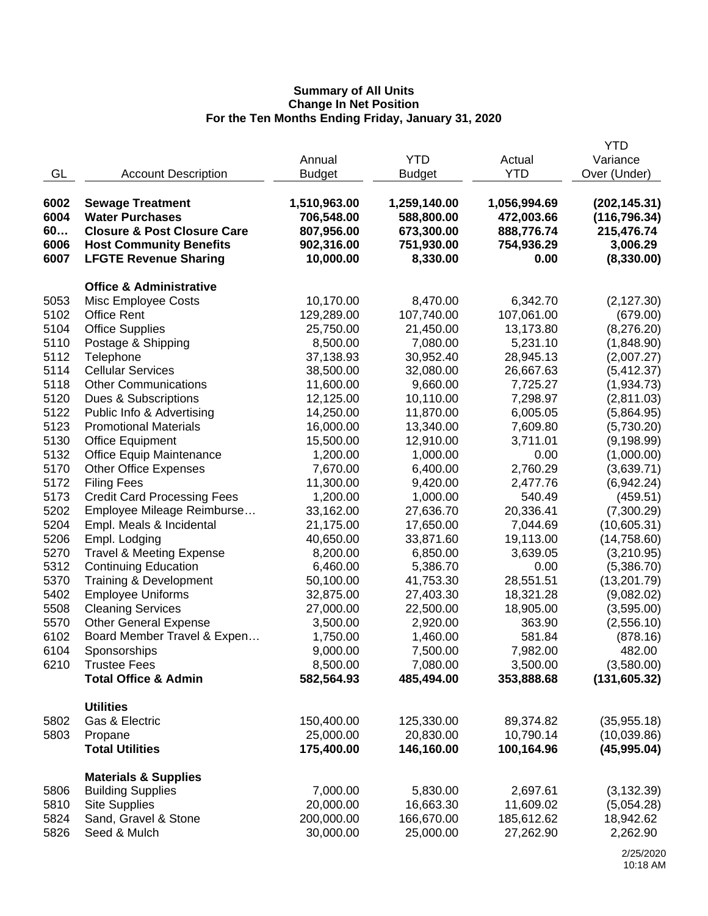|      |                                                  |               |               |              | <b>YTD</b>    |
|------|--------------------------------------------------|---------------|---------------|--------------|---------------|
|      |                                                  | Annual        | <b>YTD</b>    | Actual       | Variance      |
| GL   | <b>Account Description</b>                       | <b>Budget</b> | <b>Budget</b> | <b>YTD</b>   | Over (Under)  |
|      |                                                  |               |               |              |               |
| 6002 | <b>Sewage Treatment</b>                          | 1,510,963.00  | 1,259,140.00  | 1,056,994.69 | (202, 145.31) |
| 6004 | <b>Water Purchases</b>                           | 706,548.00    | 588,800.00    | 472,003.66   | (116, 796.34) |
| 60   | <b>Closure &amp; Post Closure Care</b>           | 807,956.00    | 673,300.00    | 888,776.74   | 215,476.74    |
| 6006 | <b>Host Community Benefits</b>                   | 902,316.00    | 751,930.00    | 754,936.29   | 3,006.29      |
| 6007 |                                                  | 10,000.00     | 8,330.00      | 0.00         |               |
|      | <b>LFGTE Revenue Sharing</b>                     |               |               |              | (8,330.00)    |
|      | <b>Office &amp; Administrative</b>               |               |               |              |               |
| 5053 | Misc Employee Costs                              | 10,170.00     | 8,470.00      | 6,342.70     | (2, 127.30)   |
| 5102 | <b>Office Rent</b>                               | 129,289.00    | 107,740.00    | 107,061.00   | (679.00)      |
| 5104 | <b>Office Supplies</b>                           | 25,750.00     | 21,450.00     | 13,173.80    | (8,276.20)    |
| 5110 | Postage & Shipping                               | 8,500.00      | 7,080.00      | 5,231.10     | (1,848.90)    |
| 5112 | Telephone                                        | 37,138.93     | 30,952.40     | 28,945.13    | (2,007.27)    |
| 5114 | <b>Cellular Services</b>                         | 38,500.00     | 32,080.00     | 26,667.63    | (5,412.37)    |
| 5118 | <b>Other Communications</b>                      | 11,600.00     | 9,660.00      | 7,725.27     | (1,934.73)    |
| 5120 |                                                  |               | 10,110.00     |              | (2,811.03)    |
| 5122 | Dues & Subscriptions                             | 12,125.00     |               | 7,298.97     |               |
|      | Public Info & Advertising                        | 14,250.00     | 11,870.00     | 6,005.05     | (5,864.95)    |
| 5123 | <b>Promotional Materials</b>                     | 16,000.00     | 13,340.00     | 7,609.80     | (5,730.20)    |
| 5130 | <b>Office Equipment</b>                          | 15,500.00     | 12,910.00     | 3,711.01     | (9, 198.99)   |
| 5132 | <b>Office Equip Maintenance</b>                  | 1,200.00      | 1,000.00      | 0.00         | (1,000.00)    |
| 5170 | <b>Other Office Expenses</b>                     | 7,670.00      | 6,400.00      | 2,760.29     | (3,639.71)    |
| 5172 | <b>Filing Fees</b>                               | 11,300.00     | 9,420.00      | 2,477.76     | (6,942.24)    |
| 5173 | <b>Credit Card Processing Fees</b>               | 1,200.00      | 1,000.00      | 540.49       | (459.51)      |
| 5202 | Employee Mileage Reimburse                       | 33,162.00     | 27,636.70     | 20,336.41    | (7,300.29)    |
| 5204 | Empl. Meals & Incidental                         | 21,175.00     | 17,650.00     | 7,044.69     | (10,605.31)   |
| 5206 | Empl. Lodging                                    | 40,650.00     | 33,871.60     | 19,113.00    | (14, 758.60)  |
| 5270 | <b>Travel &amp; Meeting Expense</b>              | 8,200.00      | 6,850.00      | 3,639.05     | (3,210.95)    |
| 5312 | <b>Continuing Education</b>                      | 6,460.00      | 5,386.70      | 0.00         | (5,386.70)    |
| 5370 | Training & Development                           | 50,100.00     | 41,753.30     | 28,551.51    | (13,201.79)   |
| 5402 | <b>Employee Uniforms</b>                         | 32,875.00     | 27,403.30     | 18,321.28    | (9,082.02)    |
| 5508 | <b>Cleaning Services</b>                         | 27,000.00     | 22,500.00     | 18,905.00    | (3,595.00)    |
| 5570 | <b>Other General Expense</b>                     | 3,500.00      | 2,920.00      | 363.90       | (2,556.10)    |
| 6102 | Board Member Travel & Expen                      | 1,750.00      | 1,460.00      | 581.84       | (878.16)      |
| 6104 | Sponsorships                                     | 9,000.00      | 7,500.00      | 7,982.00     | 482.00        |
| 6210 | <b>Trustee Fees</b>                              | 8,500.00      | 7,080.00      | 3,500.00     | (3,580.00)    |
|      | <b>Total Office &amp; Admin</b>                  | 582,564.93    | 485,494.00    | 353,888.68   | (131, 605.32) |
|      |                                                  |               |               |              |               |
|      | <b>Utilities</b>                                 |               |               |              |               |
| 5802 | Gas & Electric                                   | 150,400.00    | 125,330.00    | 89,374.82    | (35, 955.18)  |
| 5803 | Propane                                          | 25,000.00     | 20,830.00     | 10,790.14    | (10,039.86)   |
|      | <b>Total Utilities</b>                           | 175,400.00    | 146,160.00    | 100,164.96   | (45,995.04)   |
|      |                                                  |               |               |              |               |
| 5806 | <b>Materials &amp; Supplies</b>                  | 7,000.00      | 5,830.00      |              |               |
|      | <b>Building Supplies</b><br><b>Site Supplies</b> |               |               | 2,697.61     | (3, 132.39)   |
| 5810 |                                                  | 20,000.00     | 16,663.30     | 11,609.02    | (5,054.28)    |
| 5824 | Sand, Gravel & Stone                             | 200,000.00    | 166,670.00    | 185,612.62   | 18,942.62     |
| 5826 | Seed & Mulch                                     | 30,000.00     | 25,000.00     | 27,262.90    | 2,262.90      |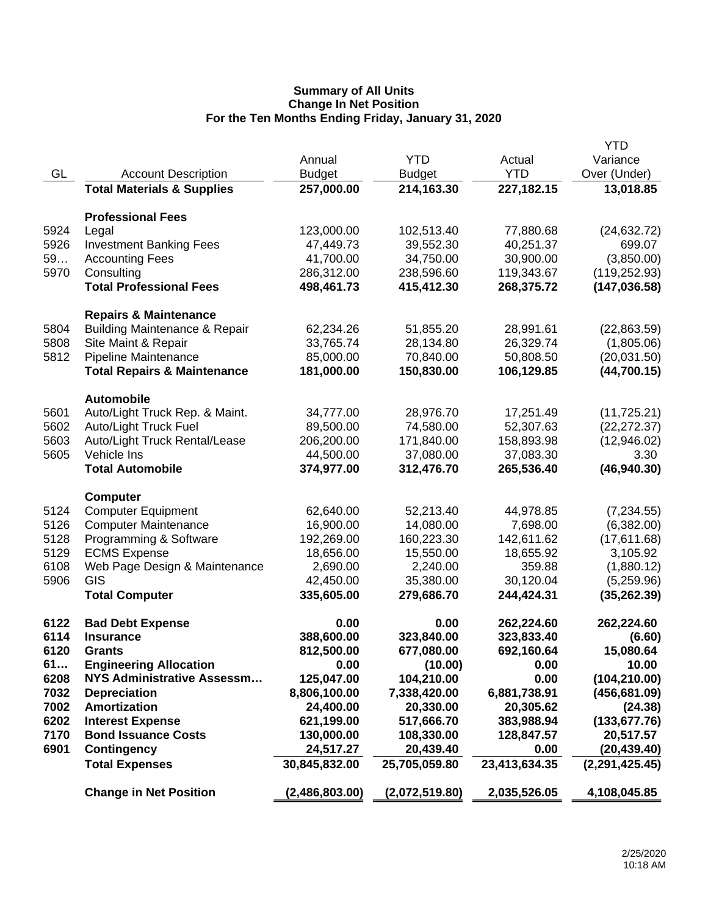|      |                                          |                |                |               | YTD              |
|------|------------------------------------------|----------------|----------------|---------------|------------------|
|      |                                          | Annual         | <b>YTD</b>     | Actual        | Variance         |
| GL   | <b>Account Description</b>               | <b>Budget</b>  | <b>Budget</b>  | <b>YTD</b>    | Over (Under)     |
|      | <b>Total Materials &amp; Supplies</b>    | 257,000.00     | 214,163.30     | 227, 182. 15  | 13,018.85        |
|      | <b>Professional Fees</b>                 |                |                |               |                  |
| 5924 | Legal                                    | 123,000.00     | 102,513.40     | 77,880.68     | (24, 632.72)     |
| 5926 | <b>Investment Banking Fees</b>           | 47,449.73      | 39,552.30      | 40,251.37     | 699.07           |
| 59   | <b>Accounting Fees</b>                   | 41,700.00      | 34,750.00      | 30,900.00     | (3,850.00)       |
| 5970 | Consulting                               | 286,312.00     | 238,596.60     | 119,343.67    | (119, 252.93)    |
|      | <b>Total Professional Fees</b>           | 498,461.73     | 415,412.30     | 268,375.72    | (147, 036.58)    |
|      | <b>Repairs &amp; Maintenance</b>         |                |                |               |                  |
| 5804 | <b>Building Maintenance &amp; Repair</b> | 62,234.26      | 51,855.20      | 28,991.61     | (22,863.59)      |
| 5808 | Site Maint & Repair                      | 33,765.74      | 28,134.80      | 26,329.74     | (1,805.06)       |
| 5812 | Pipeline Maintenance                     | 85,000.00      | 70,840.00      | 50,808.50     | (20,031.50)      |
|      | <b>Total Repairs &amp; Maintenance</b>   | 181,000.00     | 150,830.00     | 106,129.85    | (44,700.15)      |
|      | <b>Automobile</b>                        |                |                |               |                  |
| 5601 | Auto/Light Truck Rep. & Maint.           | 34,777.00      | 28,976.70      | 17,251.49     | (11, 725.21)     |
| 5602 | Auto/Light Truck Fuel                    | 89,500.00      | 74,580.00      | 52,307.63     | (22, 272.37)     |
| 5603 | Auto/Light Truck Rental/Lease            | 206,200.00     | 171,840.00     | 158,893.98    | (12,946.02)      |
| 5605 | Vehicle Ins                              | 44,500.00      | 37,080.00      | 37,083.30     | 3.30             |
|      | <b>Total Automobile</b>                  | 374,977.00     | 312,476.70     | 265,536.40    | (46, 940.30)     |
|      | <b>Computer</b>                          |                |                |               |                  |
| 5124 | <b>Computer Equipment</b>                | 62,640.00      | 52,213.40      | 44,978.85     | (7,234.55)       |
| 5126 | <b>Computer Maintenance</b>              | 16,900.00      | 14,080.00      | 7,698.00      | (6,382.00)       |
| 5128 | Programming & Software                   | 192,269.00     | 160,223.30     | 142,611.62    | (17,611.68)      |
| 5129 | <b>ECMS Expense</b>                      | 18,656.00      | 15,550.00      | 18,655.92     | 3,105.92         |
| 6108 | Web Page Design & Maintenance            | 2,690.00       | 2,240.00       | 359.88        | (1,880.12)       |
| 5906 | GIS                                      | 42,450.00      | 35,380.00      | 30,120.04     | (5,259.96)       |
|      | <b>Total Computer</b>                    | 335,605.00     | 279,686.70     | 244,424.31    | (35, 262.39)     |
| 6122 | <b>Bad Debt Expense</b>                  | 0.00           | 0.00           | 262,224.60    | 262,224.60       |
| 6114 | <b>Insurance</b>                         | 388,600.00     | 323,840.00     | 323,833.40    | (6.60)           |
| 6120 | <b>Grants</b>                            | 812,500.00     | 677,080.00     | 692,160.64    | 15,080.64        |
| 61   | <b>Engineering Allocation</b>            | 0.00           | (10.00)        | 0.00          | 10.00            |
| 6208 | <b>NYS Administrative Assessm</b>        | 125,047.00     | 104,210.00     | 0.00          | (104, 210.00)    |
| 7032 | <b>Depreciation</b>                      | 8,806,100.00   | 7,338,420.00   | 6,881,738.91  | (456, 681.09)    |
| 7002 | <b>Amortization</b>                      | 24,400.00      | 20,330.00      | 20,305.62     | (24.38)          |
| 6202 | <b>Interest Expense</b>                  | 621,199.00     | 517,666.70     | 383,988.94    | (133, 677.76)    |
| 7170 | <b>Bond Issuance Costs</b>               | 130,000.00     | 108,330.00     | 128,847.57    | 20,517.57        |
| 6901 | <b>Contingency</b>                       | 24,517.27      | 20,439.40      | 0.00          | (20, 439.40)     |
|      | <b>Total Expenses</b>                    | 30,845,832.00  | 25,705,059.80  | 23,413,634.35 | (2, 291, 425.45) |
|      | <b>Change in Net Position</b>            | (2,486,803.00) | (2,072,519.80) | 2,035,526.05  | 4,108,045.85     |
|      |                                          |                |                |               |                  |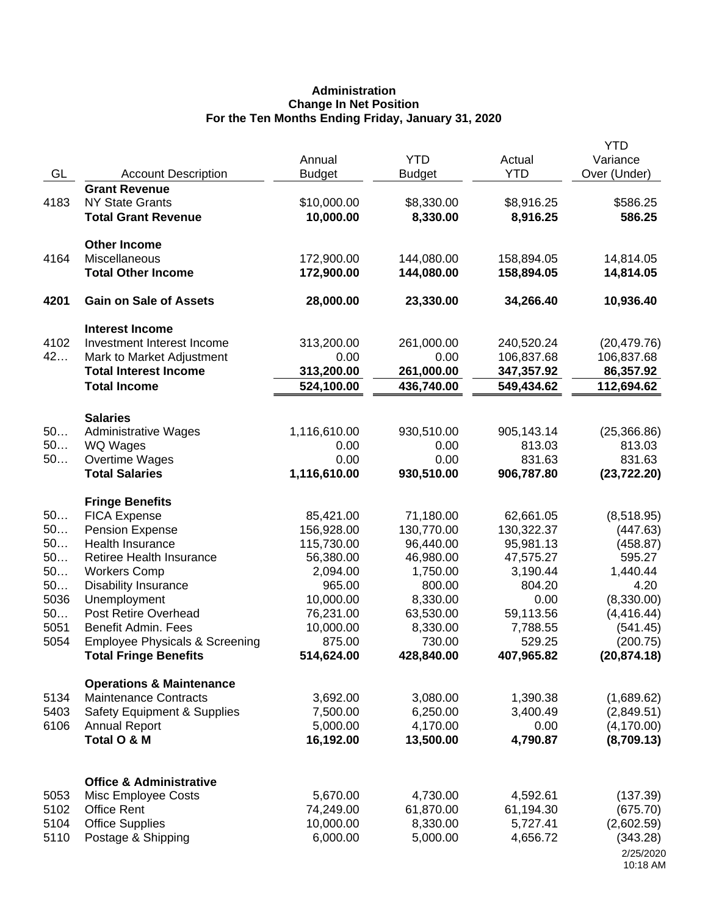# **Administration Change In Net Position For the Ten Months Ending Friday, January 31, 2020**

| GL       | <b>Account Description</b>                  | Annual<br><b>Budget</b> | <b>YTD</b><br><b>Budget</b> | Actual<br><b>YTD</b> | <b>YTD</b><br>Variance<br>Over (Under) |
|----------|---------------------------------------------|-------------------------|-----------------------------|----------------------|----------------------------------------|
|          | <b>Grant Revenue</b>                        |                         |                             |                      |                                        |
| 4183     | <b>NY State Grants</b>                      | \$10,000.00             | \$8,330.00                  | \$8,916.25           | \$586.25                               |
|          | <b>Total Grant Revenue</b>                  | 10,000.00               | 8,330.00                    | 8,916.25             | 586.25                                 |
|          | <b>Other Income</b>                         |                         |                             |                      |                                        |
| 4164     | Miscellaneous                               | 172,900.00              | 144,080.00                  | 158,894.05           | 14,814.05                              |
|          | <b>Total Other Income</b>                   | 172,900.00              | 144,080.00                  | 158,894.05           | 14,814.05                              |
| 4201     | <b>Gain on Sale of Assets</b>               | 28,000.00               | 23,330.00                   | 34,266.40            | 10,936.40                              |
|          | <b>Interest Income</b>                      |                         |                             |                      |                                        |
| 4102     | Investment Interest Income                  | 313,200.00              | 261,000.00                  | 240,520.24           | (20, 479.76)                           |
| 42       | Mark to Market Adjustment                   | 0.00                    | 0.00                        | 106,837.68           | 106,837.68                             |
|          | <b>Total Interest Income</b>                | 313,200.00              | 261,000.00                  | 347,357.92           | 86,357.92                              |
|          | <b>Total Income</b>                         | 524,100.00              | 436,740.00                  | 549,434.62           | 112,694.62                             |
|          | <b>Salaries</b>                             |                         |                             |                      |                                        |
| 50       | <b>Administrative Wages</b>                 | 1,116,610.00            | 930,510.00                  | 905,143.14           | (25, 366.86)                           |
| 50       | WQ Wages                                    | 0.00                    | 0.00                        | 813.03               | 813.03                                 |
| 50       | Overtime Wages                              | 0.00                    | 0.00                        | 831.63               | 831.63                                 |
|          | <b>Total Salaries</b>                       | 1,116,610.00            | 930,510.00                  | 906,787.80           | (23, 722.20)                           |
|          | <b>Fringe Benefits</b>                      |                         |                             |                      |                                        |
| 50       | <b>FICA Expense</b>                         | 85,421.00               | 71,180.00                   | 62,661.05            | (8,518.95)                             |
| 50       | <b>Pension Expense</b>                      | 156,928.00              | 130,770.00                  | 130,322.37           | (447.63)                               |
| 50       | Health Insurance                            | 115,730.00              | 96,440.00                   | 95,981.13            | (458.87)                               |
| 50       | Retiree Health Insurance                    | 56,380.00               | 46,980.00                   | 47,575.27            | 595.27                                 |
| 50<br>50 | <b>Workers Comp</b>                         | 2,094.00<br>965.00      | 1,750.00                    | 3,190.44<br>804.20   | 1,440.44<br>4.20                       |
| 5036     | <b>Disability Insurance</b><br>Unemployment | 10,000.00               | 800.00<br>8,330.00          | 0.00                 | (8,330.00)                             |
| 50       | Post Retire Overhead                        | 76,231.00               | 63,530.00                   | 59,113.56            | (4, 416.44)                            |
| 5051     | Benefit Admin. Fees                         | 10,000.00               | 8,330.00                    | 7,788.55             | (541.45)                               |
| 5054     | <b>Employee Physicals &amp; Screening</b>   | 875.00                  | 730.00                      | 529.25               | (200.75)                               |
|          | <b>Total Fringe Benefits</b>                | 514,624.00              | 428,840.00                  | 407,965.82           | (20, 874.18)                           |
|          | <b>Operations &amp; Maintenance</b>         |                         |                             |                      |                                        |
| 5134     | <b>Maintenance Contracts</b>                | 3,692.00                | 3,080.00                    | 1,390.38             | (1,689.62)                             |
| 5403     | <b>Safety Equipment &amp; Supplies</b>      | 7,500.00                | 6,250.00                    | 3,400.49             | (2,849.51)                             |
| 6106     | <b>Annual Report</b>                        | 5,000.00                | 4,170.00                    | 0.00                 | (4, 170.00)                            |
|          | Total O & M                                 | 16,192.00               | 13,500.00                   | 4,790.87             | (8,709.13)                             |
|          |                                             |                         |                             |                      |                                        |
|          | <b>Office &amp; Administrative</b>          |                         |                             |                      |                                        |
| 5053     | Misc Employee Costs                         | 5,670.00                | 4,730.00                    | 4,592.61             | (137.39)                               |
| 5102     | <b>Office Rent</b>                          | 74,249.00               | 61,870.00                   | 61,194.30            | (675.70)                               |
| 5104     | <b>Office Supplies</b>                      | 10,000.00               | 8,330.00                    | 5,727.41             | (2,602.59)                             |
| 5110     | Postage & Shipping                          | 6,000.00                | 5,000.00                    | 4,656.72             | (343.28)                               |
|          |                                             |                         |                             |                      | 2/25/2020<br>10:18 AM                  |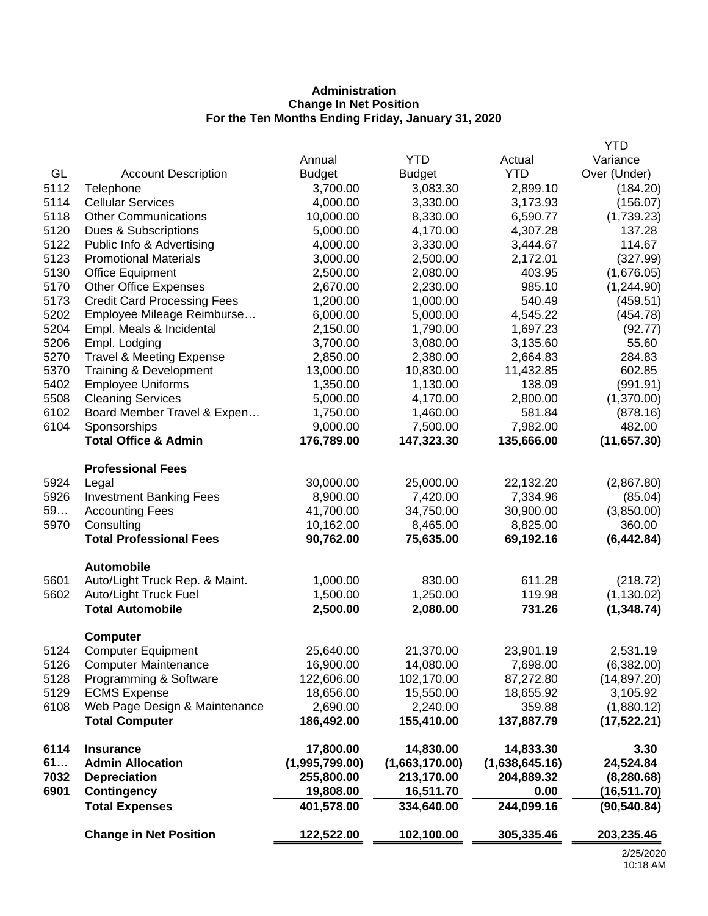# **Administration Change In Net Position For the Ten Months Ending Friday, January 31, 2020**

|      |                                     |                |                |                | <b>YTD</b>   |
|------|-------------------------------------|----------------|----------------|----------------|--------------|
|      |                                     | Annual         | <b>YTD</b>     | Actual         | Variance     |
| GL   | <b>Account Description</b>          | <b>Budget</b>  | <b>Budget</b>  | <b>YTD</b>     | Over (Under) |
| 5112 | Telephone                           | 3,700.00       | 3,083.30       | 2,899.10       | (184.20)     |
| 5114 | <b>Cellular Services</b>            | 4,000.00       | 3,330.00       | 3,173.93       | (156.07)     |
| 5118 | <b>Other Communications</b>         | 10,000.00      | 8,330.00       | 6,590.77       | (1,739.23)   |
| 5120 | Dues & Subscriptions                | 5,000.00       | 4,170.00       | 4,307.28       | 137.28       |
| 5122 | Public Info & Advertising           | 4,000.00       | 3,330.00       | 3,444.67       | 114.67       |
| 5123 | <b>Promotional Materials</b>        | 3,000.00       | 2,500.00       | 2,172.01       | (327.99)     |
| 5130 | <b>Office Equipment</b>             | 2,500.00       | 2,080.00       | 403.95         | (1,676.05)   |
| 5170 | <b>Other Office Expenses</b>        | 2,670.00       | 2,230.00       | 985.10         | (1,244.90)   |
| 5173 | <b>Credit Card Processing Fees</b>  | 1,200.00       | 1,000.00       | 540.49         | (459.51)     |
| 5202 | Employee Mileage Reimburse          | 6,000.00       | 5,000.00       | 4,545.22       | (454.78)     |
| 5204 | Empl. Meals & Incidental            | 2,150.00       | 1,790.00       | 1,697.23       | (92.77)      |
| 5206 | Empl. Lodging                       | 3,700.00       | 3,080.00       | 3,135.60       | 55.60        |
| 5270 | <b>Travel &amp; Meeting Expense</b> | 2,850.00       | 2,380.00       | 2,664.83       | 284.83       |
| 5370 | Training & Development              | 13,000.00      | 10,830.00      | 11,432.85      | 602.85       |
| 5402 | <b>Employee Uniforms</b>            | 1,350.00       | 1,130.00       | 138.09         | (991.91)     |
| 5508 | <b>Cleaning Services</b>            | 5,000.00       | 4,170.00       | 2,800.00       | (1,370.00)   |
| 6102 | Board Member Travel & Expen         | 1,750.00       | 1,460.00       | 581.84         | (878.16)     |
| 6104 | Sponsorships                        | 9,000.00       | 7,500.00       | 7,982.00       | 482.00       |
|      | <b>Total Office &amp; Admin</b>     | 176,789.00     | 147,323.30     | 135,666.00     | (11, 657.30) |
|      | <b>Professional Fees</b>            |                |                |                |              |
| 5924 | Legal                               | 30,000.00      | 25,000.00      | 22,132.20      | (2,867.80)   |
| 5926 | <b>Investment Banking Fees</b>      | 8,900.00       | 7,420.00       | 7,334.96       | (85.04)      |
| 59   | <b>Accounting Fees</b>              | 41,700.00      | 34,750.00      | 30,900.00      | (3,850.00)   |
| 5970 | Consulting                          | 10,162.00      | 8,465.00       | 8,825.00       | 360.00       |
|      | <b>Total Professional Fees</b>      | 90,762.00      | 75,635.00      | 69,192.16      | (6, 442.84)  |
|      | <b>Automobile</b>                   |                |                |                |              |
| 5601 | Auto/Light Truck Rep. & Maint.      | 1,000.00       | 830.00         | 611.28         | (218.72)     |
| 5602 | Auto/Light Truck Fuel               | 1,500.00       | 1,250.00       | 119.98         | (1, 130.02)  |
|      | <b>Total Automobile</b>             | 2,500.00       | 2,080.00       | 731.26         | (1, 348.74)  |
|      | <b>Computer</b>                     |                |                |                |              |
| 5124 | <b>Computer Equipment</b>           | 25,640.00      | 21,370.00      | 23,901.19      | 2,531.19     |
| 5126 | <b>Computer Maintenance</b>         | 16,900.00      | 14,080.00      | 7,698.00       | (6,382.00)   |
| 5128 | Programming & Software              | 122,606.00     | 102,170.00     | 87,272.80      | (14, 897.20) |
| 5129 | <b>ECMS Expense</b>                 | 18,656.00      | 15,550.00      | 18,655.92      | 3,105.92     |
| 6108 | Web Page Design & Maintenance       | 2,690.00       | 2,240.00       | 359.88         | (1,880.12)   |
|      | <b>Total Computer</b>               | 186,492.00     | 155,410.00     | 137,887.79     | (17, 522.21) |
| 6114 | <b>Insurance</b>                    | 17,800.00      | 14,830.00      | 14,833.30      | 3.30         |
| 61   | <b>Admin Allocation</b>             | (1,995,799.00) | (1,663,170.00) | (1,638,645.16) | 24,524.84    |
| 7032 | <b>Depreciation</b>                 | 255,800.00     | 213,170.00     | 204,889.32     | (8, 280.68)  |
| 6901 | <b>Contingency</b>                  | 19,808.00      | 16,511.70      | 0.00           | (16,511.70)  |
|      | <b>Total Expenses</b>               | 401,578.00     | 334,640.00     | 244,099.16     | (90, 540.84) |
|      | <b>Change in Net Position</b>       | 122,522.00     | 102,100.00     | 305,335.46     | 203,235.46   |
|      |                                     |                |                |                | O/2F/200     |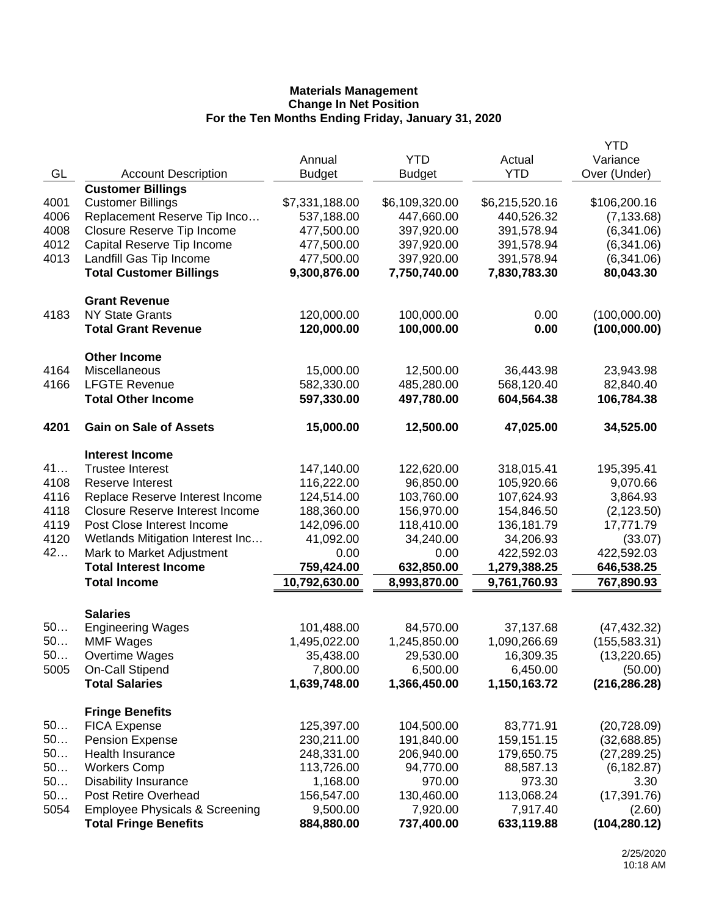|      |                                           |                |                |                | YTD           |
|------|-------------------------------------------|----------------|----------------|----------------|---------------|
|      |                                           | Annual         | <b>YTD</b>     | Actual         | Variance      |
| GL   | <b>Account Description</b>                | <b>Budget</b>  | <b>Budget</b>  | <b>YTD</b>     | Over (Under)  |
|      | <b>Customer Billings</b>                  |                |                |                |               |
| 4001 | <b>Customer Billings</b>                  | \$7,331,188.00 | \$6,109,320.00 | \$6,215,520.16 | \$106,200.16  |
| 4006 | Replacement Reserve Tip Inco              | 537,188.00     | 447,660.00     | 440,526.32     | (7, 133.68)   |
| 4008 | Closure Reserve Tip Income                | 477,500.00     | 397,920.00     | 391,578.94     | (6,341.06)    |
| 4012 | Capital Reserve Tip Income                | 477,500.00     | 397,920.00     | 391,578.94     | (6,341.06)    |
| 4013 | Landfill Gas Tip Income                   | 477,500.00     | 397,920.00     | 391,578.94     | (6,341.06)    |
|      | <b>Total Customer Billings</b>            | 9,300,876.00   | 7,750,740.00   | 7,830,783.30   | 80,043.30     |
|      | <b>Grant Revenue</b>                      |                |                |                |               |
| 4183 | <b>NY State Grants</b>                    | 120,000.00     | 100,000.00     | 0.00           | (100,000.00)  |
|      | <b>Total Grant Revenue</b>                | 120,000.00     | 100,000.00     | 0.00           | (100,000.00)  |
|      | <b>Other Income</b>                       |                |                |                |               |
| 4164 | Miscellaneous                             | 15,000.00      | 12,500.00      | 36,443.98      | 23,943.98     |
| 4166 | <b>LFGTE Revenue</b>                      | 582,330.00     | 485,280.00     | 568,120.40     | 82,840.40     |
|      | <b>Total Other Income</b>                 | 597,330.00     | 497,780.00     | 604,564.38     | 106,784.38    |
| 4201 | <b>Gain on Sale of Assets</b>             | 15,000.00      | 12,500.00      | 47,025.00      | 34,525.00     |
|      | <b>Interest Income</b>                    |                |                |                |               |
| 41   | <b>Trustee Interest</b>                   | 147,140.00     | 122,620.00     | 318,015.41     | 195,395.41    |
| 4108 | Reserve Interest                          | 116,222.00     | 96,850.00      | 105,920.66     | 9,070.66      |
| 4116 | Replace Reserve Interest Income           | 124,514.00     | 103,760.00     | 107,624.93     | 3,864.93      |
| 4118 | <b>Closure Reserve Interest Income</b>    | 188,360.00     | 156,970.00     | 154,846.50     | (2, 123.50)   |
| 4119 | Post Close Interest Income                | 142,096.00     | 118,410.00     | 136,181.79     | 17,771.79     |
| 4120 | Wetlands Mitigation Interest Inc          | 41,092.00      | 34,240.00      | 34,206.93      | (33.07)       |
| 42   | Mark to Market Adjustment                 | 0.00           | 0.00           | 422,592.03     | 422,592.03    |
|      | <b>Total Interest Income</b>              | 759,424.00     | 632,850.00     | 1,279,388.25   | 646,538.25    |
|      | <b>Total Income</b>                       | 10,792,630.00  | 8,993,870.00   | 9,761,760.93   | 767,890.93    |
|      | <b>Salaries</b>                           |                |                |                |               |
| 50   | <b>Engineering Wages</b>                  | 101,488.00     | 84,570.00      | 37,137.68      | (47, 432.32)  |
| 50   | <b>MMF Wages</b>                          | 1,495,022.00   | 1,245,850.00   | 1,090,266.69   | (155, 583.31) |
| 50   | Overtime Wages                            | 35,438.00      | 29,530.00      | 16,309.35      | (13, 220.65)  |
| 5005 | On-Call Stipend                           | 7,800.00       | 6,500.00       | 6,450.00       | (50.00)       |
|      | <b>Total Salaries</b>                     | 1,639,748.00   | 1,366,450.00   | 1,150,163.72   | (216, 286.28) |
|      | <b>Fringe Benefits</b>                    |                |                |                |               |
| 50   | <b>FICA Expense</b>                       | 125,397.00     | 104,500.00     | 83,771.91      | (20, 728.09)  |
| 50   | <b>Pension Expense</b>                    | 230,211.00     | 191,840.00     | 159,151.15     | (32,688.85)   |
| 50   | Health Insurance                          | 248,331.00     | 206,940.00     | 179,650.75     | (27, 289.25)  |
| 50   | <b>Workers Comp</b>                       | 113,726.00     | 94,770.00      | 88,587.13      | (6, 182.87)   |
| 50   | <b>Disability Insurance</b>               | 1,168.00       | 970.00         | 973.30         | 3.30          |
| 50   | Post Retire Overhead                      | 156,547.00     | 130,460.00     | 113,068.24     | (17, 391.76)  |
| 5054 | <b>Employee Physicals &amp; Screening</b> | 9,500.00       | 7,920.00       | 7,917.40       | (2.60)        |
|      | <b>Total Fringe Benefits</b>              | 884,880.00     | 737,400.00     | 633,119.88     | (104, 280.12) |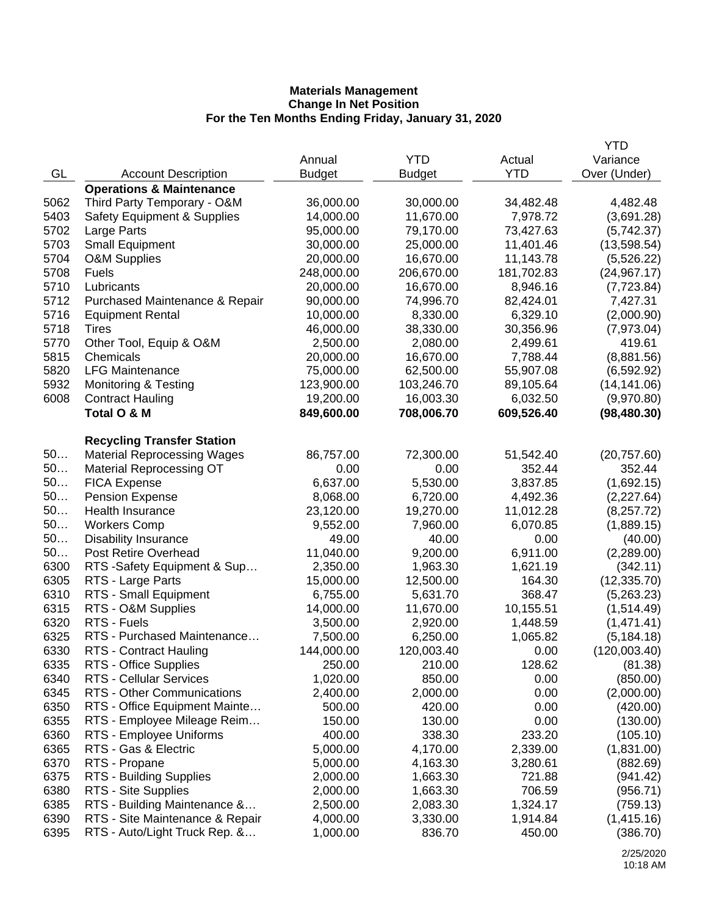|      |                                        |               |               |            | YTD          |
|------|----------------------------------------|---------------|---------------|------------|--------------|
|      |                                        | Annual        | <b>YTD</b>    | Actual     | Variance     |
| GL   | <b>Account Description</b>             | <b>Budget</b> | <b>Budget</b> | <b>YTD</b> | Over (Under) |
|      | <b>Operations &amp; Maintenance</b>    |               |               |            |              |
| 5062 | Third Party Temporary - O&M            | 36,000.00     | 30,000.00     | 34,482.48  | 4,482.48     |
| 5403 | <b>Safety Equipment &amp; Supplies</b> | 14,000.00     | 11,670.00     | 7,978.72   | (3,691.28)   |
| 5702 | Large Parts                            | 95,000.00     | 79,170.00     | 73,427.63  | (5,742.37)   |
| 5703 | <b>Small Equipment</b>                 | 30,000.00     | 25,000.00     | 11,401.46  | (13,598.54)  |
| 5704 | O&M Supplies                           | 20,000.00     | 16,670.00     | 11,143.78  | (5,526.22)   |
| 5708 | <b>Fuels</b>                           | 248,000.00    | 206,670.00    | 181,702.83 | (24, 967.17) |
| 5710 | Lubricants                             | 20,000.00     | 16,670.00     | 8,946.16   | (7,723.84)   |
| 5712 | Purchased Maintenance & Repair         | 90,000.00     | 74,996.70     | 82,424.01  | 7,427.31     |
| 5716 | <b>Equipment Rental</b>                | 10,000.00     | 8,330.00      | 6,329.10   | (2,000.90)   |
| 5718 | <b>Tires</b>                           | 46,000.00     | 38,330.00     | 30,356.96  | (7,973.04)   |
| 5770 | Other Tool, Equip & O&M                | 2,500.00      | 2,080.00      | 2,499.61   | 419.61       |
| 5815 | Chemicals                              | 20,000.00     | 16,670.00     | 7,788.44   | (8,881.56)   |
| 5820 | <b>LFG Maintenance</b>                 | 75,000.00     | 62,500.00     | 55,907.08  | (6, 592.92)  |
| 5932 | <b>Monitoring &amp; Testing</b>        | 123,900.00    | 103,246.70    | 89,105.64  | (14, 141.06) |
| 6008 | <b>Contract Hauling</b>                | 19,200.00     | 16,003.30     | 6,032.50   | (9,970.80)   |
|      | Total O & M                            | 849,600.00    | 708,006.70    | 609,526.40 | (98, 480.30) |
|      | <b>Recycling Transfer Station</b>      |               |               |            |              |
| 50   | <b>Material Reprocessing Wages</b>     | 86,757.00     | 72,300.00     | 51,542.40  | (20, 757.60) |
| 50   | <b>Material Reprocessing OT</b>        | 0.00          | 0.00          | 352.44     | 352.44       |
| 50   | <b>FICA Expense</b>                    | 6,637.00      | 5,530.00      | 3,837.85   | (1,692.15)   |
| 50   | <b>Pension Expense</b>                 | 8,068.00      | 6,720.00      | 4,492.36   | (2,227.64)   |
| 50   | Health Insurance                       | 23,120.00     | 19,270.00     | 11,012.28  | (8,257.72)   |
| 50   | <b>Workers Comp</b>                    | 9,552.00      | 7,960.00      | 6,070.85   | (1,889.15)   |
| 50   | <b>Disability Insurance</b>            | 49.00         | 40.00         | 0.00       | (40.00)      |
| 50   | Post Retire Overhead                   | 11,040.00     | 9,200.00      | 6,911.00   | (2,289.00)   |
| 6300 | RTS -Safety Equipment & Sup            | 2,350.00      | 1,963.30      | 1,621.19   | (342.11)     |
| 6305 | RTS - Large Parts                      | 15,000.00     | 12,500.00     | 164.30     | (12, 335.70) |
| 6310 | RTS - Small Equipment                  | 6,755.00      | 5,631.70      | 368.47     | (5,263.23)   |
| 6315 | RTS - O&M Supplies                     | 14,000.00     | 11,670.00     | 10,155.51  | (1,514.49)   |
| 6320 | RTS - Fuels                            | 3,500.00      | 2,920.00      | 1,448.59   | (1,471.41)   |
| 6325 | RTS - Purchased Maintenance            | 7,500.00      | 6,250.00      | 1,065.82   | (5, 184.18)  |
| 6330 | RTS - Contract Hauling                 | 144,000.00    | 120,003.40    | 0.00       | (120,003.40) |
| 6335 | RTS - Office Supplies                  | 250.00        | 210.00        | 128.62     | (81.38)      |
| 6340 | RTS - Cellular Services                | 1,020.00      | 850.00        | 0.00       | (850.00)     |
| 6345 | RTS - Other Communications             | 2,400.00      | 2,000.00      | 0.00       | (2,000.00)   |
| 6350 | RTS - Office Equipment Mainte          | 500.00        | 420.00        | 0.00       | (420.00)     |
| 6355 | RTS - Employee Mileage Reim            | 150.00        | 130.00        | 0.00       | (130.00)     |
| 6360 | RTS - Employee Uniforms                | 400.00        | 338.30        | 233.20     | (105.10)     |
| 6365 | RTS - Gas & Electric                   | 5,000.00      | 4,170.00      | 2,339.00   | (1,831.00)   |
| 6370 | RTS - Propane                          | 5,000.00      | 4,163.30      | 3,280.61   | (882.69)     |
| 6375 | RTS - Building Supplies                | 2,000.00      | 1,663.30      | 721.88     | (941.42)     |
| 6380 | RTS - Site Supplies                    | 2,000.00      | 1,663.30      | 706.59     | (956.71)     |
| 6385 | RTS - Building Maintenance &           | 2,500.00      | 2,083.30      | 1,324.17   | (759.13)     |
| 6390 | RTS - Site Maintenance & Repair        | 4,000.00      | 3,330.00      | 1,914.84   | (1,415.16)   |
| 6395 | RTS - Auto/Light Truck Rep. &          | 1,000.00      | 836.70        | 450.00     | (386.70)     |
|      |                                        |               |               |            |              |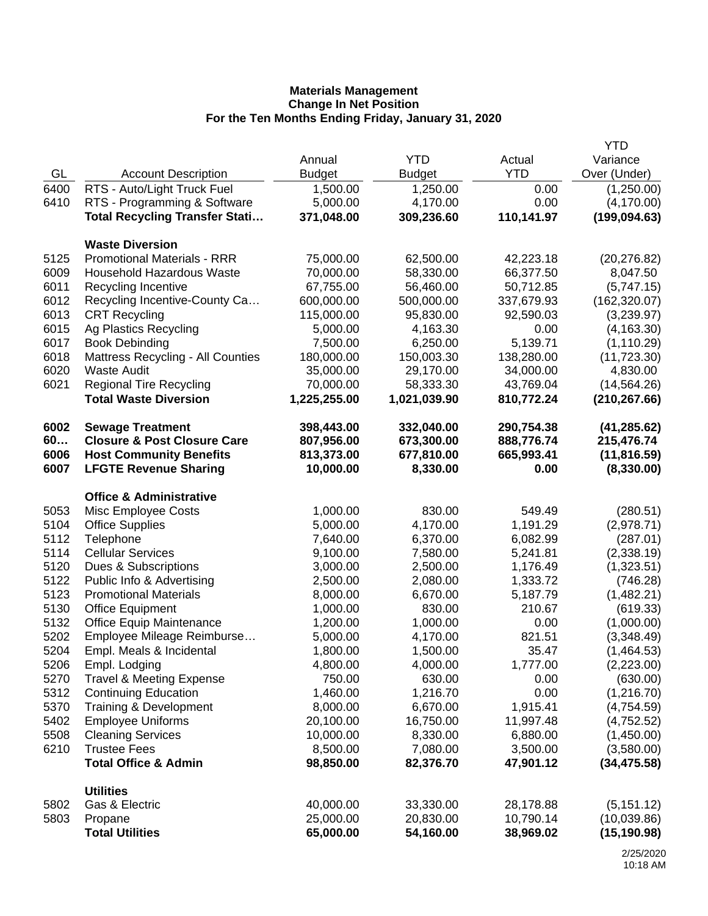|      |                                          |               |               |            | <b>YTD</b>    |
|------|------------------------------------------|---------------|---------------|------------|---------------|
|      |                                          | Annual        | <b>YTD</b>    | Actual     | Variance      |
| GL   | <b>Account Description</b>               | <b>Budget</b> | <b>Budget</b> | <b>YTD</b> | Over (Under)  |
| 6400 | RTS - Auto/Light Truck Fuel              | 1,500.00      | 1,250.00      | 0.00       | (1,250.00)    |
| 6410 | RTS - Programming & Software             | 5,000.00      | 4,170.00      | 0.00       | (4, 170.00)   |
|      | <b>Total Recycling Transfer Stati</b>    | 371,048.00    | 309,236.60    | 110,141.97 | (199, 094.63) |
|      | <b>Waste Diversion</b>                   |               |               |            |               |
| 5125 | <b>Promotional Materials - RRR</b>       | 75,000.00     | 62,500.00     | 42,223.18  | (20, 276.82)  |
| 6009 | <b>Household Hazardous Waste</b>         | 70,000.00     | 58,330.00     | 66,377.50  | 8,047.50      |
| 6011 | Recycling Incentive                      | 67,755.00     | 56,460.00     | 50,712.85  | (5,747.15)    |
| 6012 | Recycling Incentive-County Ca            | 600,000.00    | 500,000.00    | 337,679.93 | (162, 320.07) |
| 6013 | <b>CRT Recycling</b>                     | 115,000.00    | 95,830.00     | 92,590.03  | (3,239.97)    |
| 6015 | Ag Plastics Recycling                    | 5,000.00      | 4,163.30      | 0.00       | (4, 163.30)   |
| 6017 | <b>Book Debinding</b>                    | 7,500.00      | 6,250.00      | 5,139.71   | (1, 110.29)   |
| 6018 | <b>Mattress Recycling - All Counties</b> | 180,000.00    | 150,003.30    | 138,280.00 | (11, 723.30)  |
| 6020 | <b>Waste Audit</b>                       | 35,000.00     | 29,170.00     | 34,000.00  | 4,830.00      |
| 6021 | <b>Regional Tire Recycling</b>           | 70,000.00     | 58,333.30     | 43,769.04  | (14, 564.26)  |
|      | <b>Total Waste Diversion</b>             | 1,225,255.00  | 1,021,039.90  | 810,772.24 | (210, 267.66) |
| 6002 | <b>Sewage Treatment</b>                  | 398,443.00    | 332,040.00    | 290,754.38 | (41, 285.62)  |
| 60   | <b>Closure &amp; Post Closure Care</b>   | 807,956.00    | 673,300.00    | 888,776.74 | 215,476.74    |
| 6006 | <b>Host Community Benefits</b>           | 813,373.00    | 677,810.00    | 665,993.41 | (11, 816.59)  |
| 6007 | <b>LFGTE Revenue Sharing</b>             | 10,000.00     | 8,330.00      | 0.00       | (8,330.00)    |
|      | <b>Office &amp; Administrative</b>       |               |               |            |               |
| 5053 | Misc Employee Costs                      | 1,000.00      | 830.00        | 549.49     | (280.51)      |
| 5104 | <b>Office Supplies</b>                   | 5,000.00      | 4,170.00      | 1,191.29   | (2,978.71)    |
| 5112 | Telephone                                | 7,640.00      | 6,370.00      | 6,082.99   | (287.01)      |
| 5114 | <b>Cellular Services</b>                 | 9,100.00      | 7,580.00      | 5,241.81   | (2,338.19)    |
| 5120 | Dues & Subscriptions                     | 3,000.00      | 2,500.00      | 1,176.49   | (1,323.51)    |
| 5122 | Public Info & Advertising                | 2,500.00      | 2,080.00      | 1,333.72   | (746.28)      |
| 5123 | <b>Promotional Materials</b>             | 8,000.00      | 6,670.00      | 5,187.79   | (1,482.21)    |
| 5130 | <b>Office Equipment</b>                  | 1,000.00      | 830.00        | 210.67     | (619.33)      |
| 5132 | <b>Office Equip Maintenance</b>          | 1,200.00      | 1,000.00      | 0.00       | (1,000.00)    |
| 5202 | Employee Mileage Reimburse               | 5,000.00      | 4,170.00      | 821.51     | (3,348.49)    |
| 5204 | Empl. Meals & Incidental                 | 1,800.00      | 1,500.00      | 35.47      | (1,464.53)    |
| 5206 | Empl. Lodging                            | 4,800.00      | 4,000.00      | 1,777.00   | (2,223.00)    |
| 5270 | <b>Travel &amp; Meeting Expense</b>      | 750.00        | 630.00        | 0.00       | (630.00)      |
| 5312 | <b>Continuing Education</b>              | 1,460.00      | 1,216.70      | 0.00       | (1,216.70)    |
| 5370 | Training & Development                   | 8,000.00      | 6,670.00      | 1,915.41   | (4,754.59)    |
| 5402 | <b>Employee Uniforms</b>                 | 20,100.00     | 16,750.00     | 11,997.48  | (4,752.52)    |
| 5508 | <b>Cleaning Services</b>                 | 10,000.00     | 8,330.00      | 6,880.00   | (1,450.00)    |
| 6210 | <b>Trustee Fees</b>                      | 8,500.00      | 7,080.00      | 3,500.00   | (3,580.00)    |
|      | <b>Total Office &amp; Admin</b>          | 98,850.00     | 82,376.70     | 47,901.12  | (34, 475.58)  |
|      | <b>Utilities</b>                         |               |               |            |               |
| 5802 | Gas & Electric                           | 40,000.00     | 33,330.00     | 28,178.88  | (5, 151.12)   |
| 5803 | Propane                                  | 25,000.00     | 20,830.00     | 10,790.14  | (10,039.86)   |
|      | <b>Total Utilities</b>                   | 65,000.00     | 54,160.00     | 38,969.02  | (15, 190.98)  |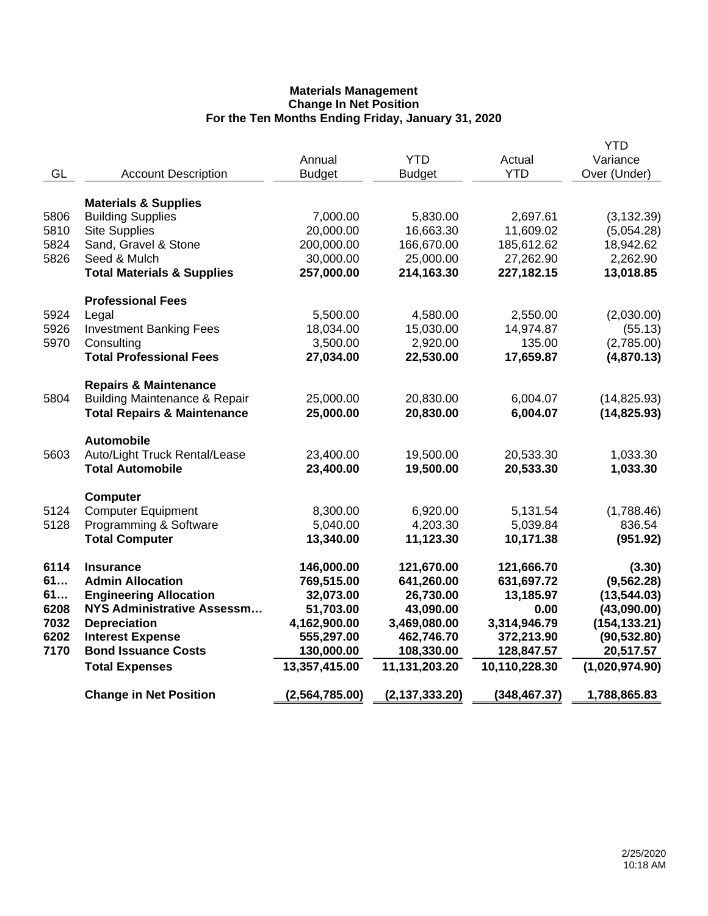|      |                                          |                |                  |               | YTD            |
|------|------------------------------------------|----------------|------------------|---------------|----------------|
|      |                                          | Annual         | <b>YTD</b>       | Actual        | Variance       |
| GL   | <b>Account Description</b>               | <b>Budget</b>  | <b>Budget</b>    | <b>YTD</b>    | Over (Under)   |
|      | <b>Materials &amp; Supplies</b>          |                |                  |               |                |
| 5806 | <b>Building Supplies</b>                 | 7,000.00       | 5,830.00         | 2,697.61      | (3, 132.39)    |
| 5810 | <b>Site Supplies</b>                     | 20,000.00      | 16,663.30        | 11,609.02     | (5,054.28)     |
| 5824 | Sand, Gravel & Stone                     | 200,000.00     | 166,670.00       | 185,612.62    | 18,942.62      |
| 5826 | Seed & Mulch                             | 30,000.00      | 25,000.00        | 27,262.90     | 2,262.90       |
|      | <b>Total Materials &amp; Supplies</b>    | 257,000.00     | 214,163.30       | 227,182.15    | 13,018.85      |
|      |                                          |                |                  |               |                |
|      | <b>Professional Fees</b>                 |                |                  |               |                |
| 5924 | Legal                                    | 5,500.00       | 4,580.00         | 2,550.00      | (2,030.00)     |
| 5926 | <b>Investment Banking Fees</b>           | 18,034.00      | 15,030.00        | 14,974.87     | (55.13)        |
| 5970 | Consulting                               | 3,500.00       | 2,920.00         | 135.00        | (2,785.00)     |
|      | <b>Total Professional Fees</b>           | 27,034.00      | 22,530.00        | 17,659.87     | (4,870.13)     |
|      | <b>Repairs &amp; Maintenance</b>         |                |                  |               |                |
| 5804 | <b>Building Maintenance &amp; Repair</b> | 25,000.00      | 20,830.00        | 6,004.07      | (14, 825.93)   |
|      | <b>Total Repairs &amp; Maintenance</b>   | 25,000.00      | 20,830.00        | 6,004.07      | (14, 825.93)   |
|      |                                          |                |                  |               |                |
|      | <b>Automobile</b>                        |                |                  |               |                |
| 5603 | Auto/Light Truck Rental/Lease            | 23,400.00      | 19,500.00        | 20,533.30     | 1,033.30       |
|      | <b>Total Automobile</b>                  | 23,400.00      | 19,500.00        | 20,533.30     | 1,033.30       |
|      | <b>Computer</b>                          |                |                  |               |                |
| 5124 | <b>Computer Equipment</b>                | 8,300.00       | 6,920.00         | 5,131.54      | (1,788.46)     |
| 5128 | Programming & Software                   | 5,040.00       | 4,203.30         | 5,039.84      | 836.54         |
|      | <b>Total Computer</b>                    | 13,340.00      | 11,123.30        | 10,171.38     | (951.92)       |
|      |                                          |                |                  |               |                |
| 6114 | <b>Insurance</b>                         | 146,000.00     | 121,670.00       | 121,666.70    | (3.30)         |
| 61   | <b>Admin Allocation</b>                  | 769,515.00     | 641,260.00       | 631,697.72    | (9, 562.28)    |
| 61   | <b>Engineering Allocation</b>            | 32,073.00      | 26,730.00        | 13,185.97     | (13, 544.03)   |
| 6208 | <b>NYS Administrative Assessm</b>        | 51,703.00      | 43,090.00        | 0.00          | (43,090.00)    |
| 7032 | <b>Depreciation</b>                      | 4,162,900.00   | 3,469,080.00     | 3,314,946.79  | (154, 133.21)  |
| 6202 | <b>Interest Expense</b>                  | 555,297.00     | 462,746.70       | 372,213.90    | (90, 532.80)   |
| 7170 | <b>Bond Issuance Costs</b>               | 130,000.00     | 108,330.00       | 128,847.57    | 20,517.57      |
|      | <b>Total Expenses</b>                    | 13,357,415.00  | 11,131,203.20    | 10,110,228.30 | (1,020,974.90) |
|      | <b>Change in Net Position</b>            | (2,564,785.00) | (2, 137, 333.20) | (348, 467.37) | 1,788,865.83   |
|      |                                          |                |                  |               |                |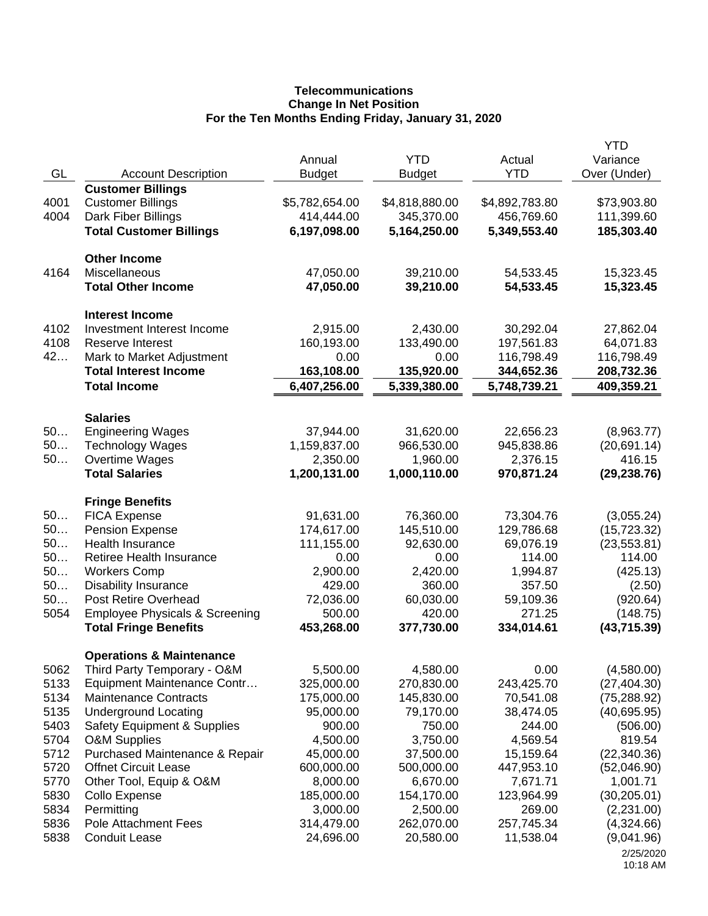## **Telecommunications Change In Net Position For the Ten Months Ending Friday, January 31, 2020**

|      |                                           |                |                |                | <b>YTD</b>   |
|------|-------------------------------------------|----------------|----------------|----------------|--------------|
|      |                                           | Annual         | <b>YTD</b>     | Actual         | Variance     |
| GL   | <b>Account Description</b>                | <b>Budget</b>  | <b>Budget</b>  | <b>YTD</b>     | Over (Under) |
|      | <b>Customer Billings</b>                  |                |                |                |              |
| 4001 | <b>Customer Billings</b>                  | \$5,782,654.00 | \$4,818,880.00 | \$4,892,783.80 | \$73,903.80  |
| 4004 | Dark Fiber Billings                       | 414,444.00     | 345,370.00     | 456,769.60     | 111,399.60   |
|      | <b>Total Customer Billings</b>            | 6,197,098.00   | 5,164,250.00   | 5,349,553.40   | 185,303.40   |
|      |                                           |                |                |                |              |
|      | <b>Other Income</b>                       |                |                |                |              |
| 4164 | Miscellaneous                             | 47,050.00      | 39,210.00      | 54,533.45      | 15,323.45    |
|      | <b>Total Other Income</b>                 | 47,050.00      | 39,210.00      | 54,533.45      | 15,323.45    |
|      |                                           |                |                |                |              |
|      | <b>Interest Income</b>                    |                |                |                |              |
| 4102 | Investment Interest Income                | 2,915.00       | 2,430.00       | 30,292.04      | 27,862.04    |
| 4108 | <b>Reserve Interest</b>                   | 160,193.00     | 133,490.00     | 197,561.83     | 64,071.83    |
| 42   | Mark to Market Adjustment                 | 0.00           | 0.00           | 116,798.49     | 116,798.49   |
|      | <b>Total Interest Income</b>              | 163,108.00     | 135,920.00     | 344,652.36     | 208,732.36   |
|      | <b>Total Income</b>                       | 6,407,256.00   | 5,339,380.00   | 5,748,739.21   | 409,359.21   |
|      |                                           |                |                |                |              |
|      | <b>Salaries</b>                           |                |                |                |              |
| 50   | <b>Engineering Wages</b>                  | 37,944.00      | 31,620.00      | 22,656.23      | (8,963.77)   |
| 50   | <b>Technology Wages</b>                   | 1,159,837.00   | 966,530.00     | 945,838.86     | (20, 691.14) |
| 50   | Overtime Wages                            | 2,350.00       | 1,960.00       | 2,376.15       | 416.15       |
|      | <b>Total Salaries</b>                     | 1,200,131.00   | 1,000,110.00   | 970,871.24     | (29, 238.76) |
|      |                                           |                |                |                |              |
|      | <b>Fringe Benefits</b>                    |                |                |                |              |
| 50   | <b>FICA Expense</b>                       | 91,631.00      | 76,360.00      | 73,304.76      | (3,055.24)   |
| 50   | <b>Pension Expense</b>                    | 174,617.00     | 145,510.00     | 129,786.68     | (15, 723.32) |
| 50   | Health Insurance                          | 111,155.00     | 92,630.00      | 69,076.19      | (23, 553.81) |
| 50   | Retiree Health Insurance                  | 0.00           | 0.00           | 114.00         | 114.00       |
| 50   | <b>Workers Comp</b>                       | 2,900.00       | 2,420.00       | 1,994.87       | (425.13)     |
| 50   | <b>Disability Insurance</b>               | 429.00         | 360.00         | 357.50         | (2.50)       |
| 50   | Post Retire Overhead                      | 72,036.00      | 60,030.00      | 59,109.36      | (920.64)     |
| 5054 | <b>Employee Physicals &amp; Screening</b> | 500.00         | 420.00         | 271.25         | (148.75)     |
|      | <b>Total Fringe Benefits</b>              | 453,268.00     | 377,730.00     | 334,014.61     | (43, 715.39) |
|      |                                           |                |                |                |              |
|      | <b>Operations &amp; Maintenance</b>       |                |                |                |              |
| 5062 | Third Party Temporary - O&M               | 5,500.00       | 4,580.00       | 0.00           | (4,580.00)   |
| 5133 | Equipment Maintenance Contr               | 325,000.00     | 270,830.00     | 243,425.70     | (27, 404.30) |
| 5134 | <b>Maintenance Contracts</b>              | 175,000.00     | 145,830.00     | 70,541.08      | (75, 288.92) |
| 5135 | <b>Underground Locating</b>               | 95,000.00      | 79,170.00      | 38,474.05      | (40,695.95)  |
| 5403 | <b>Safety Equipment &amp; Supplies</b>    | 900.00         | 750.00         | 244.00         | (506.00)     |
| 5704 | <b>O&amp;M Supplies</b>                   | 4,500.00       | 3,750.00       | 4,569.54       | 819.54       |
| 5712 | Purchased Maintenance & Repair            | 45,000.00      | 37,500.00      | 15,159.64      | (22, 340.36) |
| 5720 | <b>Offnet Circuit Lease</b>               | 600,000.00     | 500,000.00     | 447,953.10     | (52,046.90)  |
| 5770 | Other Tool, Equip & O&M                   | 8,000.00       | 6,670.00       | 7,671.71       | 1,001.71     |
| 5830 | Collo Expense                             | 185,000.00     | 154,170.00     | 123,964.99     | (30, 205.01) |
| 5834 | Permitting                                | 3,000.00       | 2,500.00       | 269.00         | (2,231.00)   |
| 5836 | <b>Pole Attachment Fees</b>               | 314,479.00     | 262,070.00     | 257,745.34     | (4,324.66)   |
| 5838 | <b>Conduit Lease</b>                      | 24,696.00      | 20,580.00      | 11,538.04      | (9,041.96)   |
|      |                                           |                |                |                | 2/25/2020    |
|      |                                           |                |                |                | 10:18 AM     |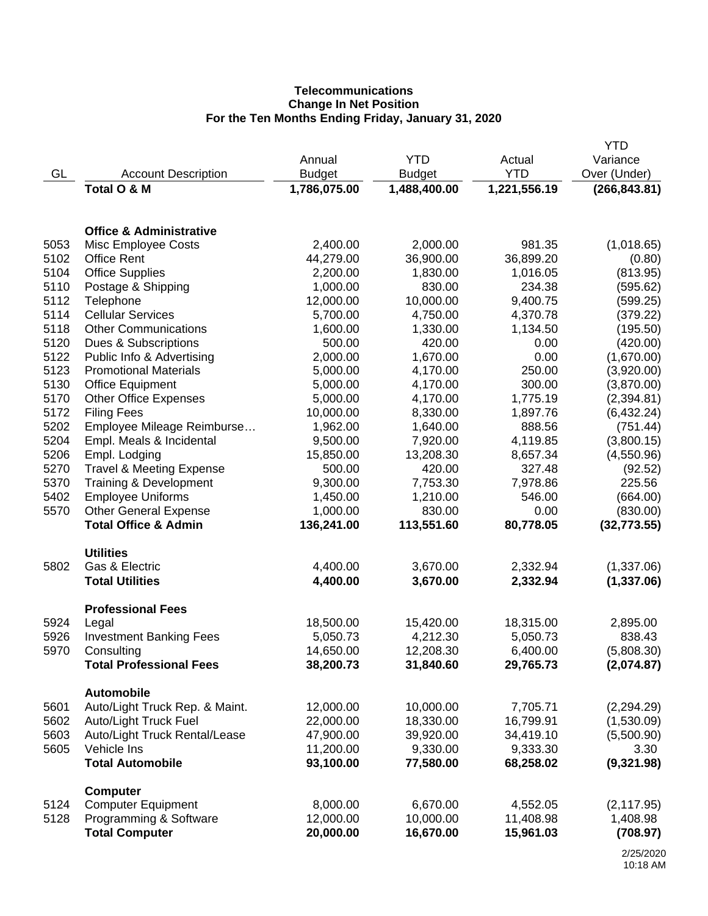## **Telecommunications Change In Net Position For the Ten Months Ending Friday, January 31, 2020**

|      |                                                     |               |               |              | <b>YTD</b>              |
|------|-----------------------------------------------------|---------------|---------------|--------------|-------------------------|
|      |                                                     | Annual        | <b>YTD</b>    | Actual       | Variance                |
| GL   | <b>Account Description</b>                          | <b>Budget</b> | <b>Budget</b> | <b>YTD</b>   | Over (Under)            |
|      | Total O & M                                         | 1,786,075.00  | 1,488,400.00  | 1,221,556.19 | (266, 843.81)           |
|      |                                                     |               |               |              |                         |
|      | <b>Office &amp; Administrative</b>                  |               |               |              |                         |
| 5053 | Misc Employee Costs                                 | 2,400.00      | 2,000.00      | 981.35       | (1,018.65)              |
| 5102 | <b>Office Rent</b>                                  | 44,279.00     | 36,900.00     | 36,899.20    | (0.80)                  |
| 5104 | <b>Office Supplies</b>                              | 2,200.00      | 1,830.00      | 1,016.05     | (813.95)                |
| 5110 | Postage & Shipping                                  | 1,000.00      | 830.00        | 234.38       | (595.62)                |
| 5112 | Telephone                                           | 12,000.00     | 10,000.00     | 9,400.75     | (599.25)                |
| 5114 | <b>Cellular Services</b>                            | 5,700.00      | 4,750.00      | 4,370.78     | (379.22)                |
| 5118 | <b>Other Communications</b>                         | 1,600.00      | 1,330.00      | 1,134.50     | (195.50)                |
| 5120 | Dues & Subscriptions                                | 500.00        | 420.00        | 0.00         | (420.00)                |
| 5122 | Public Info & Advertising                           | 2,000.00      | 1,670.00      | 0.00         | (1,670.00)              |
| 5123 | <b>Promotional Materials</b>                        | 5,000.00      | 4,170.00      | 250.00       | (3,920.00)              |
| 5130 | <b>Office Equipment</b>                             | 5,000.00      | 4,170.00      | 300.00       | (3,870.00)              |
| 5170 | <b>Other Office Expenses</b>                        | 5,000.00      | 4,170.00      | 1,775.19     | (2,394.81)              |
| 5172 | <b>Filing Fees</b>                                  | 10,000.00     | 8,330.00      | 1,897.76     | (6,432.24)              |
| 5202 | Employee Mileage Reimburse                          | 1,962.00      | 1,640.00      | 888.56       | (751.44)                |
| 5204 | Empl. Meals & Incidental                            | 9,500.00      | 7,920.00      | 4,119.85     | (3,800.15)              |
| 5206 | Empl. Lodging                                       | 15,850.00     | 13,208.30     | 8,657.34     | (4,550.96)              |
| 5270 | <b>Travel &amp; Meeting Expense</b>                 | 500.00        | 420.00        | 327.48       | (92.52)                 |
| 5370 | Training & Development                              | 9,300.00      | 7,753.30      | 7,978.86     | 225.56                  |
| 5402 | <b>Employee Uniforms</b>                            | 1,450.00      | 1,210.00      | 546.00       | (664.00)                |
| 5570 | <b>Other General Expense</b>                        | 1,000.00      | 830.00        | 0.00         | (830.00)                |
|      | <b>Total Office &amp; Admin</b>                     | 136,241.00    | 113,551.60    | 80,778.05    | (32, 773.55)            |
|      | <b>Utilities</b>                                    |               |               |              |                         |
| 5802 | Gas & Electric                                      | 4,400.00      | 3,670.00      | 2,332.94     | (1,337.06)              |
|      | <b>Total Utilities</b>                              | 4,400.00      | 3,670.00      | 2,332.94     | (1,337.06)              |
|      |                                                     |               |               |              |                         |
| 5924 | <b>Professional Fees</b><br>Legal                   | 18,500.00     | 15,420.00     | 18,315.00    | 2,895.00                |
| 5926 | <b>Investment Banking Fees</b>                      | 5,050.73      | 4,212.30      | 5,050.73     | 838.43                  |
| 5970 | Consulting                                          | 14,650.00     | 12,208.30     | 6,400.00     | (5,808.30)              |
|      | <b>Total Professional Fees</b>                      | 38,200.73     | 31,840.60     | 29,765.73    | (2,074.87)              |
|      |                                                     |               |               |              |                         |
| 5601 | <b>Automobile</b><br>Auto/Light Truck Rep. & Maint. | 12,000.00     | 10,000.00     | 7,705.71     | (2,294.29)              |
| 5602 | Auto/Light Truck Fuel                               | 22,000.00     | 18,330.00     | 16,799.91    | (1,530.09)              |
| 5603 | Auto/Light Truck Rental/Lease                       | 47,900.00     | 39,920.00     | 34,419.10    | (5,500.90)              |
| 5605 | Vehicle Ins                                         | 11,200.00     | 9,330.00      | 9,333.30     | 3.30                    |
|      | <b>Total Automobile</b>                             | 93,100.00     | 77,580.00     | 68,258.02    | (9,321.98)              |
|      |                                                     |               |               |              |                         |
| 5124 | <b>Computer</b><br><b>Computer Equipment</b>        | 8,000.00      | 6,670.00      | 4,552.05     |                         |
| 5128 | Programming & Software                              | 12,000.00     | 10,000.00     | 11,408.98    | (2, 117.95)<br>1,408.98 |
|      | <b>Total Computer</b>                               | 20,000.00     | 16,670.00     | 15,961.03    | (708.97)                |
|      |                                                     |               |               |              |                         |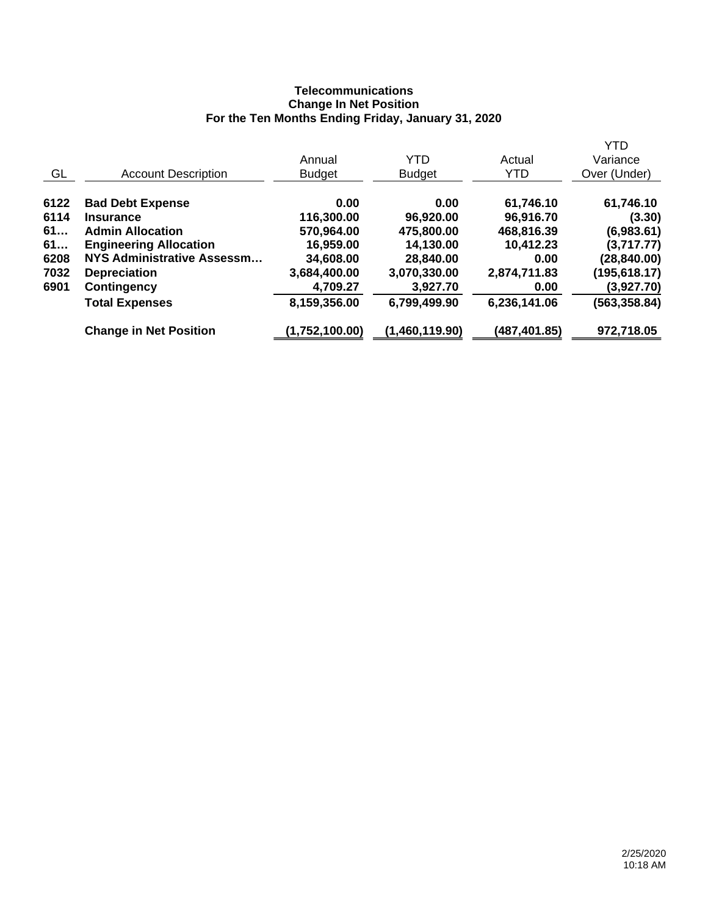## **Telecommunications Change In Net Position For the Ten Months Ending Friday, January 31, 2020**

|                               |                                                          |                |              | <b>YTD</b>    |
|-------------------------------|----------------------------------------------------------|----------------|--------------|---------------|
|                               | Annual                                                   | YTD            | Actual       | Variance      |
| <b>Account Description</b>    | <b>Budget</b>                                            | <b>Budget</b>  | <b>YTD</b>   | Over (Under)  |
|                               | 0.00                                                     | 0.00           | 61,746.10    | 61,746.10     |
| <b>Insurance</b>              | 116,300.00                                               | 96,920.00      | 96,916.70    | (3.30)        |
| <b>Admin Allocation</b>       | 570,964.00                                               | 475,800.00     | 468,816.39   | (6,983.61)    |
|                               | 16,959.00                                                | 14,130.00      | 10,412.23    | (3,717.77)    |
| NYS Administrative Assessm    | 34,608.00                                                | 28,840.00      | 0.00         | (28, 840.00)  |
| <b>Depreciation</b>           | 3,684,400.00                                             | 3,070,330.00   | 2,874,711.83 | (195,618.17)  |
| <b>Contingency</b>            | 4,709.27                                                 | 3,927.70       | 0.00         | (3,927.70)    |
| <b>Total Expenses</b>         | 8,159,356.00                                             | 6,799,499.90   | 6,236,141.06 | (563, 358.84) |
| <b>Change in Net Position</b> | (1,752,100.00)                                           | (1,460,119.90) | (487,401.85) | 972,718.05    |
|                               | <b>Bad Debt Expense</b><br><b>Engineering Allocation</b> |                |              |               |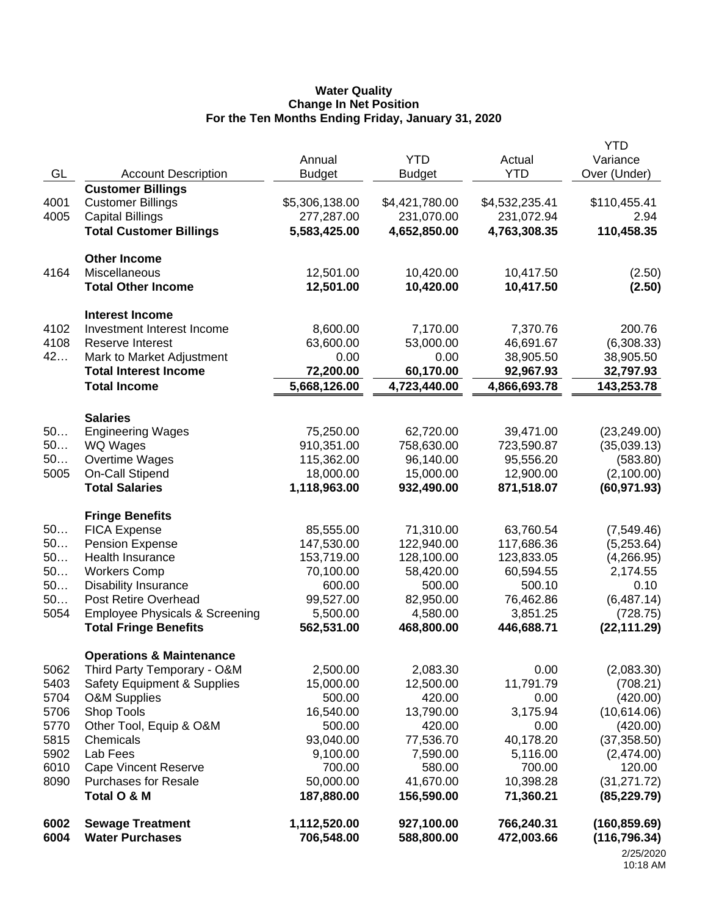#### **Water Quality Change In Net Position For the Ten Months Ending Friday, January 31, 2020**

|              |                                                   |                            |                          |                          | <b>YTD</b>                     |
|--------------|---------------------------------------------------|----------------------------|--------------------------|--------------------------|--------------------------------|
|              |                                                   | Annual                     | <b>YTD</b>               | Actual                   | Variance                       |
| GL           | <b>Account Description</b>                        | <b>Budget</b>              | <b>Budget</b>            | <b>YTD</b>               | Over (Under)                   |
|              | <b>Customer Billings</b>                          |                            |                          |                          |                                |
| 4001         | <b>Customer Billings</b>                          | \$5,306,138.00             | \$4,421,780.00           | \$4,532,235.41           | \$110,455.41                   |
| 4005         | <b>Capital Billings</b>                           | 277,287.00                 | 231,070.00               | 231,072.94               | 2.94                           |
|              | <b>Total Customer Billings</b>                    | 5,583,425.00               | 4,652,850.00             | 4,763,308.35             | 110,458.35                     |
|              | <b>Other Income</b>                               |                            |                          |                          |                                |
| 4164         | Miscellaneous                                     | 12,501.00                  | 10,420.00                | 10,417.50                | (2.50)                         |
|              | <b>Total Other Income</b>                         | 12,501.00                  | 10,420.00                | 10,417.50                | (2.50)                         |
|              | <b>Interest Income</b>                            |                            |                          |                          |                                |
| 4102         | Investment Interest Income                        | 8,600.00                   | 7,170.00                 | 7,370.76                 | 200.76                         |
| 4108         | <b>Reserve Interest</b>                           | 63,600.00                  | 53,000.00                | 46,691.67                | (6,308.33)                     |
| 42           | Mark to Market Adjustment                         | 0.00                       | 0.00                     | 38,905.50                | 38,905.50                      |
|              | <b>Total Interest Income</b>                      | 72,200.00                  | 60,170.00                | 92,967.93                | 32,797.93                      |
|              | <b>Total Income</b>                               | 5,668,126.00               | 4,723,440.00             | 4,866,693.78             | 143,253.78                     |
|              | <b>Salaries</b>                                   |                            |                          |                          |                                |
| 50           | <b>Engineering Wages</b>                          | 75,250.00                  | 62,720.00                | 39,471.00                | (23, 249.00)                   |
| 50           | WQ Wages                                          | 910,351.00                 | 758,630.00               | 723,590.87               | (35,039.13)                    |
| 50           | Overtime Wages                                    | 115,362.00                 | 96,140.00                | 95,556.20                | (583.80)                       |
| 5005         | On-Call Stipend                                   | 18,000.00                  | 15,000.00                | 12,900.00                | (2,100.00)                     |
|              | <b>Total Salaries</b>                             | 1,118,963.00               | 932,490.00               | 871,518.07               | (60, 971.93)                   |
|              | <b>Fringe Benefits</b>                            |                            |                          |                          |                                |
| 50           | <b>FICA Expense</b>                               | 85,555.00                  | 71,310.00                | 63,760.54                | (7,549.46)                     |
| 50           | <b>Pension Expense</b>                            | 147,530.00                 | 122,940.00               | 117,686.36               | (5,253.64)                     |
| 50           | Health Insurance                                  | 153,719.00                 | 128,100.00               | 123,833.05               | (4,266.95)                     |
| 50           | <b>Workers Comp</b>                               | 70,100.00                  | 58,420.00                | 60,594.55                | 2,174.55                       |
| 50           | <b>Disability Insurance</b>                       | 600.00                     | 500.00                   | 500.10                   | 0.10                           |
| 50           | Post Retire Overhead                              | 99,527.00                  | 82,950.00                | 76,462.86                | (6,487.14)                     |
| 5054         | <b>Employee Physicals &amp; Screening</b>         | 5,500.00                   | 4,580.00                 | 3,851.25                 | (728.75)                       |
|              | <b>Total Fringe Benefits</b>                      | 562,531.00                 | 468,800.00               | 446,688.71               | (22, 111.29)                   |
|              | <b>Operations &amp; Maintenance</b>               |                            |                          |                          |                                |
| 5062         | Third Party Temporary - O&M                       | 2,500.00                   | 2,083.30                 | 0.00                     | (2,083.30)                     |
| 5403         | Safety Equipment & Supplies                       | 15,000.00                  | 12,500.00                | 11,791.79                | (708.21)                       |
| 5704         | <b>O&amp;M Supplies</b>                           | 500.00                     | 420.00                   | 0.00                     | (420.00)                       |
| 5706         | Shop Tools                                        | 16,540.00                  | 13,790.00                | 3,175.94                 | (10,614.06)                    |
| 5770         | Other Tool, Equip & O&M                           | 500.00                     | 420.00                   | 0.00                     | (420.00)                       |
| 5815         | Chemicals                                         | 93,040.00                  | 77,536.70                | 40,178.20                | (37, 358.50)                   |
| 5902         | Lab Fees                                          | 9,100.00                   | 7,590.00                 | 5,116.00                 | (2,474.00)                     |
| 6010         | <b>Cape Vincent Reserve</b>                       | 700.00                     | 580.00                   | 700.00                   | 120.00                         |
| 8090         | <b>Purchases for Resale</b>                       | 50,000.00                  | 41,670.00                | 10,398.28                | (31, 271.72)                   |
|              | Total O & M                                       | 187,880.00                 | 156,590.00               | 71,360.21                | (85, 229.79)                   |
| 6002<br>6004 | <b>Sewage Treatment</b><br><b>Water Purchases</b> | 1,112,520.00<br>706,548.00 | 927,100.00<br>588,800.00 | 766,240.31<br>472,003.66 | (160, 859.69)<br>(116, 796.34) |
|              |                                                   |                            |                          |                          | 2/25/2020                      |

<sup>2/25/2020</sup> 10:18 AM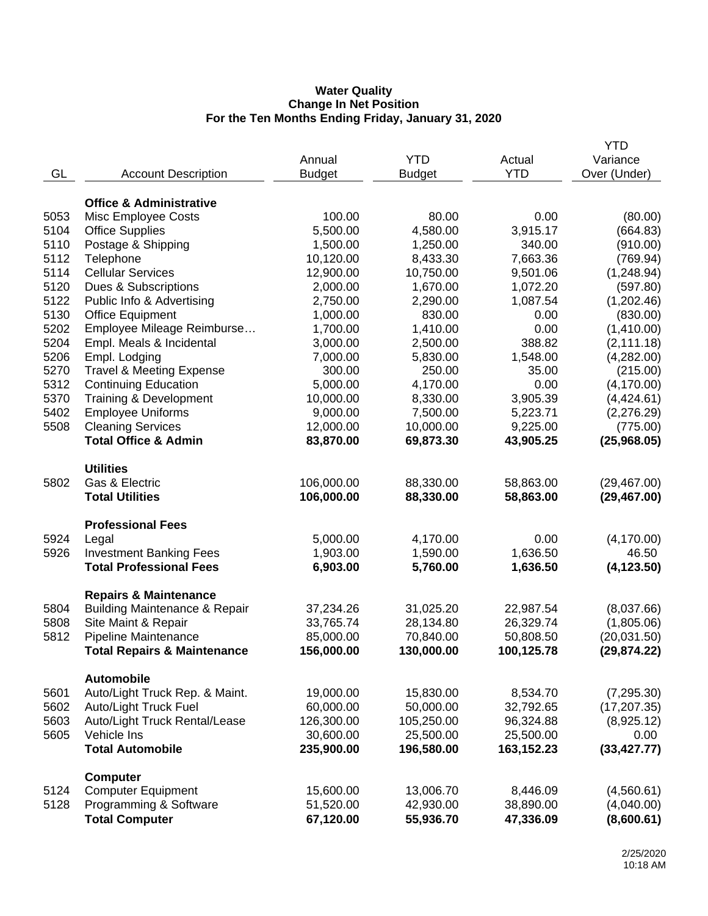#### **Water Quality Change In Net Position For the Ten Months Ending Friday, January 31, 2020**

|              |                                                     |                          |                        |                       | <b>YTD</b>               |
|--------------|-----------------------------------------------------|--------------------------|------------------------|-----------------------|--------------------------|
|              |                                                     | Annual                   | <b>YTD</b>             | Actual                | Variance                 |
| GL           | <b>Account Description</b>                          | <b>Budget</b>            | <b>Budget</b>          | <b>YTD</b>            | Over (Under)             |
|              |                                                     |                          |                        |                       |                          |
|              | <b>Office &amp; Administrative</b>                  |                          |                        |                       |                          |
| 5053         | Misc Employee Costs                                 | 100.00                   | 80.00                  | 0.00                  | (80.00)                  |
| 5104         | <b>Office Supplies</b>                              | 5,500.00                 | 4,580.00               | 3,915.17              | (664.83)                 |
| 5110         | Postage & Shipping                                  | 1,500.00                 | 1,250.00               | 340.00                | (910.00)                 |
| 5112         | Telephone                                           | 10,120.00                | 8,433.30               | 7,663.36              | (769.94)                 |
| 5114         | <b>Cellular Services</b>                            | 12,900.00                | 10,750.00              | 9,501.06              | (1,248.94)               |
| 5120         | Dues & Subscriptions                                | 2,000.00                 | 1,670.00               | 1,072.20              | (597.80)                 |
| 5122         | Public Info & Advertising                           | 2,750.00                 | 2,290.00               | 1,087.54              | (1,202.46)               |
| 5130         | <b>Office Equipment</b>                             | 1,000.00                 | 830.00                 | 0.00                  | (830.00)                 |
| 5202         | Employee Mileage Reimburse                          | 1,700.00                 | 1,410.00               | 0.00                  | (1,410.00)               |
| 5204         | Empl. Meals & Incidental                            | 3,000.00                 | 2,500.00               | 388.82                | (2, 111.18)              |
| 5206         | Empl. Lodging                                       | 7,000.00                 | 5,830.00               | 1,548.00              | (4,282.00)               |
| 5270         | <b>Travel &amp; Meeting Expense</b>                 | 300.00                   | 250.00                 | 35.00                 | (215.00)                 |
| 5312         | <b>Continuing Education</b>                         | 5,000.00                 | 4,170.00               | 0.00                  | (4, 170.00)              |
| 5370         | Training & Development                              | 10,000.00                | 8,330.00               | 3,905.39              | (4,424.61)               |
| 5402         | <b>Employee Uniforms</b>                            | 9,000.00                 | 7,500.00               | 5,223.71              | (2,276.29)               |
| 5508         | <b>Cleaning Services</b>                            | 12,000.00                | 10,000.00              | 9,225.00              | (775.00)                 |
|              | <b>Total Office &amp; Admin</b>                     | 83,870.00                | 69,873.30              | 43,905.25             | (25,968.05)              |
|              |                                                     |                          |                        |                       |                          |
|              | <b>Utilities</b><br>Gas & Electric                  |                          |                        |                       |                          |
| 5802         | <b>Total Utilities</b>                              | 106,000.00<br>106,000.00 | 88,330.00              | 58,863.00             | (29, 467.00)             |
|              |                                                     |                          | 88,330.00              | 58,863.00             | (29, 467.00)             |
|              | <b>Professional Fees</b>                            |                          |                        |                       |                          |
| 5924         | Legal                                               | 5,000.00                 | 4,170.00               | 0.00                  | (4, 170.00)              |
| 5926         | <b>Investment Banking Fees</b>                      | 1,903.00                 | 1,590.00               | 1,636.50              | 46.50                    |
|              | <b>Total Professional Fees</b>                      | 6,903.00                 | 5,760.00               | 1,636.50              | (4, 123.50)              |
|              |                                                     |                          |                        |                       |                          |
|              | <b>Repairs &amp; Maintenance</b>                    |                          |                        |                       |                          |
| 5804         | <b>Building Maintenance &amp; Repair</b>            | 37,234.26                | 31,025.20              | 22,987.54             | (8,037.66)               |
| 5808         | Site Maint & Repair                                 | 33,765.74                | 28,134.80              | 26,329.74             | (1,805.06)               |
| 5812         | Pipeline Maintenance                                | 85,000.00                | 70,840.00              | 50,808.50             | (20,031.50)              |
|              | <b>Total Repairs &amp; Maintenance</b>              | 156,000.00               | 130,000.00             | 100,125.78            | (29, 874.22)             |
|              | <b>Automobile</b>                                   |                          |                        |                       |                          |
| 5601         | Auto/Light Truck Rep. & Maint.                      | 19,000.00                | 15,830.00              | 8,534.70              | (7, 295.30)              |
| 5602         | Auto/Light Truck Fuel                               | 60,000.00                | 50,000.00              | 32,792.65             | (17, 207.35)             |
| 5603         | Auto/Light Truck Rental/Lease                       | 126,300.00               | 105,250.00             | 96,324.88             | (8,925.12)               |
| 5605         | Vehicle Ins                                         | 30,600.00                | 25,500.00              | 25,500.00             | 0.00                     |
|              | <b>Total Automobile</b>                             | 235,900.00               | 196,580.00             | 163,152.23            | (33, 427.77)             |
|              |                                                     |                          |                        |                       |                          |
|              | <b>Computer</b>                                     |                          |                        |                       |                          |
| 5124<br>5128 | <b>Computer Equipment</b><br>Programming & Software | 15,600.00<br>51,520.00   | 13,006.70<br>42,930.00 | 8,446.09<br>38,890.00 | (4,560.61)<br>(4,040.00) |
|              | <b>Total Computer</b>                               | 67,120.00                | 55,936.70              | 47,336.09             | (8,600.61)               |
|              |                                                     |                          |                        |                       |                          |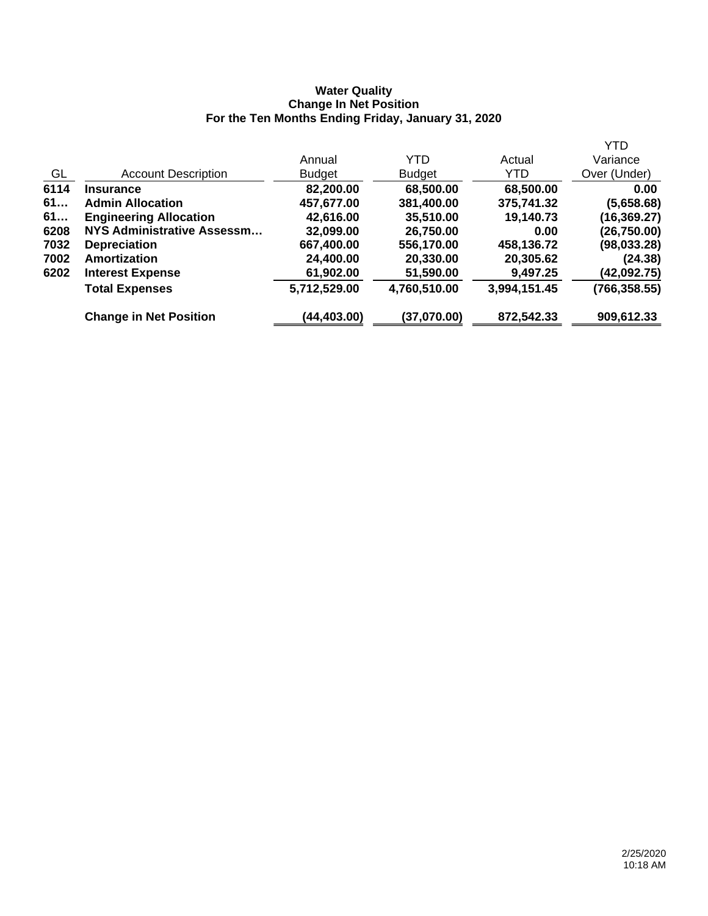### **Water Quality Change In Net Position For the Ten Months Ending Friday, January 31, 2020**

|      |                               |               |               |              | <b>YTD</b>    |
|------|-------------------------------|---------------|---------------|--------------|---------------|
|      |                               | Annual        | YTD           | Actual       | Variance      |
| GL   | <b>Account Description</b>    | <b>Budget</b> | <b>Budget</b> | YTD.         | Over (Under)  |
| 6114 | <b>Insurance</b>              | 82,200.00     | 68,500.00     | 68,500.00    | 0.00          |
| 61   | <b>Admin Allocation</b>       | 457,677.00    | 381,400.00    | 375,741.32   | (5,658.68)    |
| 61   | <b>Engineering Allocation</b> | 42,616.00     | 35,510.00     | 19,140.73    | (16, 369.27)  |
| 6208 | NYS Administrative Assessm    | 32,099.00     | 26,750.00     | 0.00         | (26, 750.00)  |
| 7032 | <b>Depreciation</b>           | 667,400.00    | 556,170.00    | 458,136.72   | (98, 033.28)  |
| 7002 | Amortization                  | 24,400.00     | 20,330.00     | 20,305.62    | (24.38)       |
| 6202 | <b>Interest Expense</b>       | 61,902.00     | 51,590.00     | 9,497.25     | (42,092.75)   |
|      | <b>Total Expenses</b>         | 5,712,529.00  | 4,760,510.00  | 3,994,151.45 | (766, 358.55) |
|      | <b>Change in Net Position</b> | (44,403.00)   | (37,070.00)   | 872,542.33   | 909,612.33    |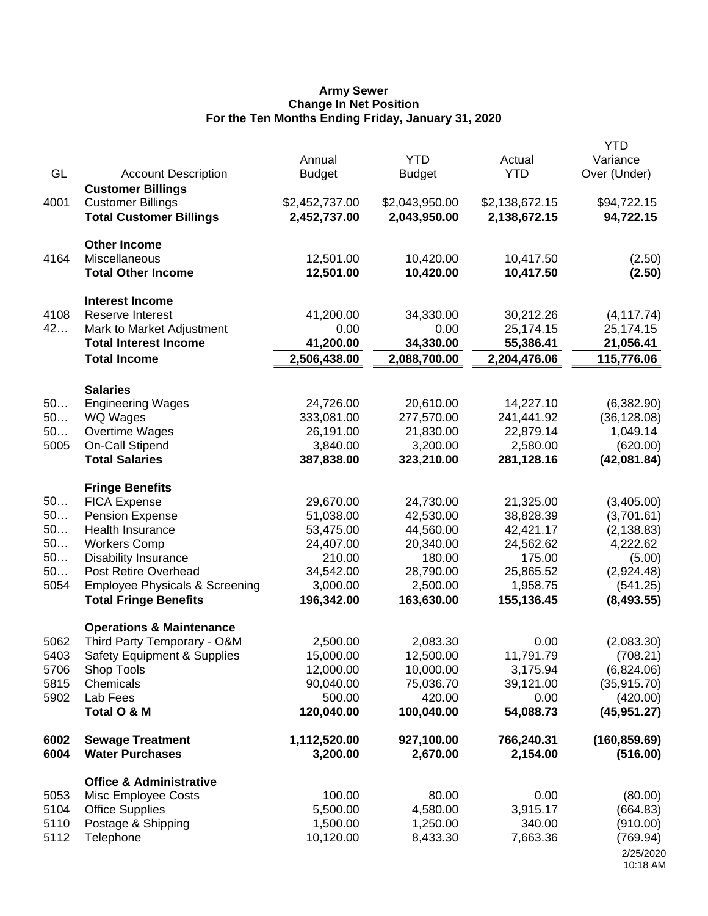#### **Army Sewer Change In Net Position For the Ten Months Ending Friday, January 31, 2020**

| GL       | <b>Account Description</b>                 | Annual<br><b>Budget</b> | <b>YTD</b><br><b>Budget</b> | Actual<br><b>YTD</b>   | <b>YTD</b><br>Variance<br>Over (Under) |
|----------|--------------------------------------------|-------------------------|-----------------------------|------------------------|----------------------------------------|
|          | <b>Customer Billings</b>                   |                         |                             |                        |                                        |
| 4001     | <b>Customer Billings</b>                   | \$2,452,737.00          | \$2,043,950.00              | \$2,138,672.15         | \$94,722.15                            |
|          | <b>Total Customer Billings</b>             | 2,452,737.00            | 2,043,950.00                | 2,138,672.15           | 94,722.15                              |
|          | <b>Other Income</b>                        |                         |                             |                        |                                        |
| 4164     | Miscellaneous                              | 12,501.00               | 10,420.00                   | 10,417.50              | (2.50)                                 |
|          | <b>Total Other Income</b>                  | 12,501.00               | 10,420.00                   | 10,417.50              | (2.50)                                 |
|          | <b>Interest Income</b>                     |                         |                             |                        |                                        |
| 4108     | <b>Reserve Interest</b>                    | 41,200.00               | 34,330.00                   | 30,212.26              | (4, 117.74)                            |
| 42       | Mark to Market Adjustment                  | 0.00                    | 0.00                        | 25,174.15              | 25,174.15                              |
|          | <b>Total Interest Income</b>               | 41,200.00               | 34,330.00                   | 55,386.41              | 21,056.41                              |
|          | <b>Total Income</b>                        | 2,506,438.00            | 2,088,700.00                | 2,204,476.06           | 115,776.06                             |
|          | <b>Salaries</b>                            |                         |                             |                        |                                        |
| 50       | <b>Engineering Wages</b>                   | 24,726.00               | 20,610.00                   | 14,227.10              | (6,382.90)                             |
| 50       | WQ Wages                                   | 333,081.00              | 277,570.00                  | 241,441.92             | (36, 128.08)                           |
| 50       | Overtime Wages                             | 26,191.00               | 21,830.00                   | 22,879.14              | 1,049.14                               |
| 5005     | On-Call Stipend                            | 3,840.00                | 3,200.00                    | 2,580.00               | (620.00)                               |
|          | <b>Total Salaries</b>                      | 387,838.00              | 323,210.00                  | 281,128.16             | (42,081.84)                            |
|          | <b>Fringe Benefits</b>                     |                         |                             |                        |                                        |
| 50       | <b>FICA Expense</b>                        | 29,670.00               | 24,730.00                   | 21,325.00              | (3,405.00)                             |
| 50<br>50 | <b>Pension Expense</b><br>Health Insurance | 51,038.00<br>53,475.00  | 42,530.00<br>44,560.00      | 38,828.39<br>42,421.17 | (3,701.61)                             |
| 50       | <b>Workers Comp</b>                        | 24,407.00               | 20,340.00                   | 24,562.62              | (2, 138.83)<br>4,222.62                |
| 50       | <b>Disability Insurance</b>                | 210.00                  | 180.00                      | 175.00                 | (5.00)                                 |
| 50       | Post Retire Overhead                       | 34,542.00               | 28,790.00                   | 25,865.52              | (2,924.48)                             |
| 5054     | <b>Employee Physicals &amp; Screening</b>  | 3,000.00                | 2,500.00                    | 1,958.75               | (541.25)                               |
|          | <b>Total Fringe Benefits</b>               | 196,342.00              | 163,630.00                  | 155,136.45             | (8,493.55)                             |
|          | <b>Operations &amp; Maintenance</b>        |                         |                             |                        |                                        |
| 5062     | Third Party Temporary - O&M                | 2,500.00                | 2,083.30                    | 0.00                   | (2,083.30)                             |
| 5403     | <b>Safety Equipment &amp; Supplies</b>     | 15,000.00               | 12,500.00                   | 11,791.79              | (708.21)                               |
| 5706     | Shop Tools                                 | 12,000.00               | 10,000.00                   | 3,175.94               | (6,824.06)                             |
| 5815     | Chemicals                                  | 90,040.00               | 75,036.70                   | 39,121.00              | (35, 915.70)                           |
| 5902     | Lab Fees                                   | 500.00                  | 420.00                      | 0.00                   | (420.00)                               |
|          | Total O & M                                | 120,040.00              | 100,040.00                  | 54,088.73              | (45, 951.27)                           |
| 6002     | <b>Sewage Treatment</b>                    | 1,112,520.00            | 927,100.00                  | 766,240.31             | (160, 859.69)                          |
| 6004     | <b>Water Purchases</b>                     | 3,200.00                | 2,670.00                    | 2,154.00               | (516.00)                               |
|          | <b>Office &amp; Administrative</b>         |                         |                             |                        |                                        |
| 5053     | <b>Misc Employee Costs</b>                 | 100.00                  | 80.00                       | 0.00                   | (80.00)                                |
| 5104     | <b>Office Supplies</b>                     | 5,500.00                | 4,580.00                    | 3,915.17               | (664.83)                               |
| 5110     | Postage & Shipping                         | 1,500.00                | 1,250.00                    | 340.00                 | (910.00)                               |
| 5112     | Telephone                                  | 10,120.00               | 8,433.30                    | 7,663.36               | (769.94)                               |
|          |                                            |                         |                             |                        | 2/25/2020<br>10:18 AM                  |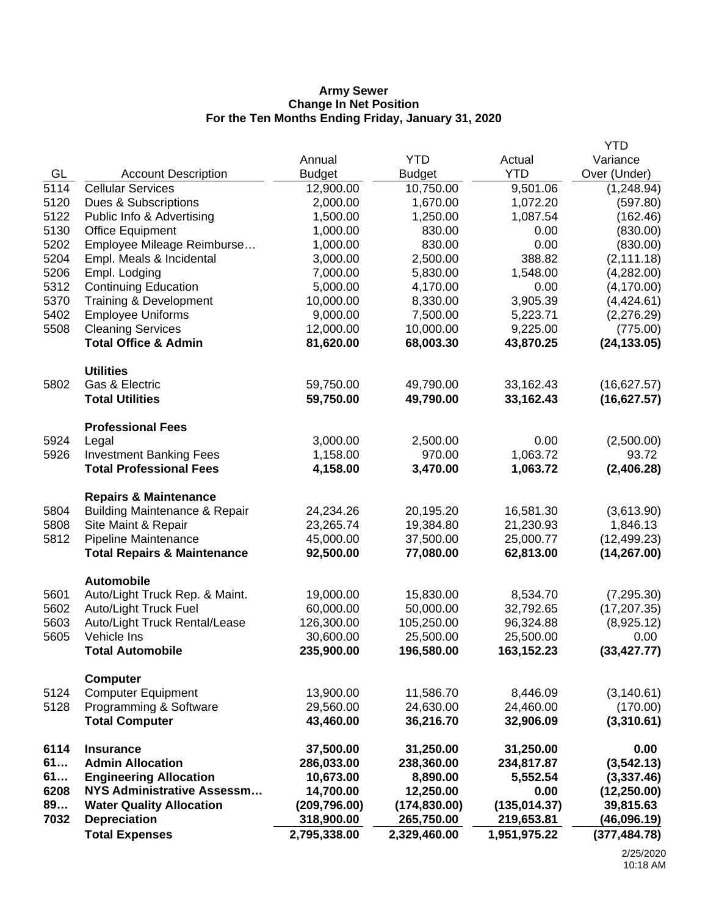#### **Army Sewer Change In Net Position For the Ten Months Ending Friday, January 31, 2020**

|      |                                          |               |               |               | <b>YTD</b>    |
|------|------------------------------------------|---------------|---------------|---------------|---------------|
|      |                                          | Annual        | <b>YTD</b>    | Actual        | Variance      |
| GL   | <b>Account Description</b>               | <b>Budget</b> | <b>Budget</b> | <b>YTD</b>    | Over (Under)  |
| 5114 | <b>Cellular Services</b>                 | 12,900.00     | 10,750.00     | 9,501.06      | (1,248.94)    |
| 5120 | Dues & Subscriptions                     | 2,000.00      | 1,670.00      | 1,072.20      | (597.80)      |
| 5122 | Public Info & Advertising                | 1,500.00      | 1,250.00      | 1,087.54      | (162.46)      |
| 5130 | <b>Office Equipment</b>                  | 1,000.00      | 830.00        | 0.00          | (830.00)      |
| 5202 | Employee Mileage Reimburse               | 1,000.00      | 830.00        | 0.00          | (830.00)      |
| 5204 | Empl. Meals & Incidental                 | 3,000.00      | 2,500.00      | 388.82        | (2, 111.18)   |
| 5206 | Empl. Lodging                            | 7,000.00      | 5,830.00      | 1,548.00      | (4,282.00)    |
| 5312 | <b>Continuing Education</b>              | 5,000.00      | 4,170.00      | 0.00          | (4, 170.00)   |
| 5370 | Training & Development                   | 10,000.00     | 8,330.00      | 3,905.39      | (4,424.61)    |
| 5402 | <b>Employee Uniforms</b>                 | 9,000.00      | 7,500.00      | 5,223.71      | (2,276.29)    |
| 5508 | <b>Cleaning Services</b>                 | 12,000.00     | 10,000.00     | 9,225.00      | (775.00)      |
|      | <b>Total Office &amp; Admin</b>          | 81,620.00     | 68,003.30     | 43,870.25     | (24, 133.05)  |
|      | <b>Utilities</b>                         |               |               |               |               |
| 5802 | Gas & Electric                           | 59,750.00     | 49,790.00     | 33,162.43     | (16,627.57)   |
|      | <b>Total Utilities</b>                   | 59,750.00     | 49,790.00     | 33,162.43     | (16,627.57)   |
|      | <b>Professional Fees</b>                 |               |               |               |               |
| 5924 | Legal                                    | 3,000.00      | 2,500.00      | 0.00          | (2,500.00)    |
| 5926 | <b>Investment Banking Fees</b>           | 1,158.00      | 970.00        | 1,063.72      | 93.72         |
|      | <b>Total Professional Fees</b>           | 4,158.00      | 3,470.00      | 1,063.72      | (2,406.28)    |
|      | <b>Repairs &amp; Maintenance</b>         |               |               |               |               |
| 5804 | <b>Building Maintenance &amp; Repair</b> | 24,234.26     | 20,195.20     | 16,581.30     | (3,613.90)    |
| 5808 | Site Maint & Repair                      | 23,265.74     | 19,384.80     | 21,230.93     | 1,846.13      |
| 5812 | Pipeline Maintenance                     | 45,000.00     | 37,500.00     | 25,000.77     | (12, 499.23)  |
|      | <b>Total Repairs &amp; Maintenance</b>   | 92,500.00     | 77,080.00     | 62,813.00     | (14, 267.00)  |
|      | <b>Automobile</b>                        |               |               |               |               |
| 5601 | Auto/Light Truck Rep. & Maint.           | 19,000.00     | 15,830.00     | 8,534.70      | (7, 295.30)   |
| 5602 | <b>Auto/Light Truck Fuel</b>             | 60,000.00     | 50,000.00     | 32,792.65     | (17, 207.35)  |
| 5603 | Auto/Light Truck Rental/Lease            | 126,300.00    | 105,250.00    | 96,324.88     | (8,925.12)    |
| 5605 | Vehicle Ins                              | 30,600.00     | 25,500.00     | 25,500.00     | 0.00          |
|      | <b>Total Automobile</b>                  | 235,900.00    | 196,580.00    | 163,152.23    | (33, 427.77)  |
|      | <b>Computer</b>                          |               |               |               |               |
| 5124 | <b>Computer Equipment</b>                | 13,900.00     | 11,586.70     | 8,446.09      | (3, 140.61)   |
| 5128 | Programming & Software                   | 29,560.00     | 24,630.00     | 24,460.00     | (170.00)      |
|      | <b>Total Computer</b>                    | 43,460.00     | 36,216.70     | 32,906.09     | (3,310.61)    |
| 6114 | <b>Insurance</b>                         | 37,500.00     | 31,250.00     | 31,250.00     | 0.00          |
| 61   | <b>Admin Allocation</b>                  | 286,033.00    | 238,360.00    | 234,817.87    | (3, 542.13)   |
| 61   | <b>Engineering Allocation</b>            | 10,673.00     | 8,890.00      | 5,552.54      | (3,337.46)    |
| 6208 | <b>NYS Administrative Assessm</b>        | 14,700.00     | 12,250.00     | 0.00          | (12, 250.00)  |
| 89   | <b>Water Quality Allocation</b>          | (209, 796.00) | (174, 830.00) | (135, 014.37) | 39,815.63     |
| 7032 | <b>Depreciation</b>                      | 318,900.00    | 265,750.00    | 219,653.81    | (46,096.19)   |
|      | <b>Total Expenses</b>                    | 2,795,338.00  | 2,329,460.00  | 1,951,975.22  | (377, 484.78) |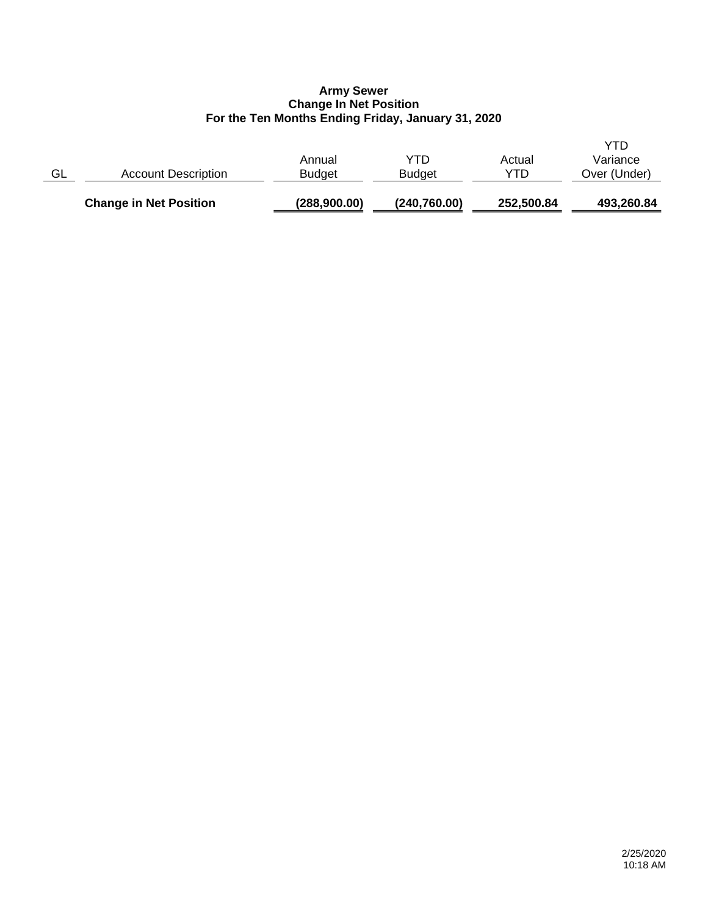## **Army Sewer Change In Net Position For the Ten Months Ending Friday, January 31, 2020**

|    | <b>Change in Net Position</b> | (288,900.00)            | (240, 760.00)        | 252,500.84    | 493,260.84                      |
|----|-------------------------------|-------------------------|----------------------|---------------|---------------------------------|
| GL | <b>Account Description</b>    | Annual<br><b>Budget</b> | YTD<br><b>Budget</b> | Actual<br>YTD | YTD<br>Variance<br>Over (Under) |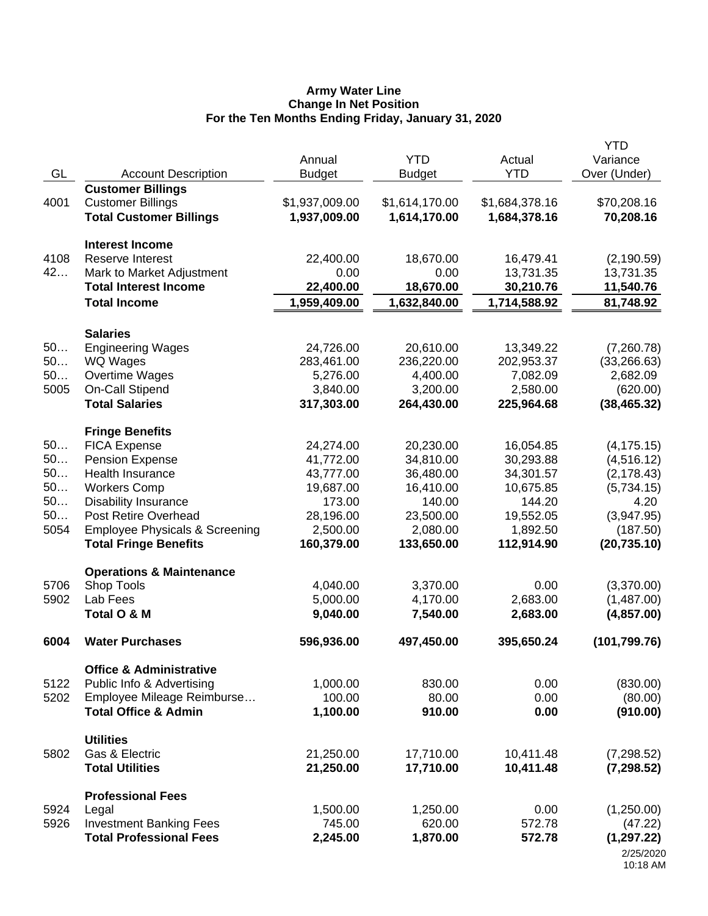#### **Army Water Line Change In Net Position For the Ten Months Ending Friday, January 31, 2020**

| GL   | <b>Account Description</b>                                                             | Annual<br><b>Budget</b>        | <b>YTD</b><br><b>Budget</b>    | Actual<br><b>YTD</b>           | YTD<br>Variance<br>Over (Under) |
|------|----------------------------------------------------------------------------------------|--------------------------------|--------------------------------|--------------------------------|---------------------------------|
| 4001 | <b>Customer Billings</b><br><b>Customer Billings</b><br><b>Total Customer Billings</b> | \$1,937,009.00<br>1,937,009.00 | \$1,614,170.00<br>1,614,170.00 | \$1,684,378.16<br>1,684,378.16 | \$70,208.16<br>70,208.16        |
|      | <b>Interest Income</b>                                                                 |                                |                                |                                |                                 |
| 4108 | <b>Reserve Interest</b>                                                                | 22,400.00                      | 18,670.00                      | 16,479.41                      | (2, 190.59)                     |
| 42   | Mark to Market Adjustment                                                              | 0.00                           | 0.00                           | 13,731.35                      | 13,731.35                       |
|      | <b>Total Interest Income</b>                                                           | 22,400.00                      | 18,670.00                      | 30,210.76                      | 11,540.76                       |
|      | <b>Total Income</b>                                                                    | 1,959,409.00                   | 1,632,840.00                   | 1,714,588.92                   | 81,748.92                       |
|      | <b>Salaries</b>                                                                        |                                |                                |                                |                                 |
| 50   | <b>Engineering Wages</b>                                                               | 24,726.00                      | 20,610.00                      | 13,349.22                      | (7,260.78)                      |
| 50   | WQ Wages                                                                               | 283,461.00                     | 236,220.00                     | 202,953.37                     | (33, 266.63)                    |
| 50   | Overtime Wages                                                                         | 5,276.00                       | 4,400.00                       | 7,082.09                       | 2,682.09                        |
| 5005 | On-Call Stipend                                                                        | 3,840.00                       | 3,200.00                       | 2,580.00                       | (620.00)                        |
|      | <b>Total Salaries</b>                                                                  | 317,303.00                     | 264,430.00                     | 225,964.68                     | (38, 465.32)                    |
|      | <b>Fringe Benefits</b>                                                                 |                                |                                |                                |                                 |
| 50   | <b>FICA Expense</b>                                                                    | 24,274.00                      | 20,230.00                      | 16,054.85                      | (4, 175.15)                     |
| 50   | <b>Pension Expense</b>                                                                 | 41,772.00                      | 34,810.00                      | 30,293.88                      | (4, 516.12)                     |
| 50   | <b>Health Insurance</b>                                                                | 43,777.00                      | 36,480.00                      | 34,301.57                      | (2, 178.43)                     |
| 50   | <b>Workers Comp</b>                                                                    | 19,687.00                      | 16,410.00                      | 10,675.85                      | (5,734.15)                      |
| 50   | <b>Disability Insurance</b>                                                            | 173.00                         | 140.00                         | 144.20                         | 4.20                            |
| 50   | Post Retire Overhead                                                                   | 28,196.00                      | 23,500.00                      | 19,552.05                      | (3,947.95)                      |
| 5054 | <b>Employee Physicals &amp; Screening</b>                                              | 2,500.00                       | 2,080.00                       | 1,892.50                       | (187.50)                        |
|      | <b>Total Fringe Benefits</b>                                                           | 160,379.00                     | 133,650.00                     | 112,914.90                     | (20, 735.10)                    |
|      | <b>Operations &amp; Maintenance</b>                                                    |                                |                                |                                |                                 |
| 5706 | Shop Tools                                                                             | 4,040.00                       | 3,370.00                       | 0.00                           | (3,370.00)                      |
| 5902 | Lab Fees                                                                               | 5,000.00                       | 4,170.00                       | 2,683.00                       | (1,487.00)                      |
|      | Total O & M                                                                            | 9,040.00                       | 7,540.00                       | 2,683.00                       | (4,857.00)                      |
| 6004 | <b>Water Purchases</b>                                                                 | 596,936.00                     | 497,450.00                     | 395,650.24                     | (101, 799.76)                   |
|      | <b>Office &amp; Administrative</b>                                                     |                                |                                |                                |                                 |
| 5122 | Public Info & Advertising                                                              | 1,000.00                       | 830.00                         | 0.00                           | (830.00)                        |
| 5202 | Employee Mileage Reimburse                                                             | 100.00                         | 80.00                          | 0.00                           | (80.00)                         |
|      | <b>Total Office &amp; Admin</b>                                                        | 1,100.00                       | 910.00                         | 0.00                           | (910.00)                        |
|      | <b>Utilities</b>                                                                       |                                |                                |                                |                                 |
| 5802 | Gas & Electric                                                                         | 21,250.00                      | 17,710.00                      | 10,411.48                      | (7, 298.52)                     |
|      | <b>Total Utilities</b>                                                                 | 21,250.00                      | 17,710.00                      | 10,411.48                      | (7, 298.52)                     |
|      | <b>Professional Fees</b>                                                               |                                |                                |                                |                                 |
| 5924 | Legal                                                                                  | 1,500.00                       | 1,250.00                       | 0.00                           | (1,250.00)                      |
| 5926 | <b>Investment Banking Fees</b>                                                         | 745.00                         | 620.00                         | 572.78                         | (47.22)                         |
|      | <b>Total Professional Fees</b>                                                         | 2,245.00                       | 1,870.00                       | 572.78                         | (1, 297.22)                     |
|      |                                                                                        |                                |                                |                                | 2/25/2020                       |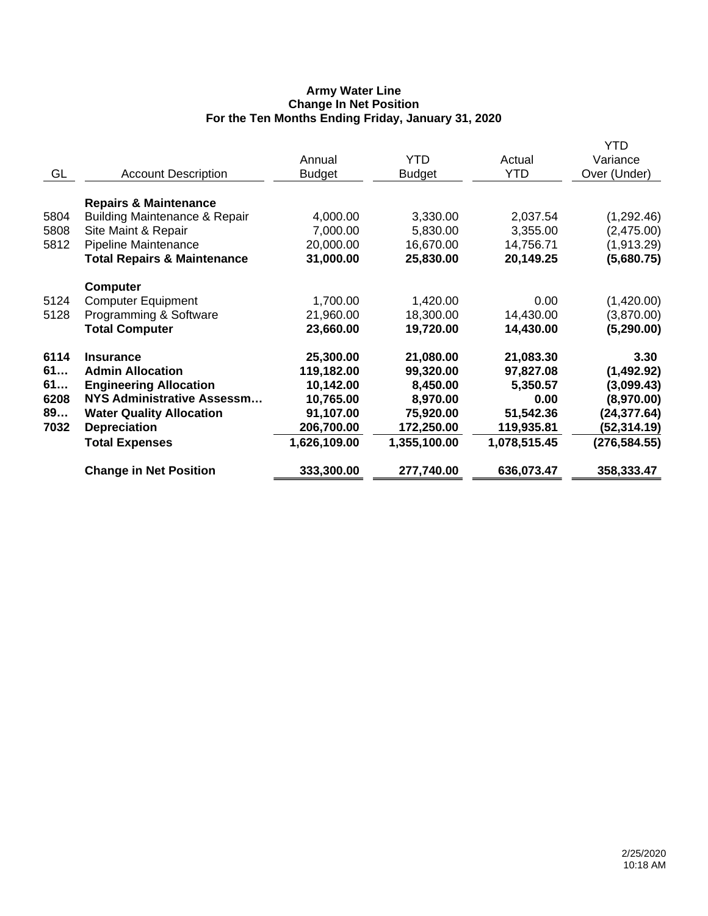## **Army Water Line Change In Net Position For the Ten Months Ending Friday, January 31, 2020**

|                                        |                                                                                                                                                                                                                                                                                                                                                      |                                                                                                                                     |                                                                                                                                  | YTD                                                                                                                      |
|----------------------------------------|------------------------------------------------------------------------------------------------------------------------------------------------------------------------------------------------------------------------------------------------------------------------------------------------------------------------------------------------------|-------------------------------------------------------------------------------------------------------------------------------------|----------------------------------------------------------------------------------------------------------------------------------|--------------------------------------------------------------------------------------------------------------------------|
|                                        | Annual                                                                                                                                                                                                                                                                                                                                               | <b>YTD</b>                                                                                                                          | Actual                                                                                                                           | Variance                                                                                                                 |
| <b>Account Description</b>             | <b>Budget</b>                                                                                                                                                                                                                                                                                                                                        | <b>Budget</b>                                                                                                                       | <b>YTD</b>                                                                                                                       | Over (Under)                                                                                                             |
|                                        |                                                                                                                                                                                                                                                                                                                                                      |                                                                                                                                     |                                                                                                                                  |                                                                                                                          |
| <b>Repairs &amp; Maintenance</b>       |                                                                                                                                                                                                                                                                                                                                                      |                                                                                                                                     |                                                                                                                                  |                                                                                                                          |
|                                        | 4,000.00                                                                                                                                                                                                                                                                                                                                             | 3,330.00                                                                                                                            | 2,037.54                                                                                                                         | (1, 292.46)                                                                                                              |
| Site Maint & Repair                    | 7,000.00                                                                                                                                                                                                                                                                                                                                             | 5,830.00                                                                                                                            | 3,355.00                                                                                                                         | (2,475.00)                                                                                                               |
| <b>Pipeline Maintenance</b>            | 20,000.00                                                                                                                                                                                                                                                                                                                                            | 16,670.00                                                                                                                           | 14,756.71                                                                                                                        | (1,913.29)                                                                                                               |
| <b>Total Repairs &amp; Maintenance</b> | 31,000.00                                                                                                                                                                                                                                                                                                                                            | 25,830.00                                                                                                                           | 20,149.25                                                                                                                        | (5,680.75)                                                                                                               |
|                                        |                                                                                                                                                                                                                                                                                                                                                      |                                                                                                                                     |                                                                                                                                  |                                                                                                                          |
|                                        |                                                                                                                                                                                                                                                                                                                                                      |                                                                                                                                     |                                                                                                                                  | (1,420.00)                                                                                                               |
|                                        |                                                                                                                                                                                                                                                                                                                                                      |                                                                                                                                     |                                                                                                                                  | (3,870.00)                                                                                                               |
| <b>Total Computer</b>                  | 23,660.00                                                                                                                                                                                                                                                                                                                                            | 19,720.00                                                                                                                           | 14,430.00                                                                                                                        | (5, 290.00)                                                                                                              |
|                                        |                                                                                                                                                                                                                                                                                                                                                      |                                                                                                                                     |                                                                                                                                  |                                                                                                                          |
|                                        |                                                                                                                                                                                                                                                                                                                                                      |                                                                                                                                     |                                                                                                                                  | 3.30                                                                                                                     |
|                                        |                                                                                                                                                                                                                                                                                                                                                      |                                                                                                                                     |                                                                                                                                  | (1,492.92)                                                                                                               |
|                                        |                                                                                                                                                                                                                                                                                                                                                      |                                                                                                                                     |                                                                                                                                  | (3,099.43)                                                                                                               |
|                                        |                                                                                                                                                                                                                                                                                                                                                      |                                                                                                                                     |                                                                                                                                  | (8,970.00)                                                                                                               |
|                                        |                                                                                                                                                                                                                                                                                                                                                      |                                                                                                                                     |                                                                                                                                  | (24, 377.64)                                                                                                             |
|                                        |                                                                                                                                                                                                                                                                                                                                                      |                                                                                                                                     |                                                                                                                                  | (52,314.19)                                                                                                              |
|                                        |                                                                                                                                                                                                                                                                                                                                                      |                                                                                                                                     |                                                                                                                                  | (276, 584.55)                                                                                                            |
|                                        |                                                                                                                                                                                                                                                                                                                                                      |                                                                                                                                     |                                                                                                                                  | 358,333.47                                                                                                               |
|                                        | <b>Building Maintenance &amp; Repair</b><br><b>Computer</b><br><b>Computer Equipment</b><br>Programming & Software<br><b>Insurance</b><br><b>Admin Allocation</b><br><b>Engineering Allocation</b><br>NYS Administrative Assessm<br><b>Water Quality Allocation</b><br><b>Depreciation</b><br><b>Total Expenses</b><br><b>Change in Net Position</b> | 1,700.00<br>21,960.00<br>25,300.00<br>119,182.00<br>10,142.00<br>10,765.00<br>91,107.00<br>206,700.00<br>1,626,109.00<br>333,300.00 | 1,420.00<br>18,300.00<br>21,080.00<br>99,320.00<br>8,450.00<br>8,970.00<br>75,920.00<br>172,250.00<br>1,355,100.00<br>277,740.00 | 0.00<br>14,430.00<br>21,083.30<br>97,827.08<br>5,350.57<br>0.00<br>51,542.36<br>119,935.81<br>1,078,515.45<br>636,073.47 |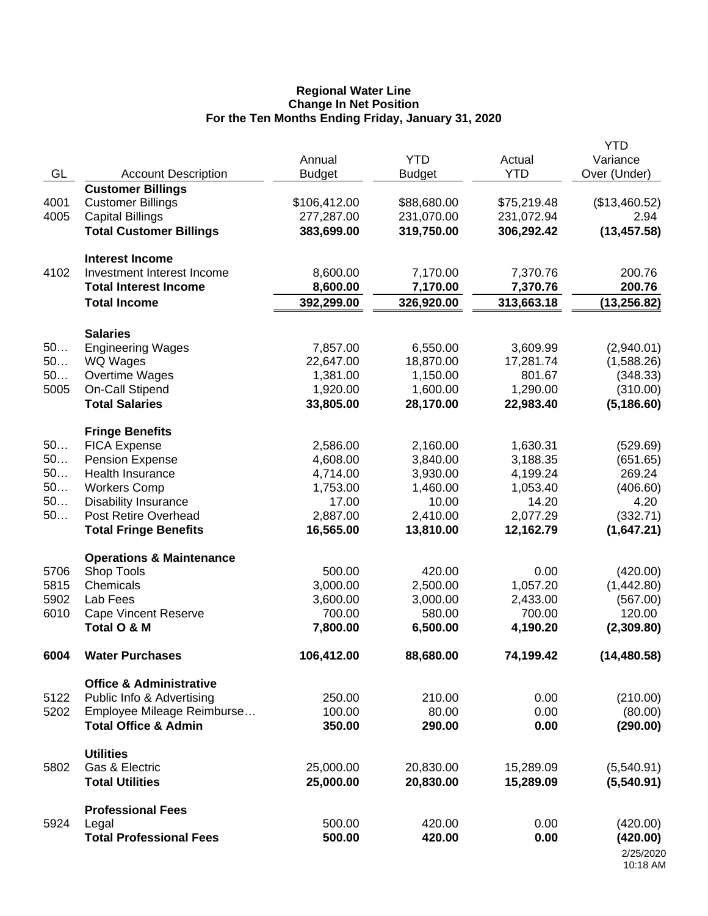#### **Regional Water Line Change In Net Position For the Ten Months Ending Friday, January 31, 2020**

|      |                                                     |                         |                             |                        | <b>YTD</b>               |
|------|-----------------------------------------------------|-------------------------|-----------------------------|------------------------|--------------------------|
| GL   | <b>Account Description</b>                          | Annual<br><b>Budget</b> | <b>YTD</b><br><b>Budget</b> | Actual<br><b>YTD</b>   | Variance<br>Over (Under) |
|      | <b>Customer Billings</b>                            |                         |                             |                        |                          |
| 4001 | <b>Customer Billings</b>                            | \$106,412.00            | \$88,680.00                 | \$75,219.48            | (\$13,460.52)            |
| 4005 | <b>Capital Billings</b>                             | 277,287.00              | 231,070.00                  | 231,072.94             | 2.94                     |
|      | <b>Total Customer Billings</b>                      | 383,699.00              | 319,750.00                  | 306,292.42             | (13, 457.58)             |
|      |                                                     |                         |                             |                        |                          |
|      | <b>Interest Income</b>                              |                         |                             |                        |                          |
| 4102 | Investment Interest Income                          | 8,600.00                | 7,170.00                    | 7,370.76               | 200.76                   |
|      | <b>Total Interest Income</b><br><b>Total Income</b> | 8,600.00<br>392,299.00  | 7,170.00<br>326,920.00      | 7,370.76<br>313,663.18 | 200.76<br>(13, 256.82)   |
|      |                                                     |                         |                             |                        |                          |
|      | <b>Salaries</b>                                     |                         |                             |                        |                          |
| 50   | <b>Engineering Wages</b>                            | 7,857.00                | 6,550.00                    | 3,609.99               | (2,940.01)               |
| 50   | WQ Wages                                            | 22,647.00               | 18,870.00                   | 17,281.74              | (1,588.26)               |
| 50   | Overtime Wages                                      | 1,381.00                | 1,150.00                    | 801.67                 | (348.33)                 |
| 5005 | On-Call Stipend                                     | 1,920.00                | 1,600.00                    | 1,290.00               | (310.00)                 |
|      | <b>Total Salaries</b>                               | 33,805.00               | 28,170.00                   | 22,983.40              | (5, 186.60)              |
|      | <b>Fringe Benefits</b>                              |                         |                             |                        |                          |
| 50   | <b>FICA Expense</b>                                 | 2,586.00                | 2,160.00                    | 1,630.31               | (529.69)                 |
| 50   | <b>Pension Expense</b>                              | 4,608.00                | 3,840.00                    | 3,188.35               | (651.65)                 |
| 50   | Health Insurance                                    | 4,714.00                | 3,930.00                    | 4,199.24               | 269.24                   |
| 50   | <b>Workers Comp</b>                                 | 1,753.00                | 1,460.00                    | 1,053.40               | (406.60)                 |
| 50   | <b>Disability Insurance</b>                         | 17.00                   | 10.00                       | 14.20                  | 4.20                     |
| 50   | Post Retire Overhead                                | 2,887.00                | 2,410.00                    | 2,077.29               | (332.71)                 |
|      | <b>Total Fringe Benefits</b>                        | 16,565.00               | 13,810.00                   | 12,162.79              | (1,647.21)               |
|      | <b>Operations &amp; Maintenance</b>                 |                         |                             |                        |                          |
| 5706 | Shop Tools                                          | 500.00                  | 420.00                      | 0.00                   | (420.00)                 |
| 5815 | Chemicals                                           | 3,000.00                | 2,500.00                    | 1,057.20               | (1,442.80)               |
| 5902 | Lab Fees                                            | 3,600.00                | 3,000.00                    | 2,433.00               | (567.00)                 |
| 6010 | <b>Cape Vincent Reserve</b>                         | 700.00                  | 580.00                      | 700.00                 | 120.00                   |
|      | Total O & M                                         | 7,800.00                | 6,500.00                    | 4,190.20               | (2,309.80)               |
| 6004 | <b>Water Purchases</b>                              | 106,412.00              | 88,680.00                   | 74,199.42              | (14, 480.58)             |
|      | <b>Office &amp; Administrative</b>                  |                         |                             |                        |                          |
| 5122 | Public Info & Advertising                           | 250.00                  | 210.00                      | 0.00                   | (210.00)                 |
| 5202 | Employee Mileage Reimburse                          | 100.00                  | 80.00                       | 0.00                   | (80.00)                  |
|      | <b>Total Office &amp; Admin</b>                     | 350.00                  | 290.00                      | 0.00                   | (290.00)                 |
|      |                                                     |                         |                             |                        |                          |
| 5802 | <b>Utilities</b><br>Gas & Electric                  | 25,000.00               | 20,830.00                   | 15,289.09              | (5,540.91)               |
|      | <b>Total Utilities</b>                              | 25,000.00               | 20,830.00                   | 15,289.09              | (5,540.91)               |
|      |                                                     |                         |                             |                        |                          |
|      | <b>Professional Fees</b>                            |                         |                             |                        |                          |
| 5924 | Legal                                               | 500.00                  | 420.00                      | 0.00                   | (420.00)                 |
|      | <b>Total Professional Fees</b>                      | 500.00                  | 420.00                      | 0.00                   | (420.00)                 |
|      |                                                     |                         |                             |                        | 2/25/2020<br>10:18 AM    |
|      |                                                     |                         |                             |                        |                          |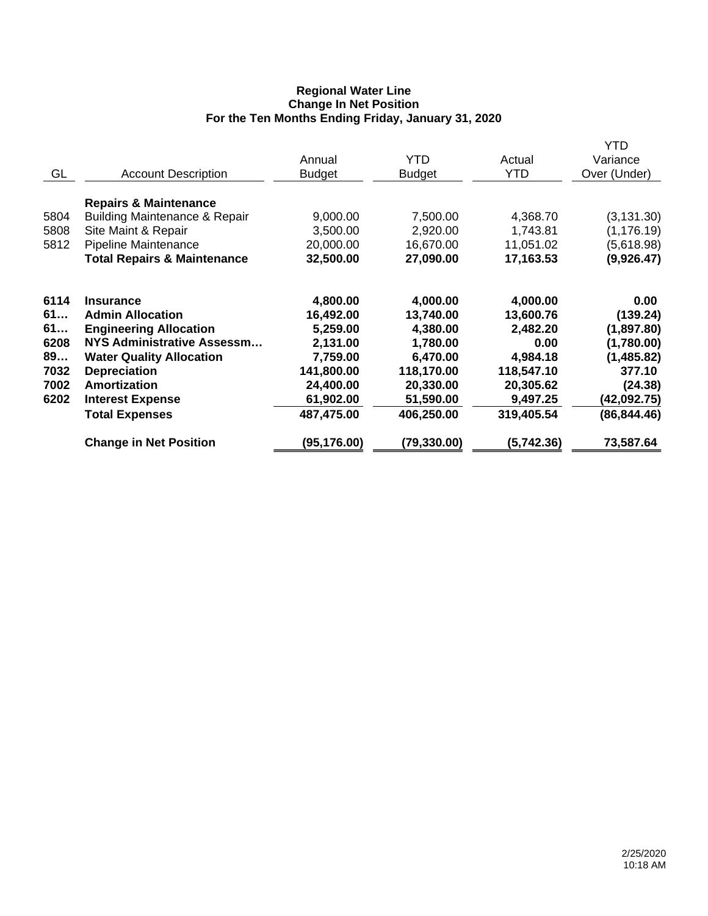## **Regional Water Line Change In Net Position For the Ten Months Ending Friday, January 31, 2020**

| GL                   | <b>Account Description</b>                                                                                                                                 | Annual<br><b>Budget</b>                        | YTD<br><b>Budget</b>                           | Actual<br><b>YTD</b>                           | YTD<br>Variance<br>Over (Under)                        |
|----------------------|------------------------------------------------------------------------------------------------------------------------------------------------------------|------------------------------------------------|------------------------------------------------|------------------------------------------------|--------------------------------------------------------|
| 5804<br>5808<br>5812 | <b>Repairs &amp; Maintenance</b><br>Building Maintenance & Repair<br>Site Maint & Repair<br>Pipeline Maintenance<br><b>Total Repairs &amp; Maintenance</b> | 9,000.00<br>3,500.00<br>20,000.00<br>32,500.00 | 7,500.00<br>2,920.00<br>16,670.00<br>27,090.00 | 4,368.70<br>1,743.81<br>11,051.02<br>17,163.53 | (3, 131.30)<br>(1, 176.19)<br>(5,618.98)<br>(9,926.47) |
| 6114<br>61<br>61     | <b>Insurance</b><br><b>Admin Allocation</b><br><b>Engineering Allocation</b>                                                                               | 4,800.00<br>16,492.00<br>5,259.00              | 4,000.00<br>13,740.00<br>4,380.00              | 4,000.00<br>13,600.76<br>2,482.20              | 0.00<br>(139.24)<br>(1,897.80)                         |
| 6208<br>89<br>7032   | NYS Administrative Assessm<br><b>Water Quality Allocation</b><br><b>Depreciation</b>                                                                       | 2,131.00<br>7,759.00<br>141,800.00             | 1,780.00<br>6,470.00<br>118,170.00             | 0.00<br>4,984.18<br>118,547.10                 | (1,780.00)<br>(1,485.82)<br>377.10                     |
| 7002<br>6202         | <b>Amortization</b><br><b>Interest Expense</b><br><b>Total Expenses</b>                                                                                    | 24,400.00<br>61,902.00<br>487,475.00           | 20,330.00<br>51,590.00<br>406,250.00           | 20,305.62<br>9,497.25<br>319,405.54            | (24.38)<br>(42,092.75)<br>(86, 844.46)                 |
|                      | <b>Change in Net Position</b>                                                                                                                              | (95, 176.00)                                   | (79, 330.00)                                   | (5,742.36)                                     | 73,587.64                                              |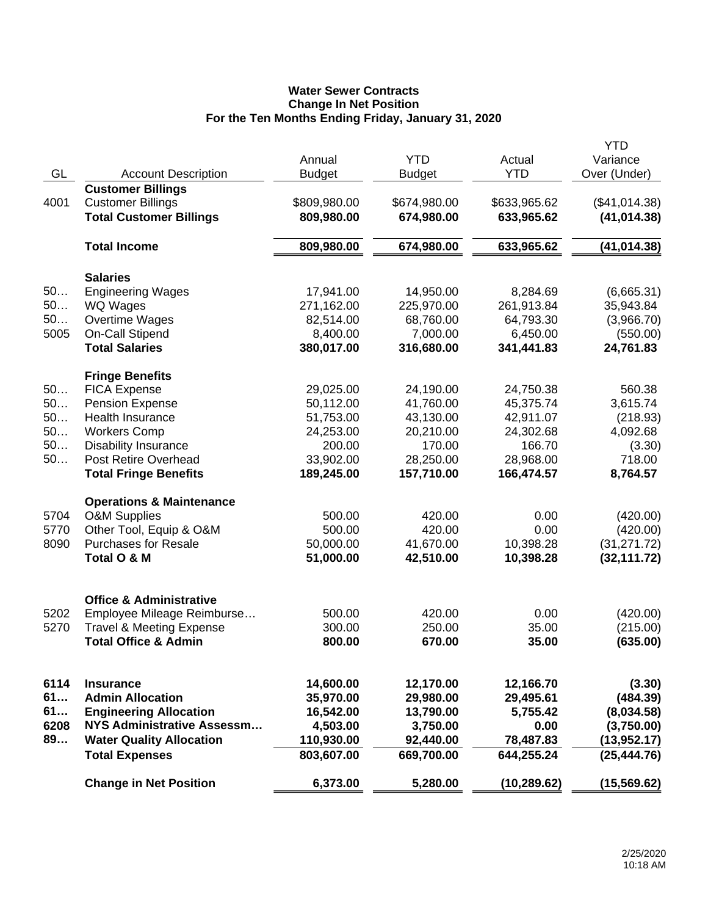## **Water Sewer Contracts Change In Net Position For the Ten Months Ending Friday, January 31, 2020**

|      |                                                            |               |               |              | <b>YTD</b>    |
|------|------------------------------------------------------------|---------------|---------------|--------------|---------------|
|      |                                                            | Annual        | <b>YTD</b>    | Actual       | Variance      |
| GL   | <b>Account Description</b>                                 | <b>Budget</b> | <b>Budget</b> | <b>YTD</b>   | Over (Under)  |
|      | <b>Customer Billings</b>                                   |               |               |              |               |
| 4001 | <b>Customer Billings</b>                                   | \$809,980.00  | \$674,980.00  | \$633,965.62 | (\$41,014.38) |
|      | <b>Total Customer Billings</b>                             | 809,980.00    | 674,980.00    | 633,965.62   | (41, 014.38)  |
|      |                                                            |               |               |              |               |
|      | <b>Total Income</b>                                        | 809,980.00    | 674,980.00    | 633,965.62   | (41, 014.38)  |
|      |                                                            |               |               |              |               |
|      | <b>Salaries</b>                                            |               |               |              |               |
| 50   | <b>Engineering Wages</b>                                   | 17,941.00     | 14,950.00     | 8,284.69     | (6,665.31)    |
| 50   | <b>WQ Wages</b>                                            | 271,162.00    | 225,970.00    | 261,913.84   | 35,943.84     |
| 50   | Overtime Wages                                             | 82,514.00     | 68,760.00     | 64,793.30    | (3,966.70)    |
| 5005 | On-Call Stipend                                            | 8,400.00      | 7,000.00      | 6,450.00     | (550.00)      |
|      | <b>Total Salaries</b>                                      |               |               |              |               |
|      |                                                            | 380,017.00    | 316,680.00    | 341,441.83   | 24,761.83     |
|      | <b>Fringe Benefits</b>                                     |               |               |              |               |
| 50   | <b>FICA Expense</b>                                        | 29,025.00     | 24,190.00     | 24,750.38    | 560.38        |
| 50   | <b>Pension Expense</b>                                     | 50,112.00     | 41,760.00     | 45,375.74    | 3,615.74      |
| 50   | <b>Health Insurance</b>                                    | 51,753.00     | 43,130.00     | 42,911.07    | (218.93)      |
| 50   | <b>Workers Comp</b>                                        | 24,253.00     | 20,210.00     | 24,302.68    | 4,092.68      |
| 50   |                                                            | 200.00        | 170.00        | 166.70       |               |
|      | <b>Disability Insurance</b><br><b>Post Retire Overhead</b> |               |               |              | (3.30)        |
| 50   |                                                            | 33,902.00     | 28,250.00     | 28,968.00    | 718.00        |
|      | <b>Total Fringe Benefits</b>                               | 189,245.00    | 157,710.00    | 166,474.57   | 8,764.57      |
|      | <b>Operations &amp; Maintenance</b>                        |               |               |              |               |
| 5704 | <b>O&amp;M Supplies</b>                                    | 500.00        | 420.00        | 0.00         | (420.00)      |
| 5770 | Other Tool, Equip & O&M                                    | 500.00        | 420.00        | 0.00         | (420.00)      |
| 8090 | <b>Purchases for Resale</b>                                | 50,000.00     | 41,670.00     | 10,398.28    | (31, 271.72)  |
|      |                                                            |               |               |              |               |
|      | Total O & M                                                | 51,000.00     | 42,510.00     | 10,398.28    | (32, 111.72)  |
|      |                                                            |               |               |              |               |
|      | <b>Office &amp; Administrative</b>                         |               |               |              |               |
| 5202 | Employee Mileage Reimburse                                 | 500.00        | 420.00        | 0.00         | (420.00)      |
| 5270 | <b>Travel &amp; Meeting Expense</b>                        | 300.00        | 250.00        | 35.00        | (215.00)      |
|      | <b>Total Office &amp; Admin</b>                            | 800.00        | 670.00        | 35.00        | (635.00)      |
|      |                                                            |               |               |              |               |
|      |                                                            |               |               |              |               |
| 6114 | <b>Insurance</b>                                           | 14,600.00     | 12,170.00     | 12,166.70    | (3.30)        |
| 61   | <b>Admin Allocation</b>                                    | 35,970.00     | 29,980.00     | 29,495.61    | (484.39)      |
| 61   | <b>Engineering Allocation</b>                              | 16,542.00     | 13,790.00     | 5,755.42     | (8,034.58)    |
| 6208 | <b>NYS Administrative Assessm</b>                          | 4,503.00      | 3,750.00      | 0.00         | (3,750.00)    |
| 89   | <b>Water Quality Allocation</b>                            | 110,930.00    | 92,440.00     | 78,487.83    | (13,952.17)   |
|      | <b>Total Expenses</b>                                      | 803,607.00    | 669,700.00    | 644,255.24   | (25, 444.76)  |
|      |                                                            |               |               |              |               |
|      | <b>Change in Net Position</b>                              | 6,373.00      | 5,280.00      | (10, 289.62) | (15, 569.62)  |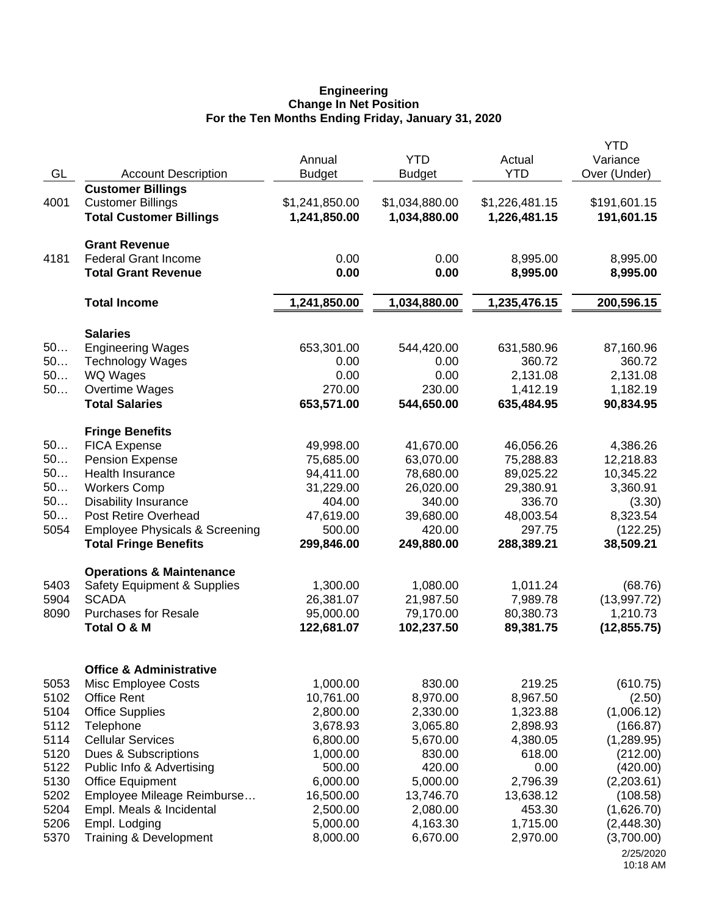#### **Engineering Change In Net Position For the Ten Months Ending Friday, January 31, 2020**

| GL       | <b>Account Description</b>                                | Annual<br><b>Budget</b> | <b>YTD</b><br><b>Budget</b> | Actual<br><b>YTD</b> | <b>YTD</b><br>Variance<br>Over (Under) |
|----------|-----------------------------------------------------------|-------------------------|-----------------------------|----------------------|----------------------------------------|
|          | <b>Customer Billings</b>                                  |                         |                             |                      |                                        |
| 4001     | <b>Customer Billings</b>                                  | \$1,241,850.00          | \$1,034,880.00              | \$1,226,481.15       | \$191,601.15                           |
|          | <b>Total Customer Billings</b>                            | 1,241,850.00            | 1,034,880.00                | 1,226,481.15         | 191,601.15                             |
|          | <b>Grant Revenue</b>                                      |                         |                             |                      |                                        |
| 4181     | <b>Federal Grant Income</b>                               | 0.00                    | 0.00                        | 8,995.00             | 8,995.00                               |
|          | <b>Total Grant Revenue</b>                                | 0.00                    | 0.00                        | 8,995.00             | 8,995.00                               |
|          | <b>Total Income</b>                                       | 1,241,850.00            | 1,034,880.00                | 1,235,476.15         | 200,596.15                             |
|          | <b>Salaries</b>                                           |                         |                             |                      |                                        |
| 50       | <b>Engineering Wages</b>                                  | 653,301.00              | 544,420.00                  | 631,580.96           | 87,160.96                              |
| 50       | <b>Technology Wages</b>                                   | 0.00                    | 0.00                        | 360.72               | 360.72                                 |
| 50       | WQ Wages                                                  | 0.00                    | 0.00                        | 2,131.08             | 2,131.08                               |
| 50       | Overtime Wages                                            | 270.00                  | 230.00                      | 1,412.19             | 1,182.19                               |
|          | <b>Total Salaries</b>                                     | 653,571.00              | 544,650.00                  | 635,484.95           | 90,834.95                              |
|          | <b>Fringe Benefits</b>                                    |                         |                             |                      |                                        |
| 50       | <b>FICA Expense</b>                                       | 49,998.00               | 41,670.00                   | 46,056.26            | 4,386.26                               |
| 50       | <b>Pension Expense</b>                                    | 75,685.00               | 63,070.00                   | 75,288.83            | 12,218.83                              |
| 50<br>50 | <b>Health Insurance</b>                                   | 94,411.00               | 78,680.00                   | 89,025.22            | 10,345.22                              |
| 50       | <b>Workers Comp</b><br><b>Disability Insurance</b>        | 31,229.00<br>404.00     | 26,020.00<br>340.00         | 29,380.91<br>336.70  | 3,360.91<br>(3.30)                     |
| 50       | <b>Post Retire Overhead</b>                               | 47,619.00               | 39,680.00                   | 48,003.54            | 8,323.54                               |
| 5054     | <b>Employee Physicals &amp; Screening</b>                 | 500.00                  | 420.00                      | 297.75               | (122.25)                               |
|          | <b>Total Fringe Benefits</b>                              | 299,846.00              | 249,880.00                  | 288,389.21           | 38,509.21                              |
|          | <b>Operations &amp; Maintenance</b>                       |                         |                             |                      |                                        |
| 5403     | Safety Equipment & Supplies                               | 1,300.00                | 1,080.00                    | 1,011.24             | (68.76)                                |
| 5904     | <b>SCADA</b>                                              | 26,381.07               | 21,987.50                   | 7,989.78             | (13,997.72)                            |
| 8090     | <b>Purchases for Resale</b>                               | 95,000.00               | 79,170.00                   | 80,380.73            | 1,210.73                               |
|          | Total O & M                                               | 122,681.07              | 102,237.50                  | 89,381.75            | (12, 855.75)                           |
|          |                                                           |                         |                             |                      |                                        |
| 5053     | <b>Office &amp; Administrative</b><br>Misc Employee Costs | 1,000.00                | 830.00                      | 219.25               | (610.75)                               |
| 5102     | <b>Office Rent</b>                                        | 10,761.00               | 8,970.00                    | 8,967.50             | (2.50)                                 |
| 5104     | <b>Office Supplies</b>                                    | 2,800.00                | 2,330.00                    | 1,323.88             | (1,006.12)                             |
| 5112     | Telephone                                                 | 3,678.93                | 3,065.80                    | 2,898.93             | (166.87)                               |
| 5114     | <b>Cellular Services</b>                                  | 6,800.00                | 5,670.00                    | 4,380.05             | (1,289.95)                             |
| 5120     | Dues & Subscriptions                                      | 1,000.00                | 830.00                      | 618.00               | (212.00)                               |
| 5122     | Public Info & Advertising                                 | 500.00                  | 420.00                      | 0.00                 | (420.00)                               |
| 5130     | <b>Office Equipment</b>                                   | 6,000.00                | 5,000.00                    | 2,796.39             | (2,203.61)                             |
| 5202     | Employee Mileage Reimburse                                | 16,500.00               | 13,746.70                   | 13,638.12            | (108.58)                               |
| 5204     | Empl. Meals & Incidental                                  | 2,500.00                | 2,080.00                    | 453.30               | (1,626.70)                             |
| 5206     | Empl. Lodging                                             | 5,000.00                | 4,163.30                    | 1,715.00             | (2,448.30)                             |
| 5370     | Training & Development                                    | 8,000.00                | 6,670.00                    | 2,970.00             | (3,700.00)                             |
|          |                                                           |                         |                             |                      | 2/25/2020<br>10:18 AM                  |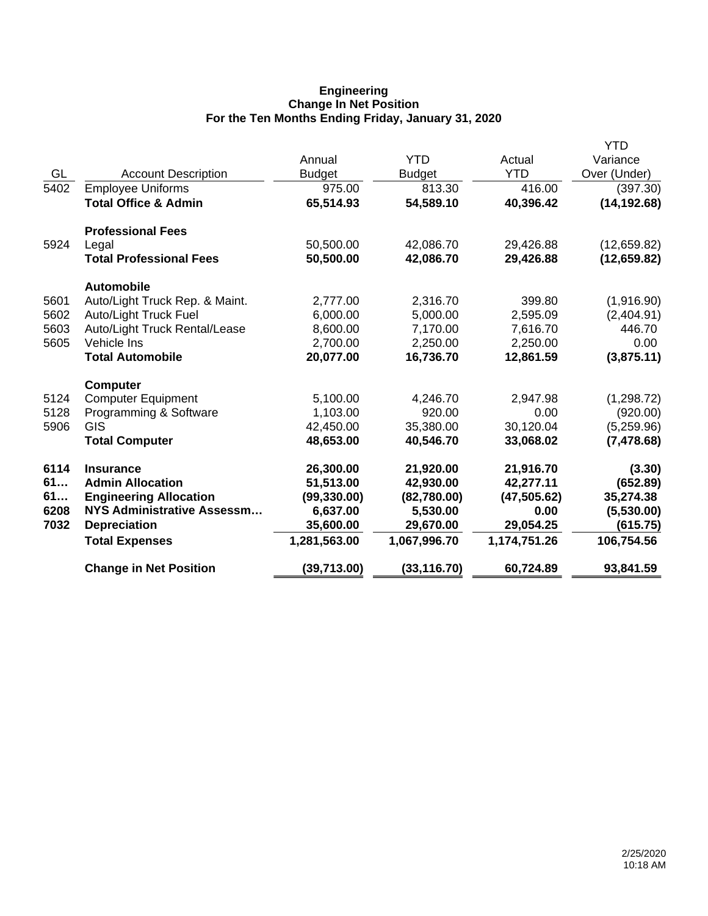## **Engineering Change In Net Position For the Ten Months Ending Friday, January 31, 2020**

|      |                                 |               |               |              | <b>YTD</b>   |
|------|---------------------------------|---------------|---------------|--------------|--------------|
|      |                                 | Annual        | <b>YTD</b>    | Actual       | Variance     |
| GL   | <b>Account Description</b>      | <b>Budget</b> | <b>Budget</b> | <b>YTD</b>   | Over (Under) |
| 5402 | <b>Employee Uniforms</b>        | 975.00        | 813.30        | 416.00       | (397.30)     |
|      | <b>Total Office &amp; Admin</b> | 65,514.93     | 54,589.10     | 40,396.42    | (14, 192.68) |
|      | <b>Professional Fees</b>        |               |               |              |              |
| 5924 | Legal                           | 50,500.00     | 42,086.70     | 29,426.88    | (12,659.82)  |
|      | <b>Total Professional Fees</b>  | 50,500.00     | 42,086.70     | 29,426.88    | (12, 659.82) |
|      | <b>Automobile</b>               |               |               |              |              |
| 5601 | Auto/Light Truck Rep. & Maint.  | 2,777.00      | 2,316.70      | 399.80       | (1,916.90)   |
| 5602 | <b>Auto/Light Truck Fuel</b>    | 6,000.00      | 5,000.00      | 2,595.09     | (2,404.91)   |
| 5603 | Auto/Light Truck Rental/Lease   | 8,600.00      | 7,170.00      | 7,616.70     | 446.70       |
| 5605 | Vehicle Ins                     | 2,700.00      | 2,250.00      | 2,250.00     | 0.00         |
|      | <b>Total Automobile</b>         | 20,077.00     | 16,736.70     | 12,861.59    | (3,875.11)   |
|      | <b>Computer</b>                 |               |               |              |              |
| 5124 | <b>Computer Equipment</b>       | 5,100.00      | 4,246.70      | 2,947.98     | (1, 298.72)  |
| 5128 | Programming & Software          | 1,103.00      | 920.00        | 0.00         | (920.00)     |
| 5906 | <b>GIS</b>                      | 42,450.00     | 35,380.00     | 30,120.04    | (5,259.96)   |
|      | <b>Total Computer</b>           | 48,653.00     | 40,546.70     | 33,068.02    | (7, 478.68)  |
| 6114 | <b>Insurance</b>                | 26,300.00     | 21,920.00     | 21,916.70    | (3.30)       |
| 61   | <b>Admin Allocation</b>         | 51,513.00     | 42,930.00     | 42,277.11    | (652.89)     |
| 61   | <b>Engineering Allocation</b>   | (99, 330.00)  | (82,780.00)   | (47, 505.62) | 35,274.38    |
| 6208 | NYS Administrative Assessm      | 6,637.00      | 5,530.00      | 0.00         | (5,530.00)   |
| 7032 | <b>Depreciation</b>             | 35,600.00     | 29,670.00     | 29,054.25    | (615.75)     |
|      | <b>Total Expenses</b>           | 1,281,563.00  | 1,067,996.70  | 1,174,751.26 | 106,754.56   |
|      | <b>Change in Net Position</b>   | (39,713.00)   | (33, 116.70)  | 60,724.89    | 93,841.59    |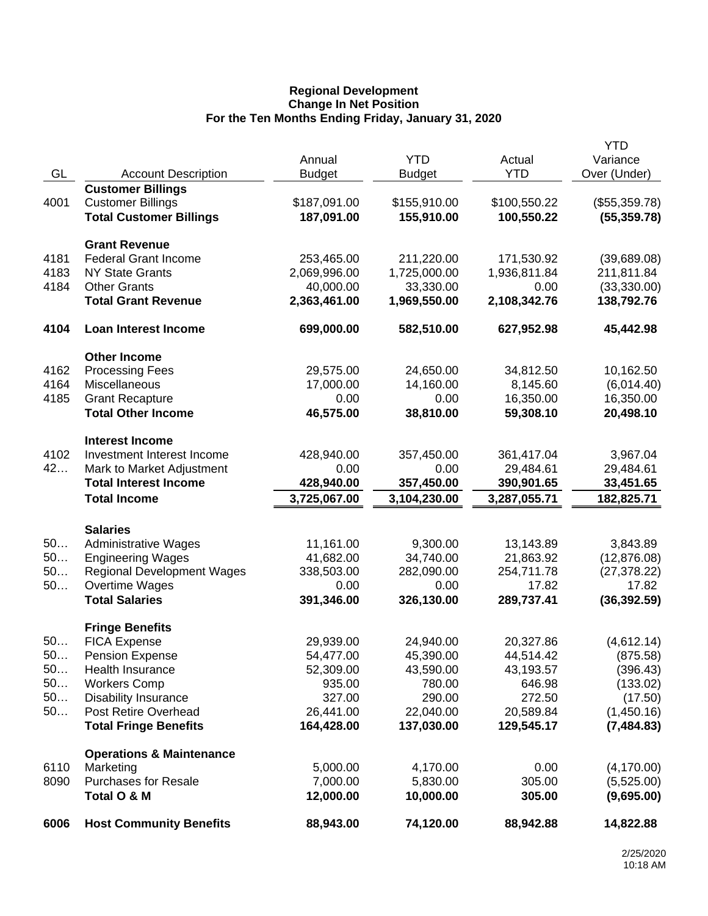## **Regional Development Change In Net Position For the Ten Months Ending Friday, January 31, 2020**

|      |                                     |               |               |              | <b>YTD</b>    |
|------|-------------------------------------|---------------|---------------|--------------|---------------|
|      |                                     | Annual        | <b>YTD</b>    | Actual       | Variance      |
| GL   | <b>Account Description</b>          | <b>Budget</b> | <b>Budget</b> | <b>YTD</b>   | Over (Under)  |
|      | <b>Customer Billings</b>            |               |               |              |               |
| 4001 | <b>Customer Billings</b>            | \$187,091.00  | \$155,910.00  | \$100,550.22 | (\$55,359.78) |
|      | <b>Total Customer Billings</b>      | 187,091.00    | 155,910.00    | 100,550.22   | (55, 359.78)  |
|      | <b>Grant Revenue</b>                |               |               |              |               |
| 4181 | <b>Federal Grant Income</b>         | 253,465.00    | 211,220.00    | 171,530.92   | (39,689.08)   |
| 4183 | <b>NY State Grants</b>              | 2,069,996.00  | 1,725,000.00  | 1,936,811.84 | 211,811.84    |
| 4184 | <b>Other Grants</b>                 | 40,000.00     | 33,330.00     | 0.00         | (33,330.00)   |
|      | <b>Total Grant Revenue</b>          | 2,363,461.00  | 1,969,550.00  | 2,108,342.76 | 138,792.76    |
| 4104 | Loan Interest Income                | 699,000.00    | 582,510.00    | 627,952.98   | 45,442.98     |
|      | <b>Other Income</b>                 |               |               |              |               |
| 4162 | <b>Processing Fees</b>              | 29,575.00     | 24,650.00     | 34,812.50    | 10,162.50     |
| 4164 | Miscellaneous                       | 17,000.00     | 14,160.00     | 8,145.60     | (6,014.40)    |
| 4185 | <b>Grant Recapture</b>              | 0.00          | 0.00          | 16,350.00    | 16,350.00     |
|      | <b>Total Other Income</b>           | 46,575.00     | 38,810.00     | 59,308.10    | 20,498.10     |
|      | <b>Interest Income</b>              |               |               |              |               |
| 4102 | Investment Interest Income          | 428,940.00    | 357,450.00    | 361,417.04   | 3,967.04      |
| 42   | Mark to Market Adjustment           | 0.00          | 0.00          | 29,484.61    | 29,484.61     |
|      | <b>Total Interest Income</b>        | 428,940.00    | 357,450.00    | 390,901.65   | 33,451.65     |
|      | <b>Total Income</b>                 | 3,725,067.00  | 3,104,230.00  | 3,287,055.71 | 182,825.71    |
|      |                                     |               |               |              |               |
|      | <b>Salaries</b>                     |               |               |              |               |
| 50   | <b>Administrative Wages</b>         | 11,161.00     | 9,300.00      | 13,143.89    | 3,843.89      |
| 50   | <b>Engineering Wages</b>            | 41,682.00     | 34,740.00     | 21,863.92    | (12, 876.08)  |
| 50   | <b>Regional Development Wages</b>   | 338,503.00    | 282,090.00    | 254,711.78   | (27, 378.22)  |
| 50   | Overtime Wages                      | 0.00          | 0.00          | 17.82        | 17.82         |
|      | <b>Total Salaries</b>               | 391,346.00    | 326,130.00    | 289,737.41   | (36, 392.59)  |
|      | <b>Fringe Benefits</b>              |               |               |              |               |
| 50   | <b>FICA Expense</b>                 | 29,939.00     | 24,940.00     | 20,327.86    | (4,612.14)    |
| 50   | <b>Pension Expense</b>              | 54,477.00     | 45,390.00     | 44,514.42    | (875.58)      |
| 50   | Health Insurance                    | 52,309.00     | 43,590.00     | 43,193.57    | (396.43)      |
| 50   | <b>Workers Comp</b>                 | 935.00        | 780.00        | 646.98       | (133.02)      |
| 50   | <b>Disability Insurance</b>         | 327.00        | 290.00        | 272.50       | (17.50)       |
| 50   | Post Retire Overhead                | 26,441.00     | 22,040.00     | 20,589.84    | (1,450.16)    |
|      | <b>Total Fringe Benefits</b>        | 164,428.00    | 137,030.00    | 129,545.17   | (7, 484.83)   |
|      | <b>Operations &amp; Maintenance</b> |               |               |              |               |
| 6110 | Marketing                           | 5,000.00      | 4,170.00      | 0.00         | (4, 170.00)   |
| 8090 | <b>Purchases for Resale</b>         | 7,000.00      | 5,830.00      | 305.00       | (5,525.00)    |
|      | Total O & M                         | 12,000.00     | 10,000.00     | 305.00       | (9,695.00)    |
| 6006 | <b>Host Community Benefits</b>      | 88,943.00     | 74,120.00     | 88,942.88    | 14,822.88     |